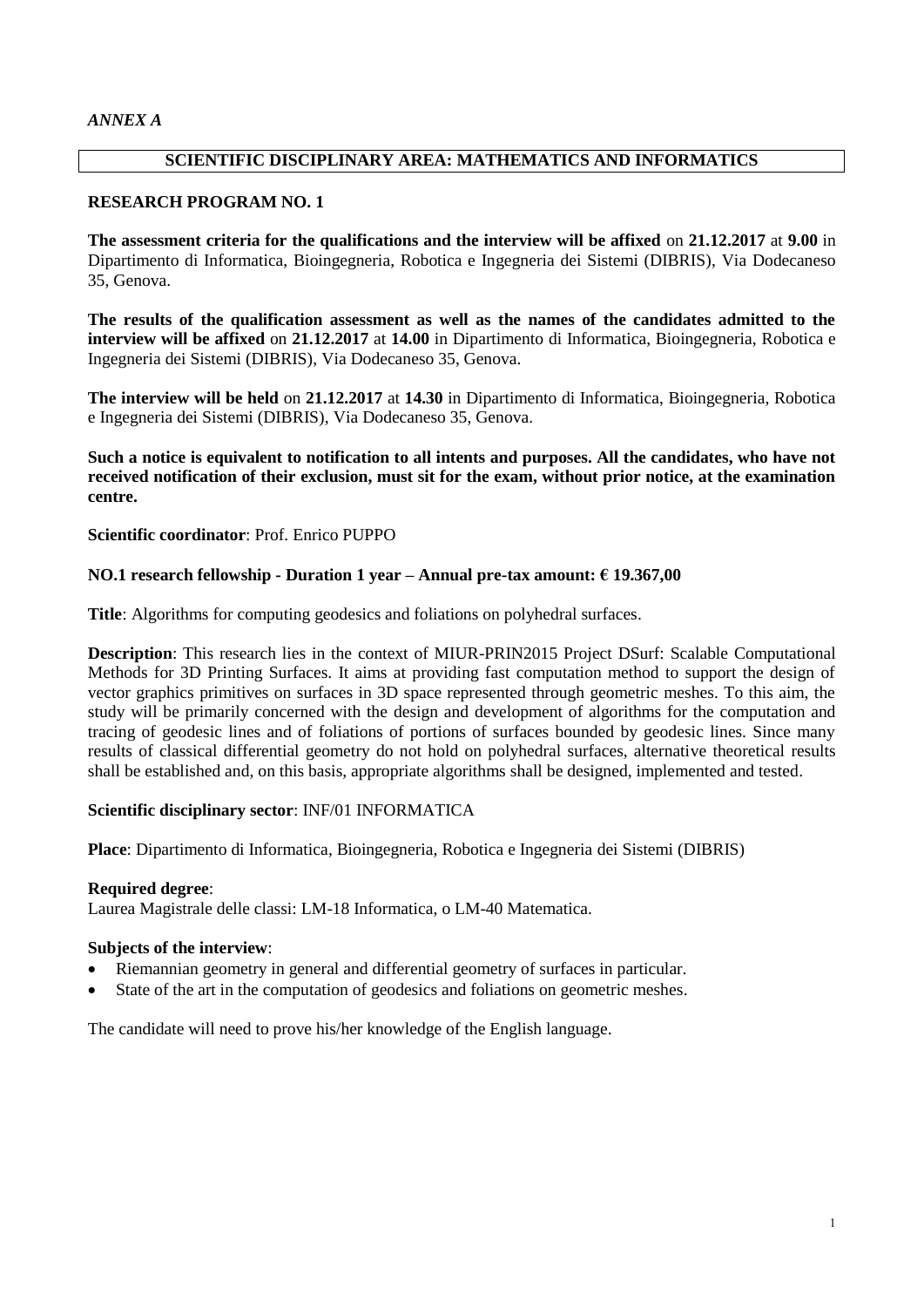# **SCIENTIFIC DISCIPLINARY AREA: MATHEMATICS AND INFORMATICS**

# **RESEARCH PROGRAM NO. 1**

**The assessment criteria for the qualifications and the interview will be affixed** on **21.12.2017** at **9.00** in Dipartimento di Informatica, Bioingegneria, Robotica e Ingegneria dei Sistemi (DIBRIS), Via Dodecaneso 35, Genova.

**The results of the qualification assessment as well as the names of the candidates admitted to the interview will be affixed** on **21.12.2017** at **14.00** in Dipartimento di Informatica, Bioingegneria, Robotica e Ingegneria dei Sistemi (DIBRIS), Via Dodecaneso 35, Genova.

**The interview will be held** on **21.12.2017** at **14.30** in Dipartimento di Informatica, Bioingegneria, Robotica e Ingegneria dei Sistemi (DIBRIS), Via Dodecaneso 35, Genova.

**Such a notice is equivalent to notification to all intents and purposes. All the candidates, who have not received notification of their exclusion, must sit for the exam, without prior notice, at the examination centre.**

**Scientific coordinator**: Prof. Enrico PUPPO

# **NO.1 research fellowship - Duration 1 year – Annual pre-tax amount: € 19.367,00**

**Title**: Algorithms for computing geodesics and foliations on polyhedral surfaces.

**Description**: This research lies in the context of MIUR-PRIN2015 Project DSurf: Scalable Computational Methods for 3D Printing Surfaces. It aims at providing fast computation method to support the design of vector graphics primitives on surfaces in 3D space represented through geometric meshes. To this aim, the study will be primarily concerned with the design and development of algorithms for the computation and tracing of geodesic lines and of foliations of portions of surfaces bounded by geodesic lines. Since many results of classical differential geometry do not hold on polyhedral surfaces, alternative theoretical results shall be established and, on this basis, appropriate algorithms shall be designed, implemented and tested.

# **Scientific disciplinary sector**: INF/01 INFORMATICA

**Place**: Dipartimento di Informatica, Bioingegneria, Robotica e Ingegneria dei Sistemi (DIBRIS)

# **Required degree**:

Laurea Magistrale delle classi: LM-18 Informatica, o LM-40 Matematica.

# **Subjects of the interview**:

- Riemannian geometry in general and differential geometry of surfaces in particular.
- State of the art in the computation of geodesics and foliations on geometric meshes.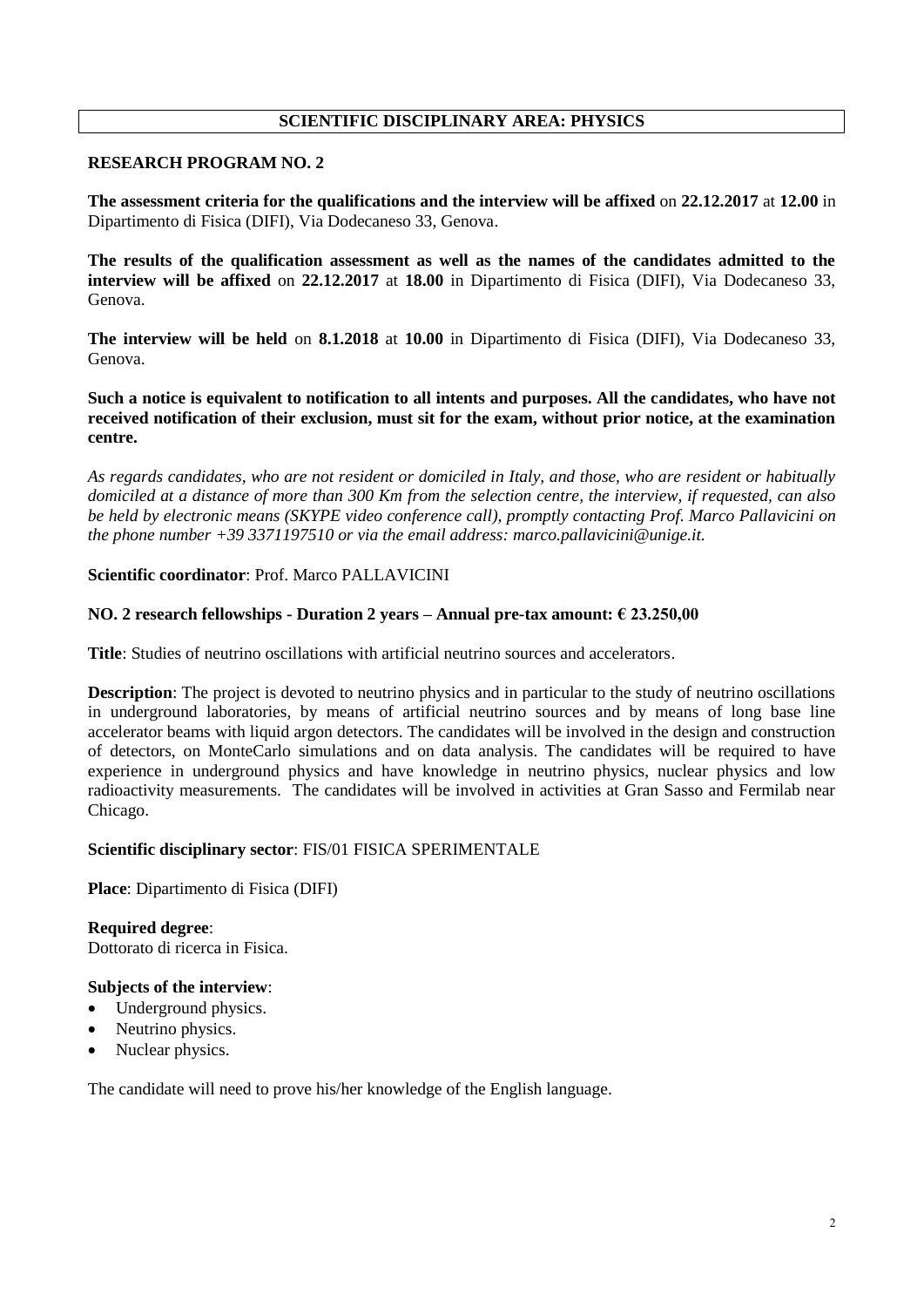# **SCIENTIFIC DISCIPLINARY AREA: PHYSICS**

# **RESEARCH PROGRAM NO. 2**

**The assessment criteria for the qualifications and the interview will be affixed** on **22.12.2017** at **12.00** in Dipartimento di Fisica (DIFI), Via Dodecaneso 33, Genova.

**The results of the qualification assessment as well as the names of the candidates admitted to the interview will be affixed** on **22.12.2017** at **18.00** in Dipartimento di Fisica (DIFI), Via Dodecaneso 33, Genova.

**The interview will be held** on **8.1.2018** at **10.00** in Dipartimento di Fisica (DIFI), Via Dodecaneso 33, Genova.

**Such a notice is equivalent to notification to all intents and purposes. All the candidates, who have not received notification of their exclusion, must sit for the exam, without prior notice, at the examination centre.**

*As regards candidates, who are not resident or domiciled in Italy, and those, who are resident or habitually domiciled at a distance of more than 300 Km from the selection centre, the interview, if requested, can also be held by electronic means (SKYPE video conference call), promptly contacting Prof. Marco Pallavicini on the phone number +39 3371197510 or via the email address: marco.pallavicini@unige.it.* 

**Scientific coordinator**: Prof. Marco PALLAVICINI

#### **NO. 2 research fellowships - Duration 2 years – Annual pre-tax amount: € 23.250,00**

**Title**: Studies of neutrino oscillations with artificial neutrino sources and accelerators.

**Description**: The project is devoted to neutrino physics and in particular to the study of neutrino oscillations in underground laboratories, by means of artificial neutrino sources and by means of long base line accelerator beams with liquid argon detectors. The candidates will be involved in the design and construction of detectors, on MonteCarlo simulations and on data analysis. The candidates will be required to have experience in underground physics and have knowledge in neutrino physics, nuclear physics and low radioactivity measurements. The candidates will be involved in activities at Gran Sasso and Fermilab near Chicago.

# **Scientific disciplinary sector**: FIS/01 FISICA SPERIMENTALE

**Place**: Dipartimento di Fisica (DIFI)

**Required degree**: Dottorato di ricerca in Fisica.

# **Subjects of the interview**:

- Underground physics.
- Neutrino physics.
- Nuclear physics.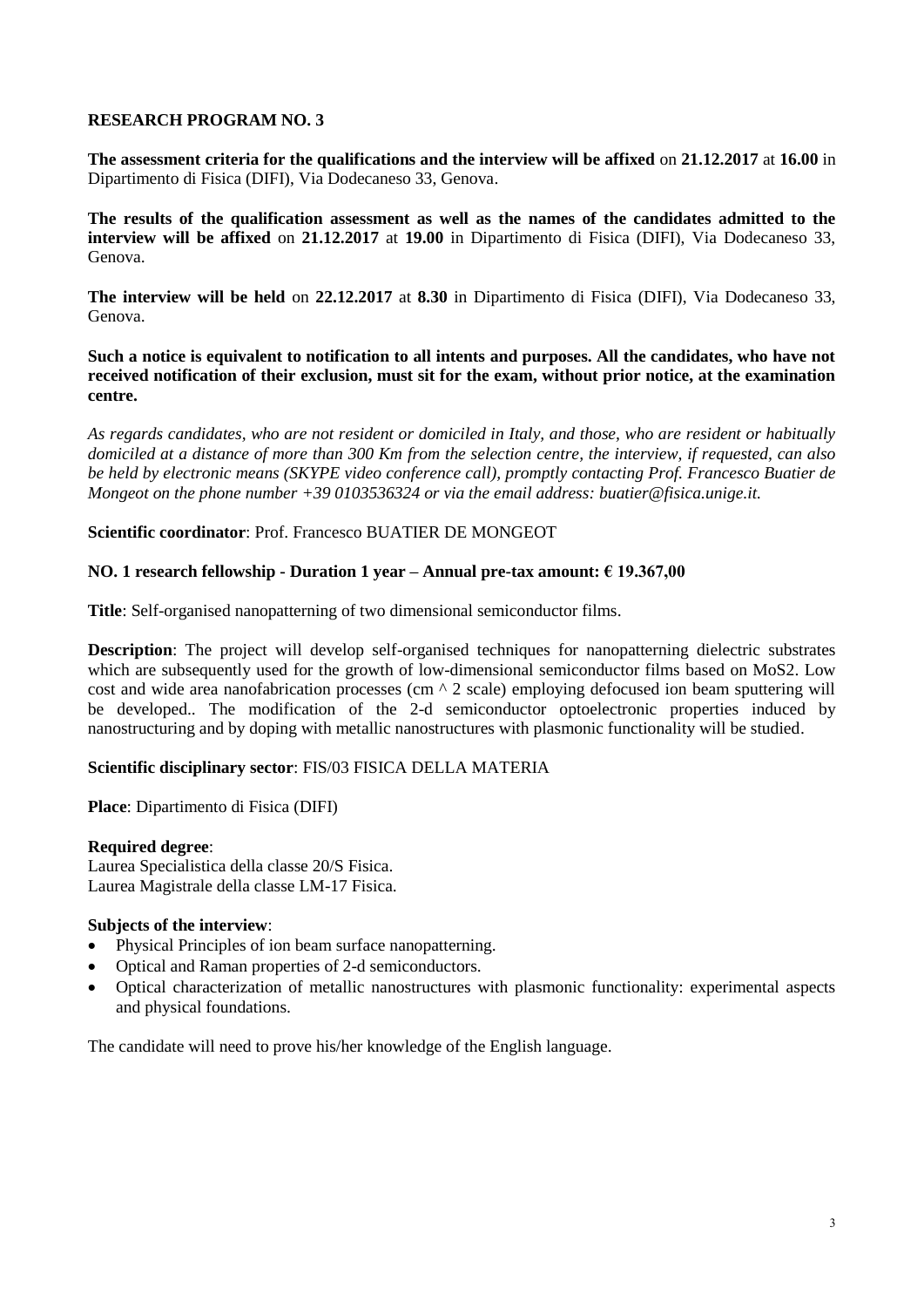**The assessment criteria for the qualifications and the interview will be affixed** on **21.12.2017** at **16.00** in Dipartimento di Fisica (DIFI), Via Dodecaneso 33, Genova.

**The results of the qualification assessment as well as the names of the candidates admitted to the interview will be affixed** on **21.12.2017** at **19.00** in Dipartimento di Fisica (DIFI), Via Dodecaneso 33, Genova.

**The interview will be held** on **22.12.2017** at **8.30** in Dipartimento di Fisica (DIFI), Via Dodecaneso 33, Genova.

**Such a notice is equivalent to notification to all intents and purposes. All the candidates, who have not received notification of their exclusion, must sit for the exam, without prior notice, at the examination centre.**

*As regards candidates, who are not resident or domiciled in Italy, and those, who are resident or habitually domiciled at a distance of more than 300 Km from the selection centre, the interview, if requested, can also be held by electronic means (SKYPE video conference call), promptly contacting Prof. Francesco Buatier de Mongeot on the phone number +39 0103536324 or via the email address: buatier@fisica.unige.it.*

# **Scientific coordinator**: Prof. Francesco BUATIER DE MONGEOT

# **NO. 1 research fellowship - Duration 1 year – Annual pre-tax amount: € 19.367,00**

**Title**: Self-organised nanopatterning of two dimensional semiconductor films.

**Description**: The project will develop self-organised techniques for nanopatterning dielectric substrates which are subsequently used for the growth of low-dimensional semiconductor films based on MoS2. Low cost and wide area nanofabrication processes (cm  $\wedge$  2 scale) employing defocused ion beam sputtering will be developed.. The modification of the 2-d semiconductor optoelectronic properties induced by nanostructuring and by doping with metallic nanostructures with plasmonic functionality will be studied.

# **Scientific disciplinary sector**: FIS/03 FISICA DELLA MATERIA

**Place**: Dipartimento di Fisica (DIFI)

# **Required degree**:

Laurea Specialistica della classe 20/S Fisica. Laurea Magistrale della classe LM-17 Fisica.

# **Subjects of the interview**:

- Physical Principles of ion beam surface nanopatterning.
- Optical and Raman properties of 2-d semiconductors.
- Optical characterization of metallic nanostructures with plasmonic functionality: experimental aspects and physical foundations.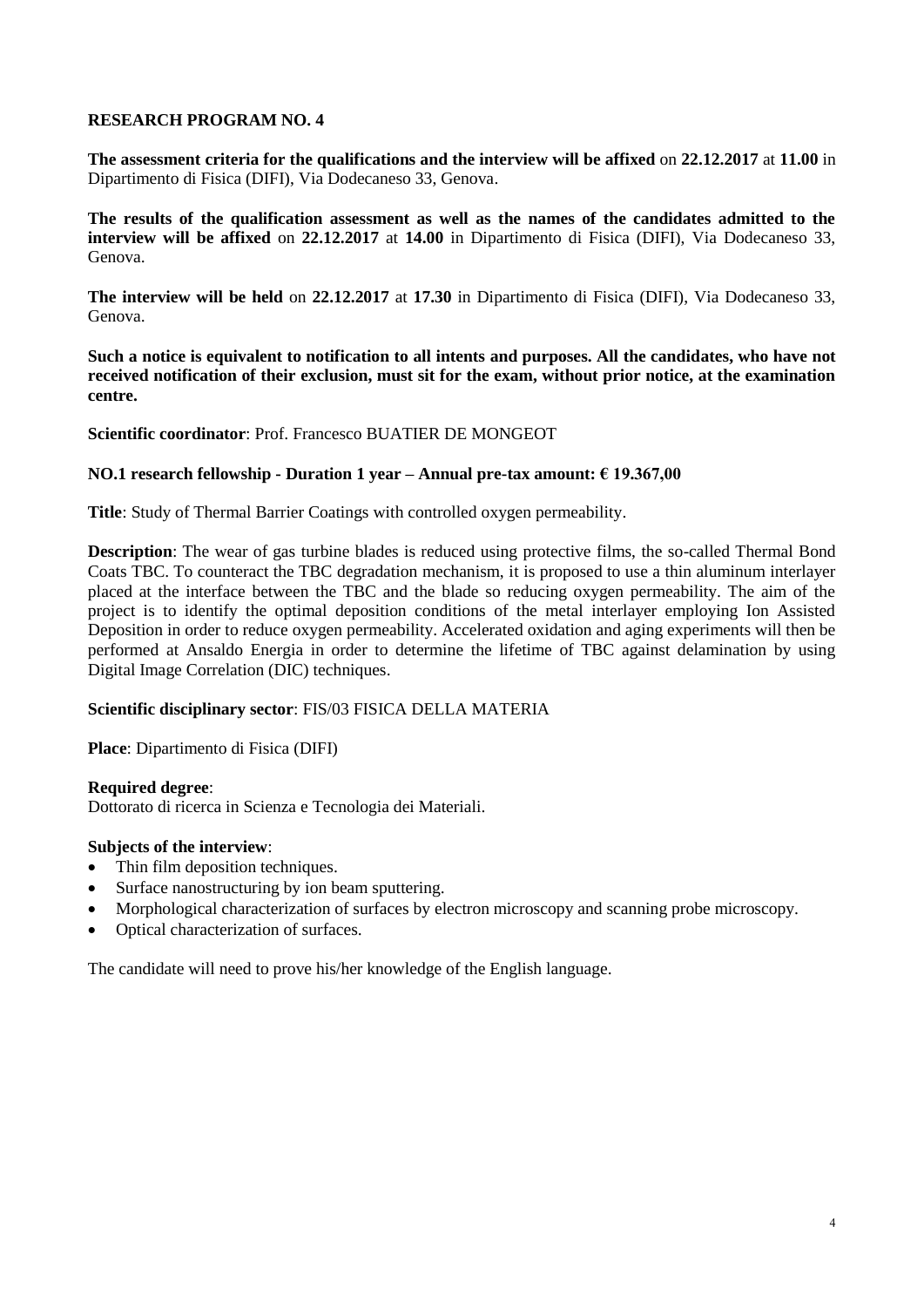**The assessment criteria for the qualifications and the interview will be affixed** on **22.12.2017** at **11.00** in Dipartimento di Fisica (DIFI), Via Dodecaneso 33, Genova.

**The results of the qualification assessment as well as the names of the candidates admitted to the interview will be affixed** on **22.12.2017** at **14.00** in Dipartimento di Fisica (DIFI), Via Dodecaneso 33, Genova.

**The interview will be held** on **22.12.2017** at **17.30** in Dipartimento di Fisica (DIFI), Via Dodecaneso 33, Genova.

**Such a notice is equivalent to notification to all intents and purposes. All the candidates, who have not received notification of their exclusion, must sit for the exam, without prior notice, at the examination centre.**

**Scientific coordinator**: Prof. Francesco BUATIER DE MONGEOT

# **NO.1 research fellowship - Duration 1 year – Annual pre-tax amount: € 19.367,00**

**Title**: Study of Thermal Barrier Coatings with controlled oxygen permeability.

**Description**: The wear of gas turbine blades is reduced using protective films, the so-called Thermal Bond Coats TBC. To counteract the TBC degradation mechanism, it is proposed to use a thin aluminum interlayer placed at the interface between the TBC and the blade so reducing oxygen permeability. The aim of the project is to identify the optimal deposition conditions of the metal interlayer employing Ion Assisted Deposition in order to reduce oxygen permeability. Accelerated oxidation and aging experiments will then be performed at Ansaldo Energia in order to determine the lifetime of TBC against delamination by using Digital Image Correlation (DIC) techniques.

# **Scientific disciplinary sector**: FIS/03 FISICA DELLA MATERIA

**Place**: Dipartimento di Fisica (DIFI)

# **Required degree**:

Dottorato di ricerca in Scienza e Tecnologia dei Materiali.

# **Subjects of the interview**:

- Thin film deposition techniques.
- Surface nanostructuring by ion beam sputtering.
- Morphological characterization of surfaces by electron microscopy and scanning probe microscopy.
- Optical characterization of surfaces.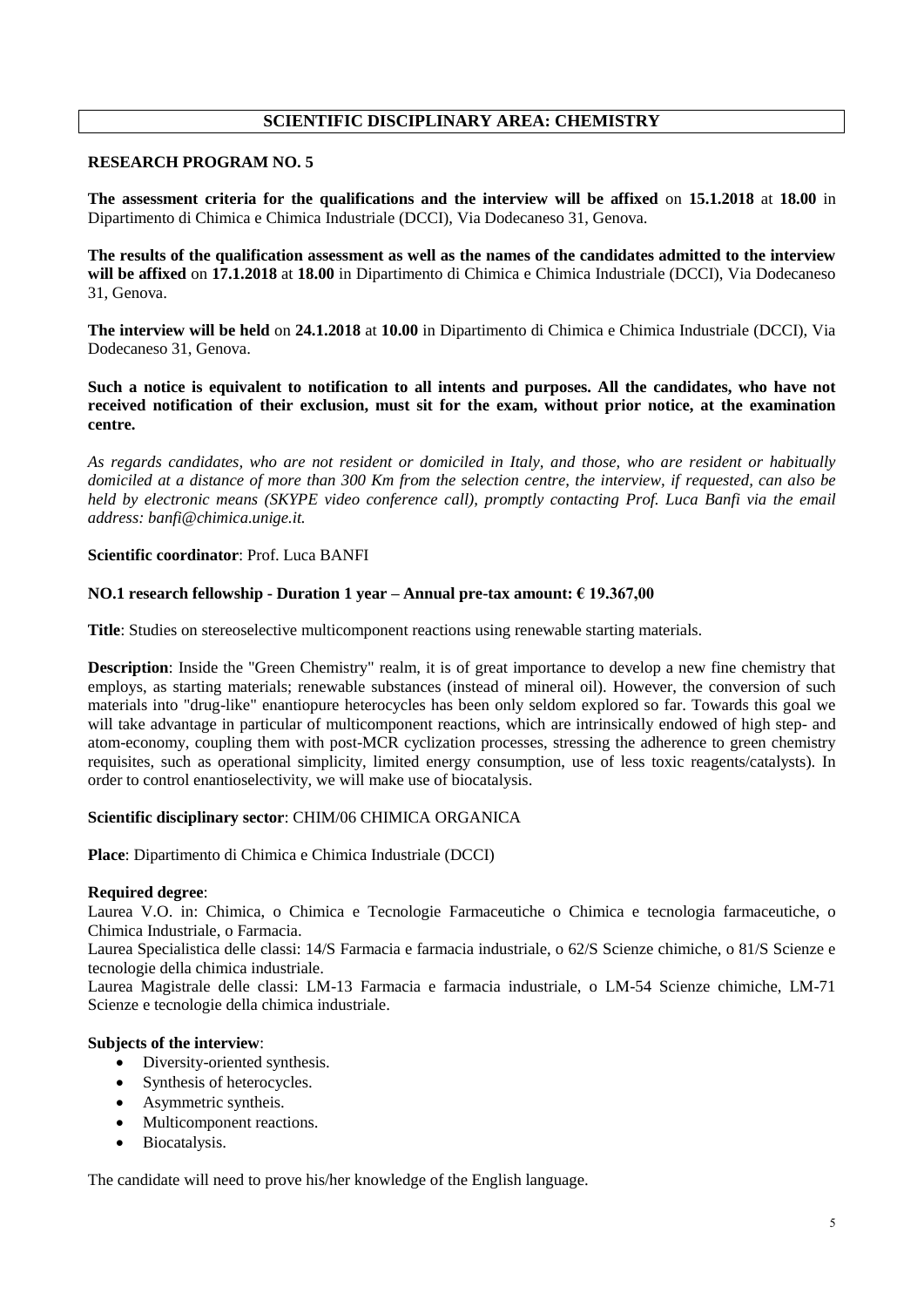# **SCIENTIFIC DISCIPLINARY AREA: CHEMISTRY**

# **RESEARCH PROGRAM NO. 5**

**The assessment criteria for the qualifications and the interview will be affixed** on **15.1.2018** at **18.00** in Dipartimento di Chimica e Chimica Industriale (DCCI), Via Dodecaneso 31, Genova.

**The results of the qualification assessment as well as the names of the candidates admitted to the interview will be affixed** on **17.1.2018** at **18.00** in Dipartimento di Chimica e Chimica Industriale (DCCI), Via Dodecaneso 31, Genova.

**The interview will be held** on **24.1.2018** at **10.00** in Dipartimento di Chimica e Chimica Industriale (DCCI), Via Dodecaneso 31, Genova.

**Such a notice is equivalent to notification to all intents and purposes. All the candidates, who have not received notification of their exclusion, must sit for the exam, without prior notice, at the examination centre.**

*As regards candidates, who are not resident or domiciled in Italy, and those, who are resident or habitually domiciled at a distance of more than 300 Km from the selection centre, the interview, if requested, can also be held by electronic means (SKYPE video conference call), promptly contacting Prof. Luca Banfi via the email address: banfi@chimica.unige.it.*

# **Scientific coordinator**: Prof. Luca BANFI

# **NO.1 research fellowship - Duration 1 year – Annual pre-tax amount: € 19.367,00**

**Title**: Studies on stereoselective multicomponent reactions using renewable starting materials.

**Description**: Inside the "Green Chemistry" realm, it is of great importance to develop a new fine chemistry that employs, as starting materials; renewable substances (instead of mineral oil). However, the conversion of such materials into "drug-like" enantiopure heterocycles has been only seldom explored so far. Towards this goal we will take advantage in particular of multicomponent reactions, which are intrinsically endowed of high step- and atom-economy, coupling them with post-MCR cyclization processes, stressing the adherence to green chemistry requisites, such as operational simplicity, limited energy consumption, use of less toxic reagents/catalysts). In order to control enantioselectivity, we will make use of biocatalysis.

#### **Scientific disciplinary sector**: CHIM/06 CHIMICA ORGANICA

**Place**: Dipartimento di Chimica e Chimica Industriale (DCCI)

#### **Required degree**:

Laurea V.O. in: Chimica, o Chimica e Tecnologie Farmaceutiche o Chimica e tecnologia farmaceutiche, o Chimica Industriale, o Farmacia.

Laurea Specialistica delle classi: 14/S Farmacia e farmacia industriale, o 62/S Scienze chimiche, o 81/S Scienze e tecnologie della chimica industriale.

Laurea Magistrale delle classi: LM-13 Farmacia e farmacia industriale, o LM-54 Scienze chimiche, LM-71 Scienze e tecnologie della chimica industriale.

#### **Subjects of the interview**:

- Diversity-oriented synthesis.
- Synthesis of heterocycles.
- Asymmetric syntheis.
- Multicomponent reactions.
- Biocatalysis.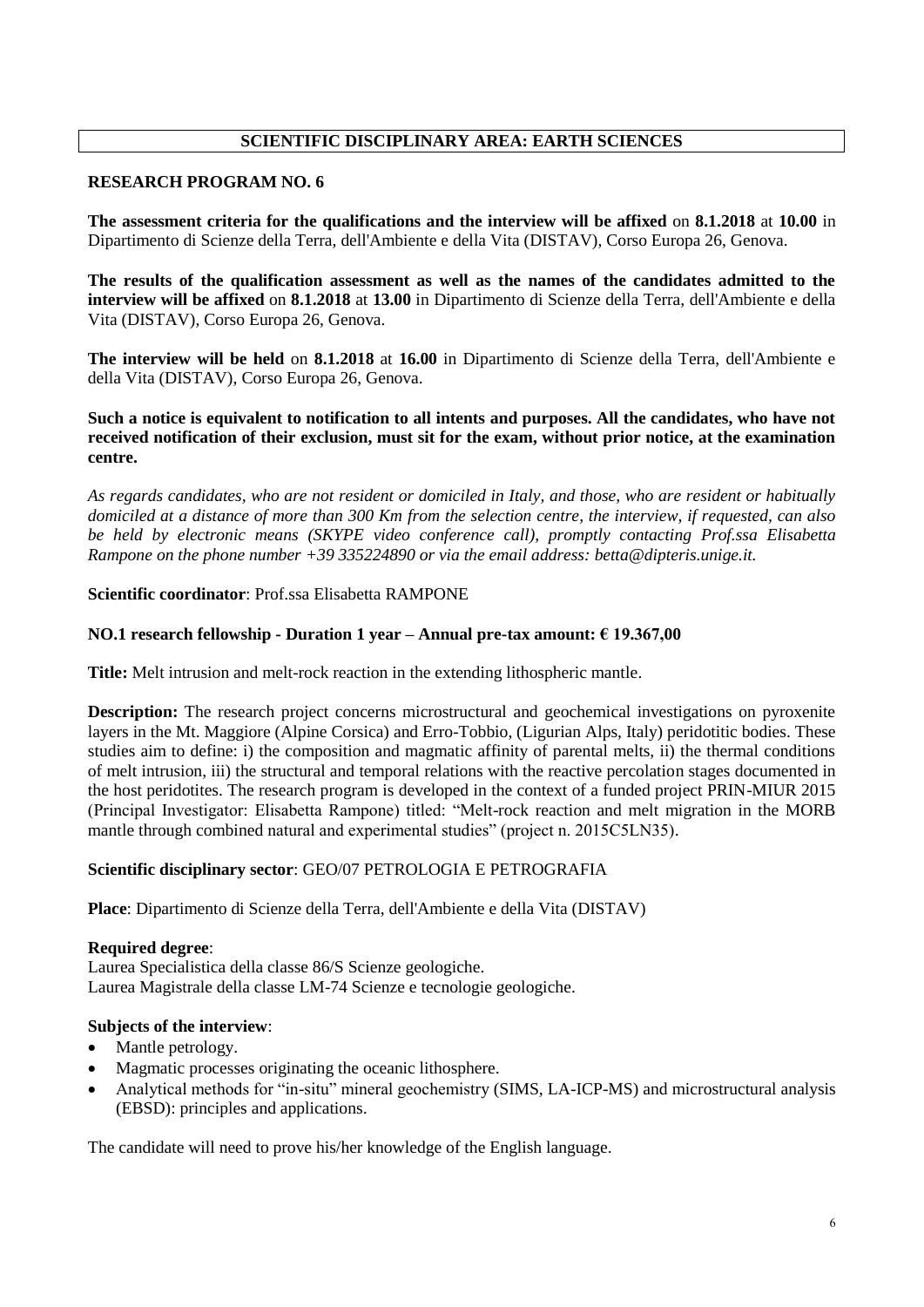# **SCIENTIFIC DISCIPLINARY AREA: EARTH SCIENCES**

# **RESEARCH PROGRAM NO. 6**

**The assessment criteria for the qualifications and the interview will be affixed** on **8.1.2018** at **10.00** in Dipartimento di Scienze della Terra, dell'Ambiente e della Vita (DISTAV), Corso Europa 26, Genova.

**The results of the qualification assessment as well as the names of the candidates admitted to the interview will be affixed** on **8.1.2018** at **13.00** in Dipartimento di Scienze della Terra, dell'Ambiente e della Vita (DISTAV), Corso Europa 26, Genova.

**The interview will be held** on **8.1.2018** at **16.00** in Dipartimento di Scienze della Terra, dell'Ambiente e della Vita (DISTAV), Corso Europa 26, Genova.

# **Such a notice is equivalent to notification to all intents and purposes. All the candidates, who have not received notification of their exclusion, must sit for the exam, without prior notice, at the examination centre.**

*As regards candidates, who are not resident or domiciled in Italy, and those, who are resident or habitually domiciled at a distance of more than 300 Km from the selection centre, the interview, if requested, can also be held by electronic means (SKYPE video conference call), promptly contacting Prof.ssa Elisabetta Rampone on the phone number +39 335224890 or via the email address: betta@dipteris.unige.it.*

# **Scientific coordinator**: Prof.ssa Elisabetta RAMPONE

# **NO.1 research fellowship - Duration 1 year – Annual pre-tax amount: € 19.367,00**

**Title:** Melt intrusion and melt-rock reaction in the extending lithospheric mantle.

**Description:** The research project concerns microstructural and geochemical investigations on pyroxenite layers in the Mt. Maggiore (Alpine Corsica) and Erro-Tobbio, (Ligurian Alps, Italy) peridotitic bodies. These studies aim to define: i) the composition and magmatic affinity of parental melts, ii) the thermal conditions of melt intrusion, iii) the structural and temporal relations with the reactive percolation stages documented in the host peridotites. The research program is developed in the context of a funded project PRIN-MIUR 2015 (Principal Investigator: Elisabetta Rampone) titled: "Melt-rock reaction and melt migration in the MORB mantle through combined natural and experimental studies" (project n. 2015C5LN35).

# **Scientific disciplinary sector**: GEO/07 PETROLOGIA E PETROGRAFIA

**Place**: Dipartimento di Scienze della Terra, dell'Ambiente e della Vita (DISTAV)

# **Required degree**:

Laurea Specialistica della classe 86/S Scienze geologiche. Laurea Magistrale della classe LM-74 Scienze e tecnologie geologiche.

# **Subjects of the interview**:

- Mantle petrology.
- Magmatic processes originating the oceanic lithosphere.
- Analytical methods for "in-situ" mineral geochemistry (SIMS, LA-ICP-MS) and microstructural analysis (EBSD): principles and applications.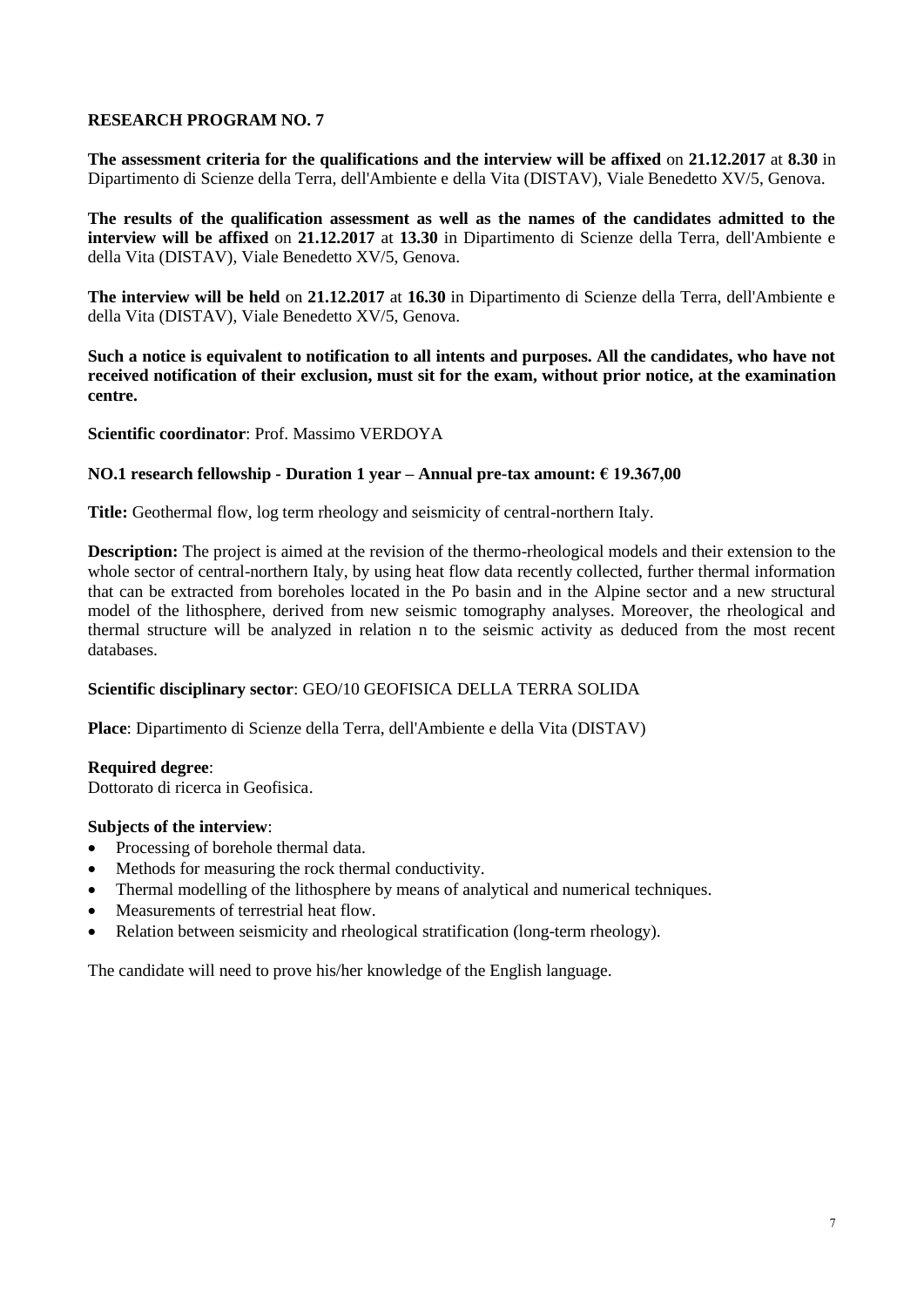**The assessment criteria for the qualifications and the interview will be affixed** on **21.12.2017** at **8.30** in Dipartimento di Scienze della Terra, dell'Ambiente e della Vita (DISTAV), Viale Benedetto XV/5, Genova.

**The results of the qualification assessment as well as the names of the candidates admitted to the interview will be affixed** on **21.12.2017** at **13.30** in Dipartimento di Scienze della Terra, dell'Ambiente e della Vita (DISTAV), Viale Benedetto XV/5, Genova.

**The interview will be held** on **21.12.2017** at **16.30** in Dipartimento di Scienze della Terra, dell'Ambiente e della Vita (DISTAV), Viale Benedetto XV/5, Genova.

**Such a notice is equivalent to notification to all intents and purposes. All the candidates, who have not received notification of their exclusion, must sit for the exam, without prior notice, at the examination centre.**

**Scientific coordinator**: Prof. Massimo VERDOYA

# **NO.1 research fellowship - Duration 1 year – Annual pre-tax amount: € 19.367,00**

**Title:** Geothermal flow, log term rheology and seismicity of central-northern Italy.

**Description:** The project is aimed at the revision of the thermo-rheological models and their extension to the whole sector of central-northern Italy, by using heat flow data recently collected, further thermal information that can be extracted from boreholes located in the Po basin and in the Alpine sector and a new structural model of the lithosphere, derived from new seismic tomography analyses. Moreover, the rheological and thermal structure will be analyzed in relation n to the seismic activity as deduced from the most recent databases.

# **Scientific disciplinary sector**: GEO/10 GEOFISICA DELLA TERRA SOLIDA

**Place**: Dipartimento di Scienze della Terra, dell'Ambiente e della Vita (DISTAV)

#### **Required degree**:

Dottorato di ricerca in Geofisica.

# **Subjects of the interview**:

- Processing of borehole thermal data.
- Methods for measuring the rock thermal conductivity.
- Thermal modelling of the lithosphere by means of analytical and numerical techniques.
- Measurements of terrestrial heat flow.
- Relation between seismicity and rheological stratification (long-term rheology).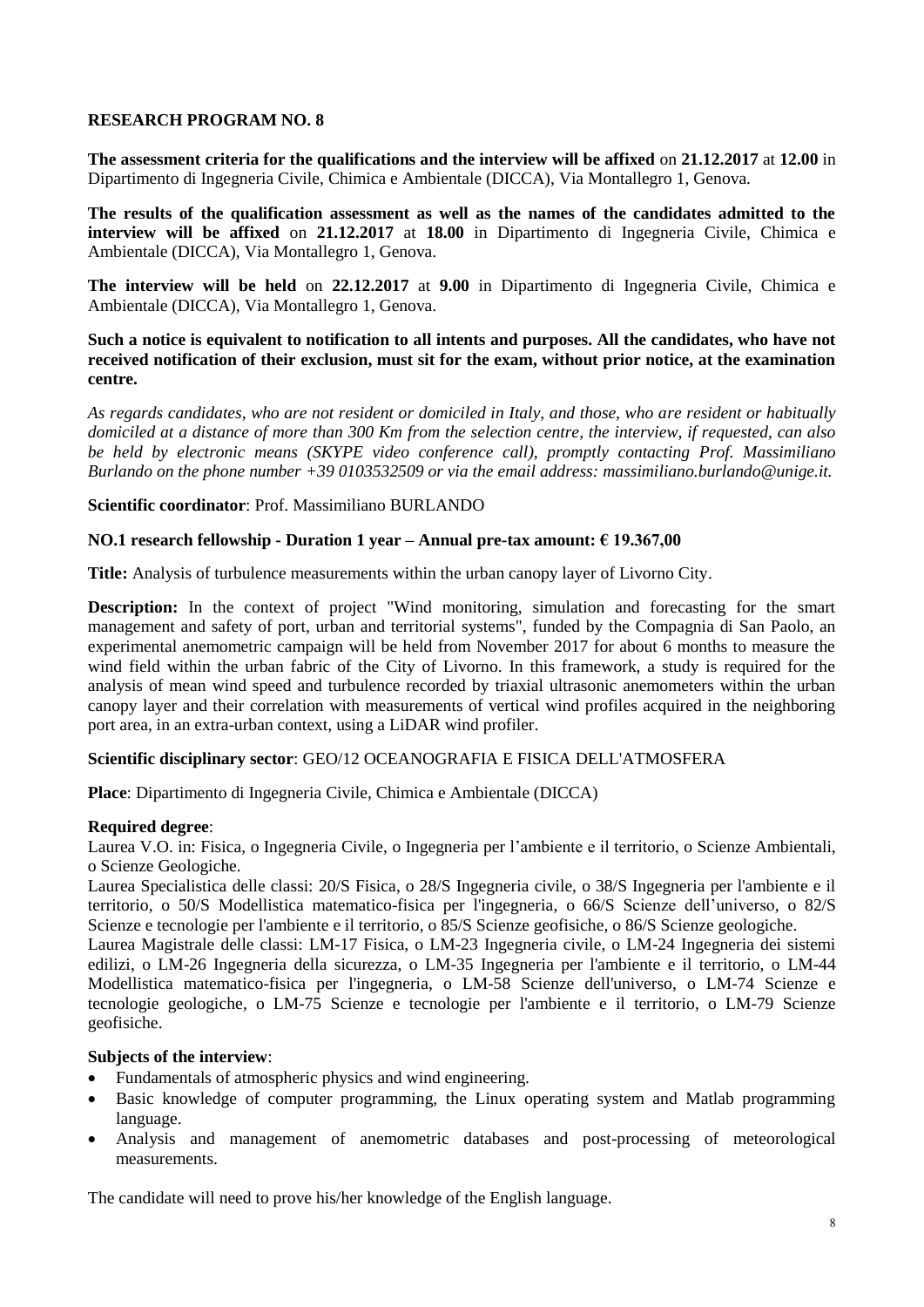**The assessment criteria for the qualifications and the interview will be affixed** on **21.12.2017** at **12.00** in Dipartimento di Ingegneria Civile, Chimica e Ambientale (DICCA), Via Montallegro 1, Genova.

**The results of the qualification assessment as well as the names of the candidates admitted to the interview will be affixed** on **21.12.2017** at **18.00** in Dipartimento di Ingegneria Civile, Chimica e Ambientale (DICCA), Via Montallegro 1, Genova.

**The interview will be held** on **22.12.2017** at **9.00** in Dipartimento di Ingegneria Civile, Chimica e Ambientale (DICCA), Via Montallegro 1, Genova.

**Such a notice is equivalent to notification to all intents and purposes. All the candidates, who have not received notification of their exclusion, must sit for the exam, without prior notice, at the examination centre.**

*As regards candidates, who are not resident or domiciled in Italy, and those, who are resident or habitually domiciled at a distance of more than 300 Km from the selection centre, the interview, if requested, can also be held by electronic means (SKYPE video conference call), promptly contacting Prof. Massimiliano Burlando on the phone number +39 0103532509 or via the email address: massimiliano.burlando@unige.it.*

# **Scientific coordinator**: Prof. Massimiliano BURLANDO

# **NO.1 research fellowship - Duration 1 year – Annual pre-tax amount: € 19.367,00**

**Title:** Analysis of turbulence measurements within the urban canopy layer of Livorno City.

**Description:** In the context of project "Wind monitoring, simulation and forecasting for the smart management and safety of port, urban and territorial systems", funded by the Compagnia di San Paolo, an experimental anemometric campaign will be held from November 2017 for about 6 months to measure the wind field within the urban fabric of the City of Livorno. In this framework, a study is required for the analysis of mean wind speed and turbulence recorded by triaxial ultrasonic anemometers within the urban canopy layer and their correlation with measurements of vertical wind profiles acquired in the neighboring port area, in an extra-urban context, using a LiDAR wind profiler.

# **Scientific disciplinary sector**: GEO/12 OCEANOGRAFIA E FISICA DELL'ATMOSFERA

**Place**: Dipartimento di Ingegneria Civile, Chimica e Ambientale (DICCA)

# **Required degree**:

Laurea V.O. in: Fisica, o Ingegneria Civile, o Ingegneria per l'ambiente e il territorio, o Scienze Ambientali, o Scienze Geologiche.

Laurea Specialistica delle classi: 20/S Fisica, o 28/S Ingegneria civile, o 38/S Ingegneria per l'ambiente e il territorio, o 50/S Modellistica matematico-fisica per l'ingegneria, o 66/S Scienze dell'universo, o 82/S Scienze e tecnologie per l'ambiente e il territorio, o 85/S Scienze geofisiche, o 86/S Scienze geologiche.

Laurea Magistrale delle classi: LM-17 Fisica, o LM-23 Ingegneria civile, o LM-24 Ingegneria dei sistemi edilizi, o LM-26 Ingegneria della sicurezza, o LM-35 Ingegneria per l'ambiente e il territorio, o LM-44 Modellistica matematico-fisica per l'ingegneria, o LM-58 Scienze dell'universo, o LM-74 Scienze e tecnologie geologiche, o LM-75 Scienze e tecnologie per l'ambiente e il territorio, o LM-79 Scienze geofisiche.

# **Subjects of the interview**:

- Fundamentals of atmospheric physics and wind engineering.
- Basic knowledge of computer programming, the Linux operating system and Matlab programming language.
- Analysis and management of anemometric databases and post-processing of meteorological measurements.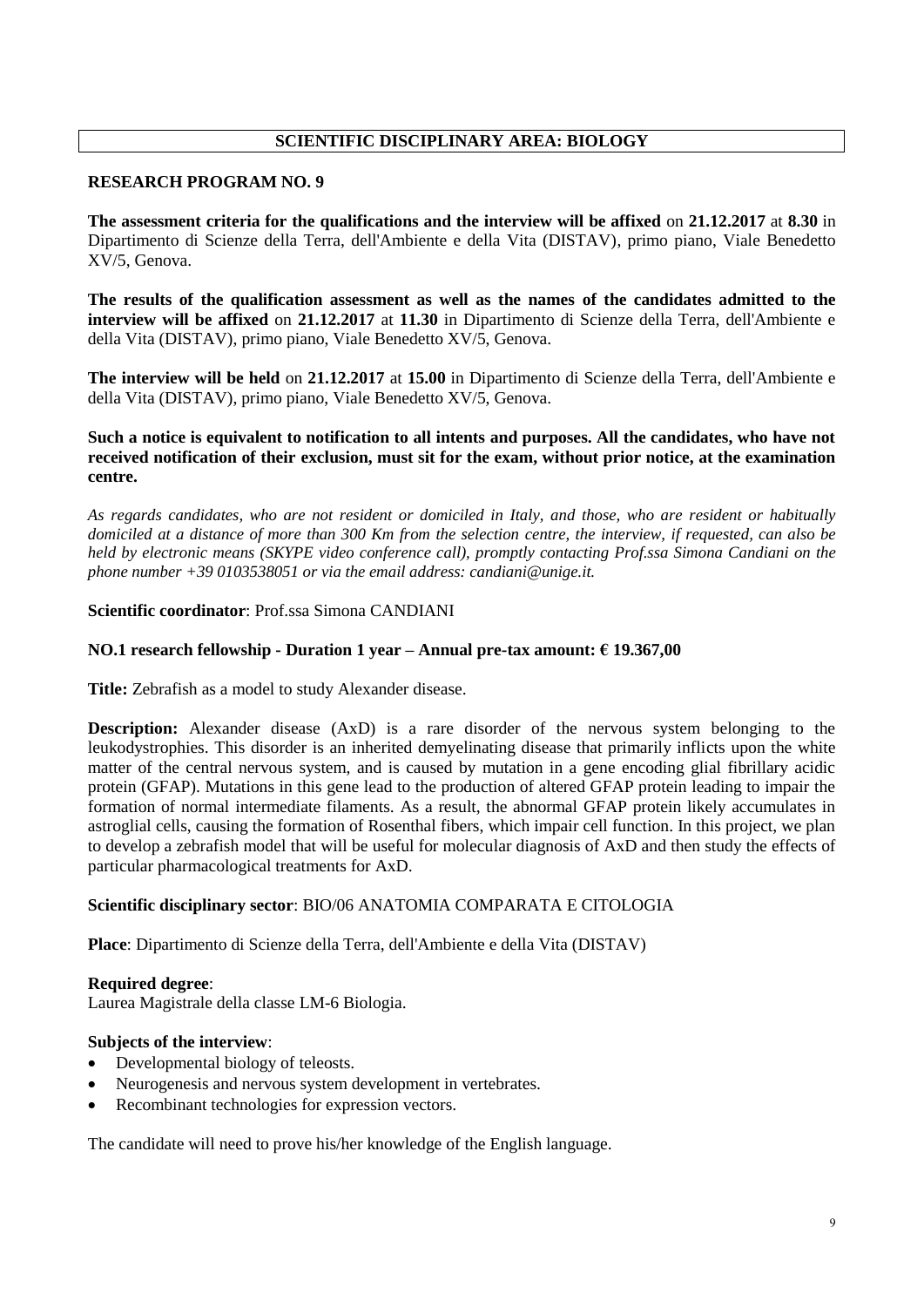# **SCIENTIFIC DISCIPLINARY AREA: BIOLOGY**

# **RESEARCH PROGRAM NO. 9**

**The assessment criteria for the qualifications and the interview will be affixed** on **21.12.2017** at **8.30** in Dipartimento di Scienze della Terra, dell'Ambiente e della Vita (DISTAV), primo piano, Viale Benedetto XV/5, Genova.

**The results of the qualification assessment as well as the names of the candidates admitted to the interview will be affixed** on **21.12.2017** at **11.30** in Dipartimento di Scienze della Terra, dell'Ambiente e della Vita (DISTAV), primo piano, Viale Benedetto XV/5, Genova.

**The interview will be held** on **21.12.2017** at **15.00** in Dipartimento di Scienze della Terra, dell'Ambiente e della Vita (DISTAV), primo piano, Viale Benedetto XV/5, Genova.

# **Such a notice is equivalent to notification to all intents and purposes. All the candidates, who have not received notification of their exclusion, must sit for the exam, without prior notice, at the examination centre.**

*As regards candidates, who are not resident or domiciled in Italy, and those, who are resident or habitually domiciled at a distance of more than 300 Km from the selection centre, the interview, if requested, can also be held by electronic means (SKYPE video conference call), promptly contacting Prof.ssa Simona Candiani on the phone number +39 0103538051 or via the email address: candiani@unige.it.*

# **Scientific coordinator**: Prof.ssa Simona CANDIANI

# **NO.1 research fellowship - Duration 1 year – Annual pre-tax amount: € 19.367,00**

**Title:** Zebrafish as a model to study Alexander disease.

**Description:** Alexander disease (AxD) is a rare disorder of the nervous system belonging to the leukodystrophies. This disorder is an inherited demyelinating disease that primarily inflicts upon the white matter of the central nervous system, and is caused by mutation in a gene encoding glial fibrillary acidic protein (GFAP). Mutations in this gene lead to the production of altered GFAP protein leading to impair the formation of normal intermediate filaments. As a result, the abnormal GFAP protein likely accumulates in astroglial cells, causing the formation of Rosenthal fibers, which impair cell function. In this project, we plan to develop a zebrafish model that will be useful for molecular diagnosis of AxD and then study the effects of particular pharmacological treatments for AxD.

# **Scientific disciplinary sector**: BIO/06 ANATOMIA COMPARATA E CITOLOGIA

**Place**: Dipartimento di Scienze della Terra, dell'Ambiente e della Vita (DISTAV)

# **Required degree**:

Laurea Magistrale della classe LM-6 Biologia.

# **Subjects of the interview**:

- Developmental biology of teleosts.
- Neurogenesis and nervous system development in vertebrates.
- Recombinant technologies for expression vectors.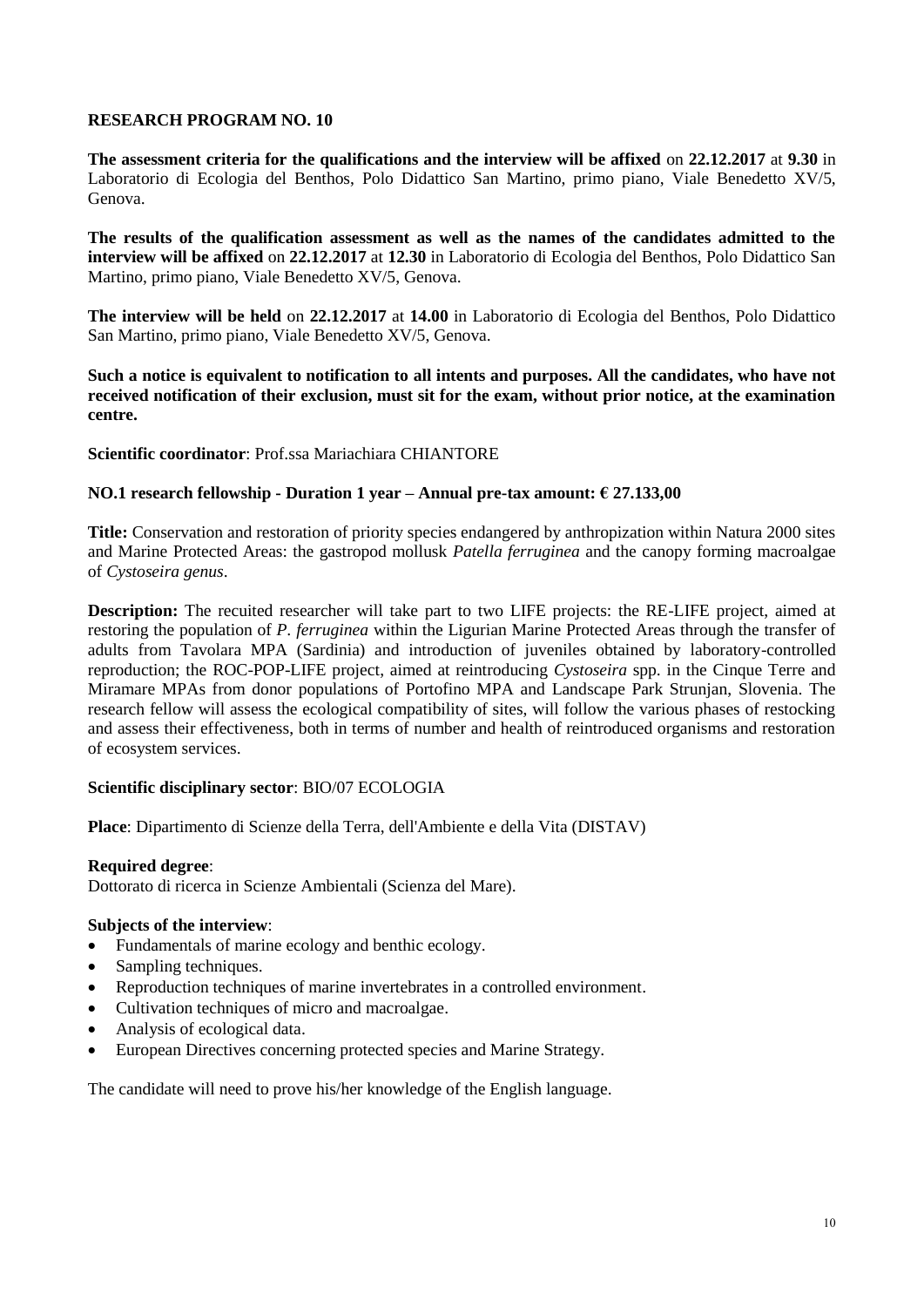**The assessment criteria for the qualifications and the interview will be affixed** on **22.12.2017** at **9.30** in Laboratorio di Ecologia del Benthos, Polo Didattico San Martino, primo piano, Viale Benedetto XV/5, Genova.

**The results of the qualification assessment as well as the names of the candidates admitted to the interview will be affixed** on **22.12.2017** at **12.30** in Laboratorio di Ecologia del Benthos, Polo Didattico San Martino, primo piano, Viale Benedetto XV/5, Genova.

**The interview will be held** on **22.12.2017** at **14.00** in Laboratorio di Ecologia del Benthos, Polo Didattico San Martino, primo piano, Viale Benedetto XV/5, Genova.

**Such a notice is equivalent to notification to all intents and purposes. All the candidates, who have not received notification of their exclusion, must sit for the exam, without prior notice, at the examination centre.**

**Scientific coordinator**: Prof.ssa Mariachiara CHIANTORE

# **NO.1 research fellowship - Duration 1 year – Annual pre-tax amount: € 27.133,00**

**Title:** Conservation and restoration of priority species endangered by anthropization within Natura 2000 sites and Marine Protected Areas: the gastropod mollusk *Patella ferruginea* and the canopy forming macroalgae of *Cystoseira genus*.

**Description:** The recuited researcher will take part to two LIFE projects: the RE-LIFE project, aimed at restoring the population of *P. ferruginea* within the Ligurian Marine Protected Areas through the transfer of adults from Tavolara MPA (Sardinia) and introduction of juveniles obtained by laboratory-controlled reproduction; the ROC-POP-LIFE project, aimed at reintroducing *Cystoseira* spp. in the Cinque Terre and Miramare MPAs from donor populations of Portofino MPA and Landscape Park Strunjan, Slovenia. The research fellow will assess the ecological compatibility of sites, will follow the various phases of restocking and assess their effectiveness, both in terms of number and health of reintroduced organisms and restoration of ecosystem services.

# **Scientific disciplinary sector**: BIO/07 ECOLOGIA

**Place**: Dipartimento di Scienze della Terra, dell'Ambiente e della Vita (DISTAV)

# **Required degree**:

Dottorato di ricerca in Scienze Ambientali (Scienza del Mare).

# **Subjects of the interview**:

- Fundamentals of marine ecology and benthic ecology.
- Sampling techniques.
- Reproduction techniques of marine invertebrates in a controlled environment.
- Cultivation techniques of micro and macroalgae.
- Analysis of ecological data.
- European Directives concerning protected species and Marine Strategy.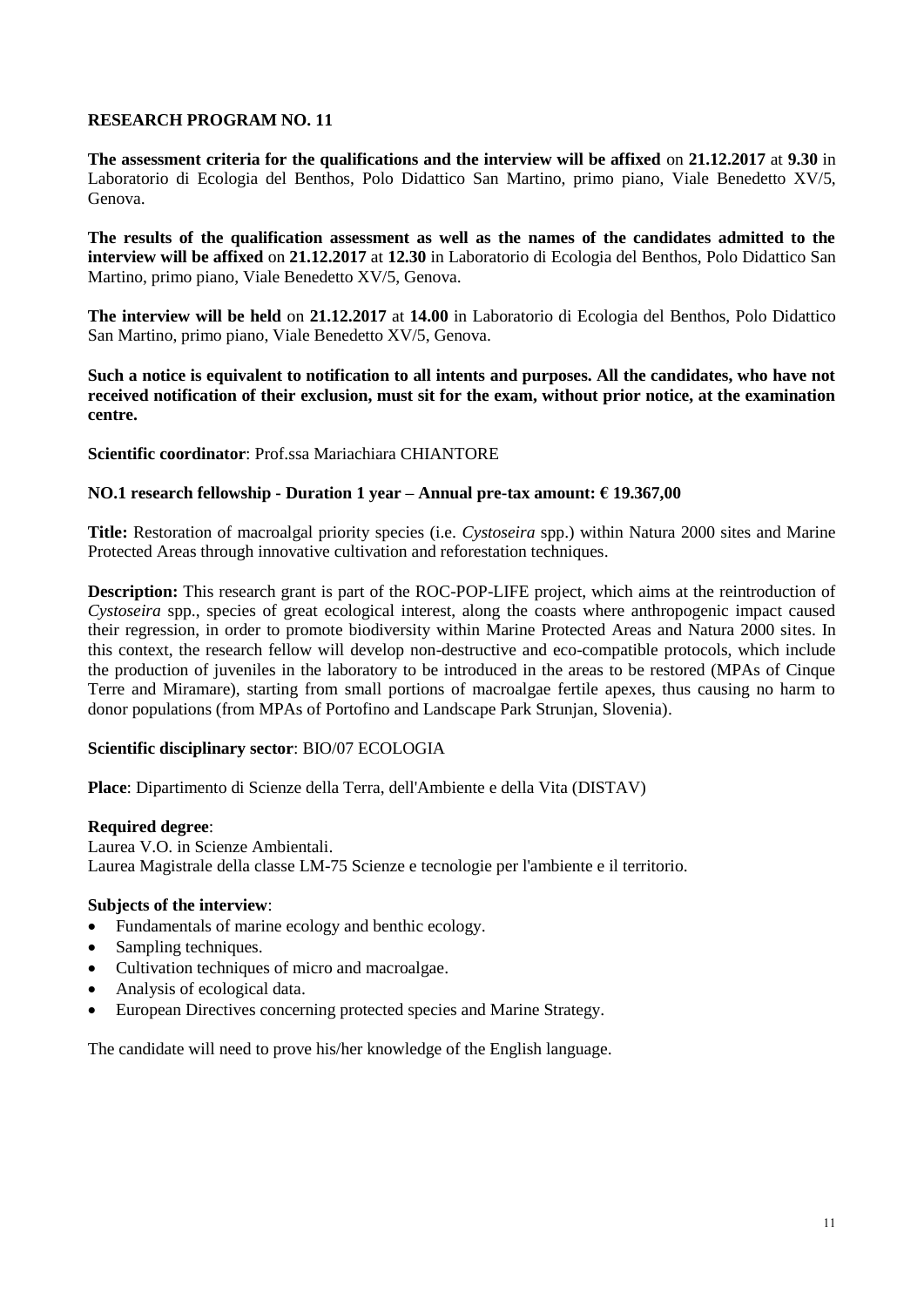**The assessment criteria for the qualifications and the interview will be affixed** on **21.12.2017** at **9.30** in Laboratorio di Ecologia del Benthos, Polo Didattico San Martino, primo piano, Viale Benedetto XV/5, Genova.

**The results of the qualification assessment as well as the names of the candidates admitted to the interview will be affixed** on **21.12.2017** at **12.30** in Laboratorio di Ecologia del Benthos, Polo Didattico San Martino, primo piano, Viale Benedetto XV/5, Genova.

**The interview will be held** on **21.12.2017** at **14.00** in Laboratorio di Ecologia del Benthos, Polo Didattico San Martino, primo piano, Viale Benedetto XV/5, Genova.

**Such a notice is equivalent to notification to all intents and purposes. All the candidates, who have not received notification of their exclusion, must sit for the exam, without prior notice, at the examination centre.**

**Scientific coordinator**: Prof.ssa Mariachiara CHIANTORE

# **NO.1 research fellowship - Duration 1 year – Annual pre-tax amount: € 19.367,00**

**Title:** Restoration of macroalgal priority species (i.e. *Cystoseira* spp.) within Natura 2000 sites and Marine Protected Areas through innovative cultivation and reforestation techniques.

**Description:** This research grant is part of the ROC-POP-LIFE project, which aims at the reintroduction of *Cystoseira* spp., species of great ecological interest, along the coasts where anthropogenic impact caused their regression, in order to promote biodiversity within Marine Protected Areas and Natura 2000 sites. In this context, the research fellow will develop non-destructive and eco-compatible protocols, which include the production of juveniles in the laboratory to be introduced in the areas to be restored (MPAs of Cinque Terre and Miramare), starting from small portions of macroalgae fertile apexes, thus causing no harm to donor populations (from MPAs of Portofino and Landscape Park Strunjan, Slovenia).

# **Scientific disciplinary sector**: BIO/07 ECOLOGIA

**Place**: Dipartimento di Scienze della Terra, dell'Ambiente e della Vita (DISTAV)

#### **Required degree**:

Laurea V.O. in Scienze Ambientali. Laurea Magistrale della classe LM-75 Scienze e tecnologie per l'ambiente e il territorio.

# **Subjects of the interview**:

- Fundamentals of marine ecology and benthic ecology.
- Sampling techniques.
- Cultivation techniques of micro and macroalgae.
- Analysis of ecological data.
- European Directives concerning protected species and Marine Strategy.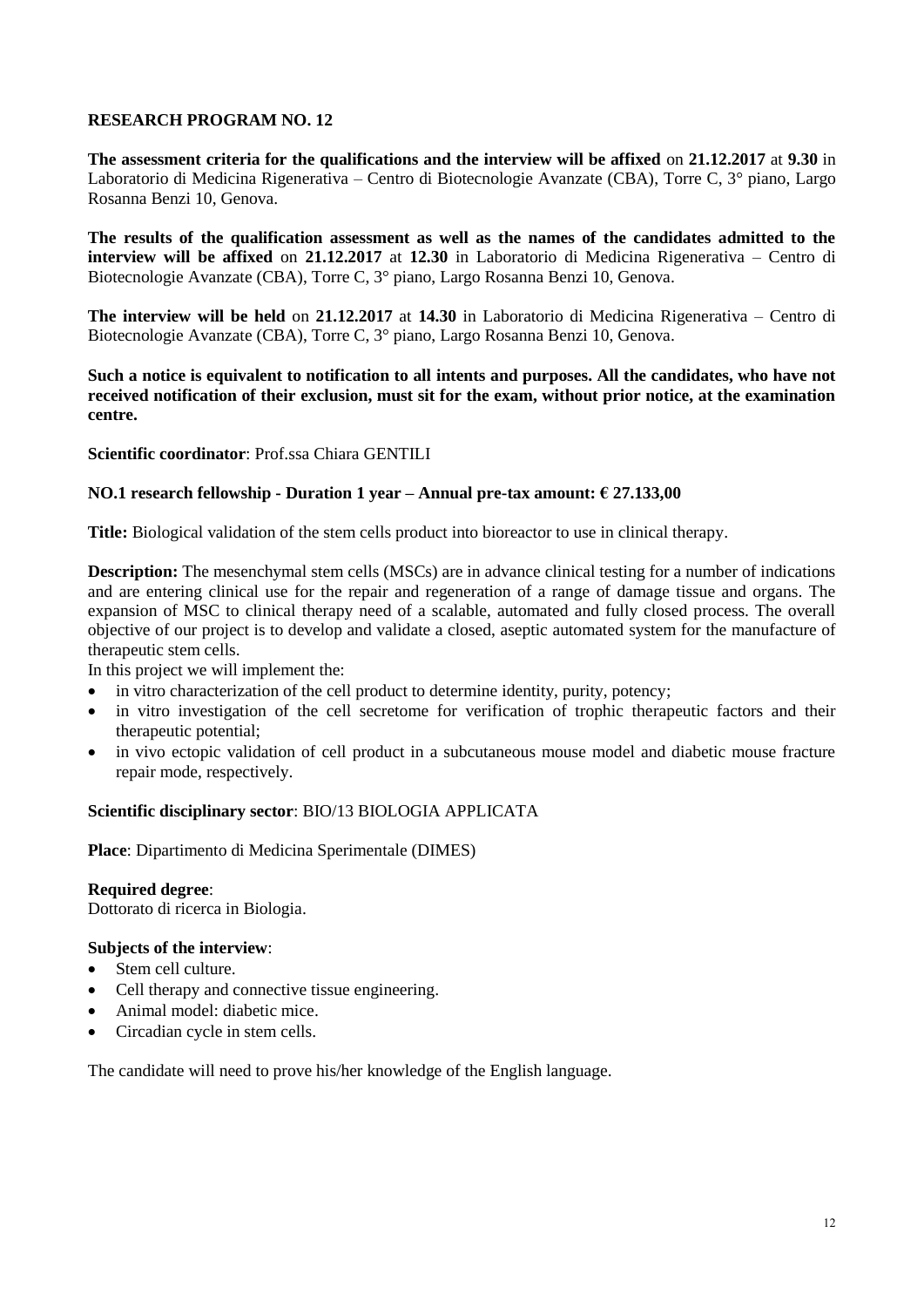**The assessment criteria for the qualifications and the interview will be affixed** on **21.12.2017** at **9.30** in Laboratorio di Medicina Rigenerativa – Centro di Biotecnologie Avanzate (CBA), Torre C, 3° piano, Largo Rosanna Benzi 10, Genova.

**The results of the qualification assessment as well as the names of the candidates admitted to the interview will be affixed** on **21.12.2017** at **12.30** in Laboratorio di Medicina Rigenerativa – Centro di Biotecnologie Avanzate (CBA), Torre C, 3° piano, Largo Rosanna Benzi 10, Genova.

**The interview will be held** on **21.12.2017** at **14.30** in Laboratorio di Medicina Rigenerativa – Centro di Biotecnologie Avanzate (CBA), Torre C, 3° piano, Largo Rosanna Benzi 10, Genova.

**Such a notice is equivalent to notification to all intents and purposes. All the candidates, who have not received notification of their exclusion, must sit for the exam, without prior notice, at the examination centre.**

#### **Scientific coordinator**: Prof.ssa Chiara GENTILI

#### **NO.1 research fellowship - Duration 1 year – Annual pre-tax amount: € 27.133,00**

**Title:** Biological validation of the stem cells product into bioreactor to use in clinical therapy.

**Description:** The mesenchymal stem cells (MSCs) are in advance clinical testing for a number of indications and are entering clinical use for the repair and regeneration of a range of damage tissue and organs. The expansion of MSC to clinical therapy need of a scalable, automated and fully closed process. The overall objective of our project is to develop and validate a closed, aseptic automated system for the manufacture of therapeutic stem cells.

In this project we will implement the:

- in vitro characterization of the cell product to determine identity, purity, potency;
- in vitro investigation of the cell secretome for verification of trophic therapeutic factors and their therapeutic potential;
- in vivo ectopic validation of cell product in a subcutaneous mouse model and diabetic mouse fracture repair mode, respectively.

#### **Scientific disciplinary sector**: BIO/13 BIOLOGIA APPLICATA

**Place**: Dipartimento di Medicina Sperimentale (DIMES)

**Required degree**:

Dottorato di ricerca in Biologia.

#### **Subjects of the interview**:

- Stem cell culture.
- Cell therapy and connective tissue engineering.
- Animal model: diabetic mice.
- Circadian cycle in stem cells.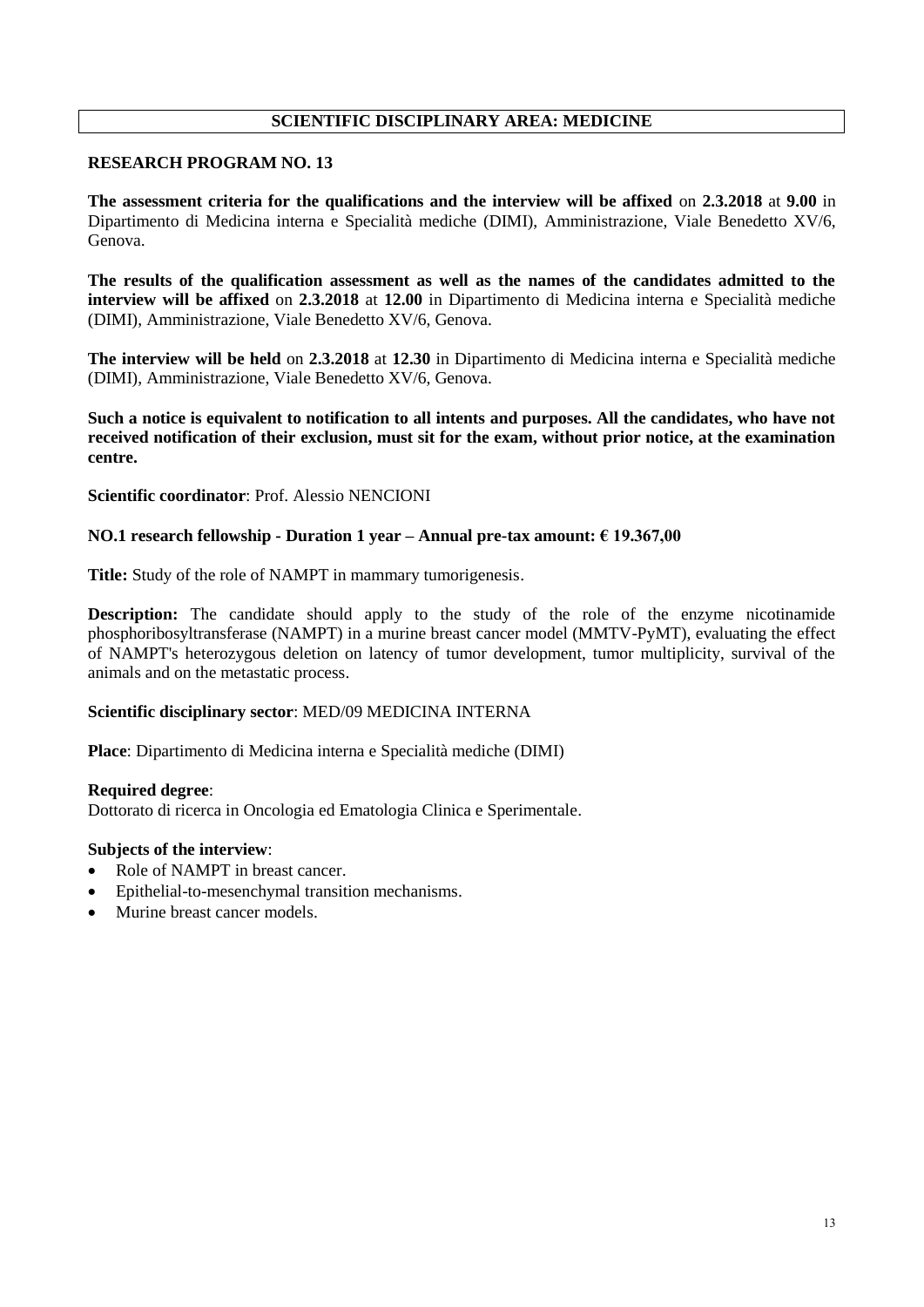# **SCIENTIFIC DISCIPLINARY AREA: MEDICINE**

#### **RESEARCH PROGRAM NO. 13**

**The assessment criteria for the qualifications and the interview will be affixed** on **2.3.2018** at **9.00** in Dipartimento di Medicina interna e Specialità mediche (DIMI), Amministrazione, Viale Benedetto XV/6, Genova.

**The results of the qualification assessment as well as the names of the candidates admitted to the interview will be affixed** on **2.3.2018** at **12.00** in Dipartimento di Medicina interna e Specialità mediche (DIMI), Amministrazione, Viale Benedetto XV/6, Genova.

**The interview will be held** on **2.3.2018** at **12.30** in Dipartimento di Medicina interna e Specialità mediche (DIMI), Amministrazione, Viale Benedetto XV/6, Genova.

**Such a notice is equivalent to notification to all intents and purposes. All the candidates, who have not received notification of their exclusion, must sit for the exam, without prior notice, at the examination centre.**

**Scientific coordinator**: Prof. Alessio NENCIONI

#### **NO.1 research fellowship - Duration 1 year – Annual pre-tax amount: € 19.367,00**

**Title:** Study of the role of NAMPT in mammary tumorigenesis.

**Description:** The candidate should apply to the study of the role of the enzyme nicotinamide phosphoribosyltransferase (NAMPT) in a murine breast cancer model (MMTV-PyMT), evaluating the effect of NAMPT's heterozygous deletion on latency of tumor development, tumor multiplicity, survival of the animals and on the metastatic process.

# **Scientific disciplinary sector**: MED/09 MEDICINA INTERNA

**Place**: Dipartimento di Medicina interna e Specialità mediche (DIMI)

#### **Required degree**:

Dottorato di ricerca in Oncologia ed Ematologia Clinica e Sperimentale.

- Role of NAMPT in breast cancer.
- Epithelial-to-mesenchymal transition mechanisms.
- Murine breast cancer models.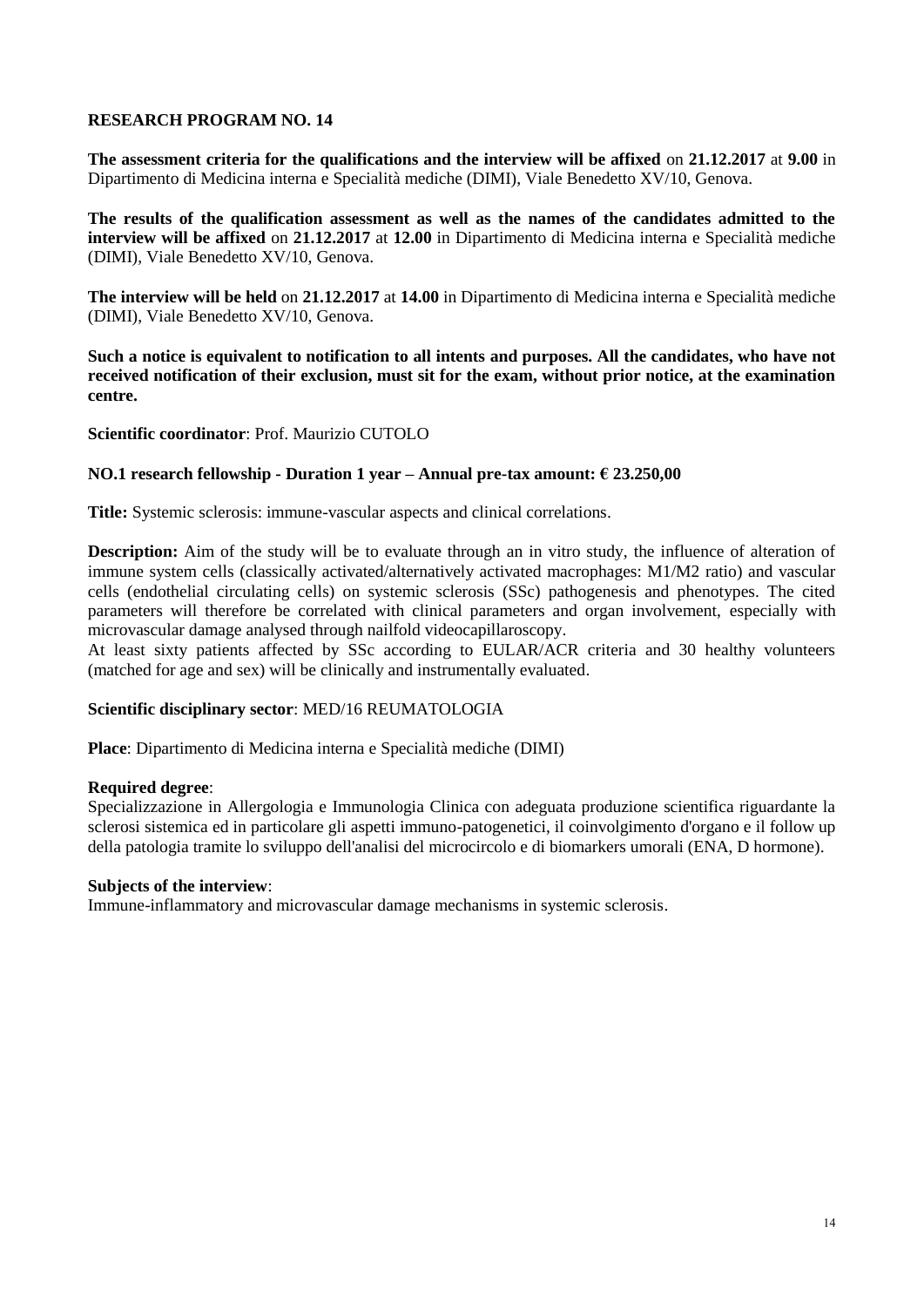**The assessment criteria for the qualifications and the interview will be affixed** on **21.12.2017** at **9.00** in Dipartimento di Medicina interna e Specialità mediche (DIMI), Viale Benedetto XV/10, Genova.

**The results of the qualification assessment as well as the names of the candidates admitted to the interview will be affixed** on **21.12.2017** at **12.00** in Dipartimento di Medicina interna e Specialità mediche (DIMI), Viale Benedetto XV/10, Genova.

**The interview will be held** on **21.12.2017** at **14.00** in Dipartimento di Medicina interna e Specialità mediche (DIMI), Viale Benedetto XV/10, Genova.

**Such a notice is equivalent to notification to all intents and purposes. All the candidates, who have not received notification of their exclusion, must sit for the exam, without prior notice, at the examination centre.**

**Scientific coordinator**: Prof. Maurizio CUTOLO

# **NO.1 research fellowship - Duration 1 year – Annual pre-tax amount: € 23.250,00**

**Title:** Systemic sclerosis: immune-vascular aspects and clinical correlations.

**Description:** Aim of the study will be to evaluate through an in vitro study, the influence of alteration of immune system cells (classically activated/alternatively activated macrophages: M1/M2 ratio) and vascular cells (endothelial circulating cells) on systemic sclerosis (SSc) pathogenesis and phenotypes. The cited parameters will therefore be correlated with clinical parameters and organ involvement, especially with microvascular damage analysed through nailfold videocapillaroscopy.

At least sixty patients affected by SSc according to EULAR/ACR criteria and 30 healthy volunteers (matched for age and sex) will be clinically and instrumentally evaluated.

# **Scientific disciplinary sector**: MED/16 REUMATOLOGIA

**Place**: Dipartimento di Medicina interna e Specialità mediche (DIMI)

# **Required degree**:

Specializzazione in Allergologia e Immunologia Clinica con adeguata produzione scientifica riguardante la sclerosi sistemica ed in particolare gli aspetti immuno-patogenetici, il coinvolgimento d'organo e il follow up della patologia tramite lo sviluppo dell'analisi del microcircolo e di biomarkers umorali (ENA, D hormone).

# **Subjects of the interview**:

Immune-inflammatory and microvascular damage mechanisms in systemic sclerosis.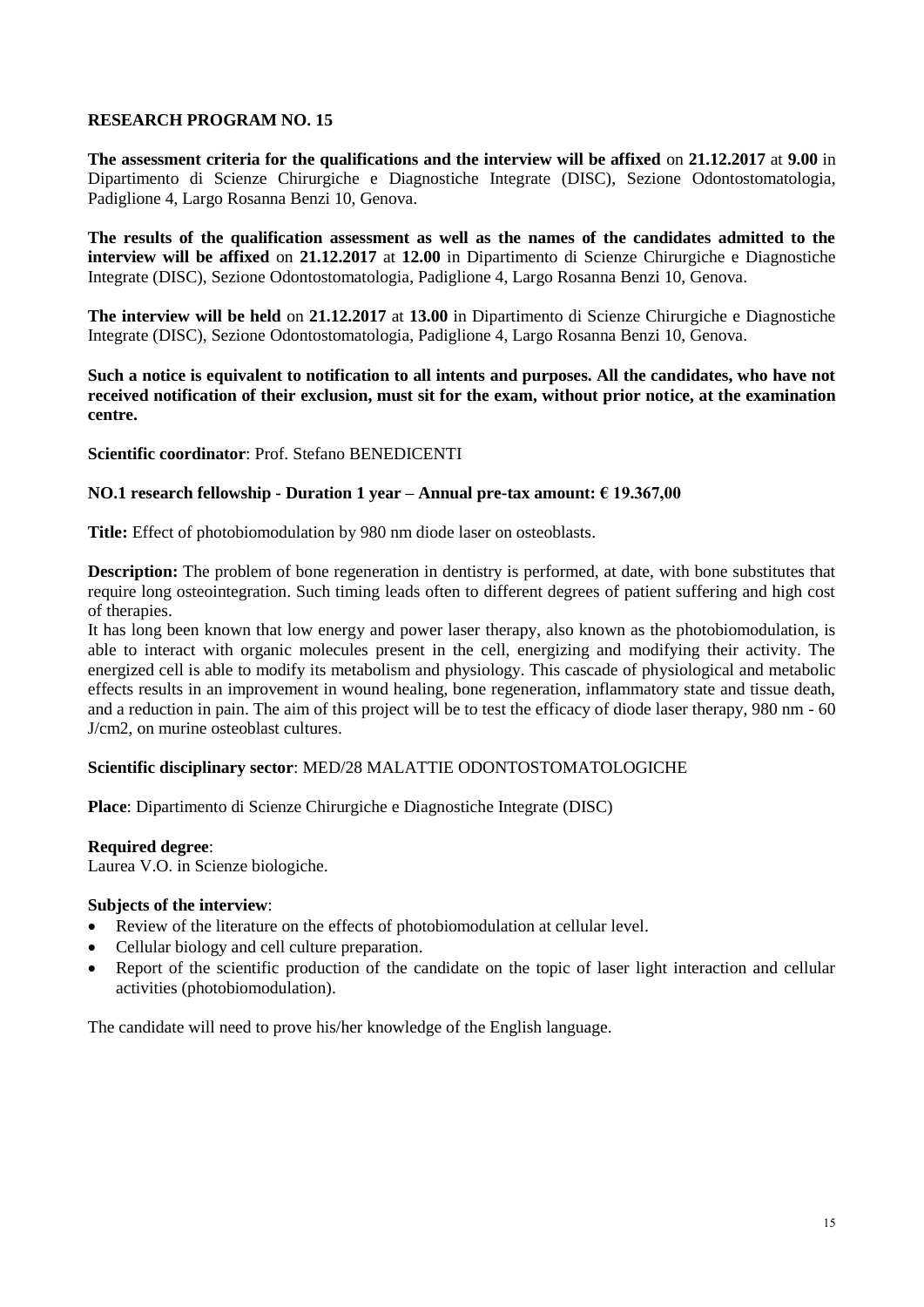**The assessment criteria for the qualifications and the interview will be affixed** on **21.12.2017** at **9.00** in Dipartimento di Scienze Chirurgiche e Diagnostiche Integrate (DISC), Sezione Odontostomatologia, Padiglione 4, Largo Rosanna Benzi 10, Genova.

**The results of the qualification assessment as well as the names of the candidates admitted to the interview will be affixed** on **21.12.2017** at **12.00** in Dipartimento di Scienze Chirurgiche e Diagnostiche Integrate (DISC), Sezione Odontostomatologia, Padiglione 4, Largo Rosanna Benzi 10, Genova.

**The interview will be held** on **21.12.2017** at **13.00** in Dipartimento di Scienze Chirurgiche e Diagnostiche Integrate (DISC), Sezione Odontostomatologia, Padiglione 4, Largo Rosanna Benzi 10, Genova.

**Such a notice is equivalent to notification to all intents and purposes. All the candidates, who have not received notification of their exclusion, must sit for the exam, without prior notice, at the examination centre.**

**Scientific coordinator**: Prof. Stefano BENEDICENTI

#### **NO.1 research fellowship - Duration 1 year – Annual pre-tax amount: € 19.367,00**

**Title:** Effect of photobiomodulation by 980 nm diode laser on osteoblasts.

**Description:** The problem of bone regeneration in dentistry is performed, at date, with bone substitutes that require long osteointegration. Such timing leads often to different degrees of patient suffering and high cost of therapies.

It has long been known that low energy and power laser therapy, also known as the photobiomodulation, is able to interact with organic molecules present in the cell, energizing and modifying their activity. The energized cell is able to modify its metabolism and physiology. This cascade of physiological and metabolic effects results in an improvement in wound healing, bone regeneration, inflammatory state and tissue death, and a reduction in pain. The aim of this project will be to test the efficacy of diode laser therapy, 980 nm - 60 J/cm2, on murine osteoblast cultures.

# **Scientific disciplinary sector**: MED/28 MALATTIE ODONTOSTOMATOLOGICHE

**Place**: Dipartimento di Scienze Chirurgiche e Diagnostiche Integrate (DISC)

#### **Required degree**:

Laurea V.O. in Scienze biologiche.

#### **Subjects of the interview**:

- Review of the literature on the effects of photobiomodulation at cellular level.
- Cellular biology and cell culture preparation.
- Report of the scientific production of the candidate on the topic of laser light interaction and cellular activities (photobiomodulation).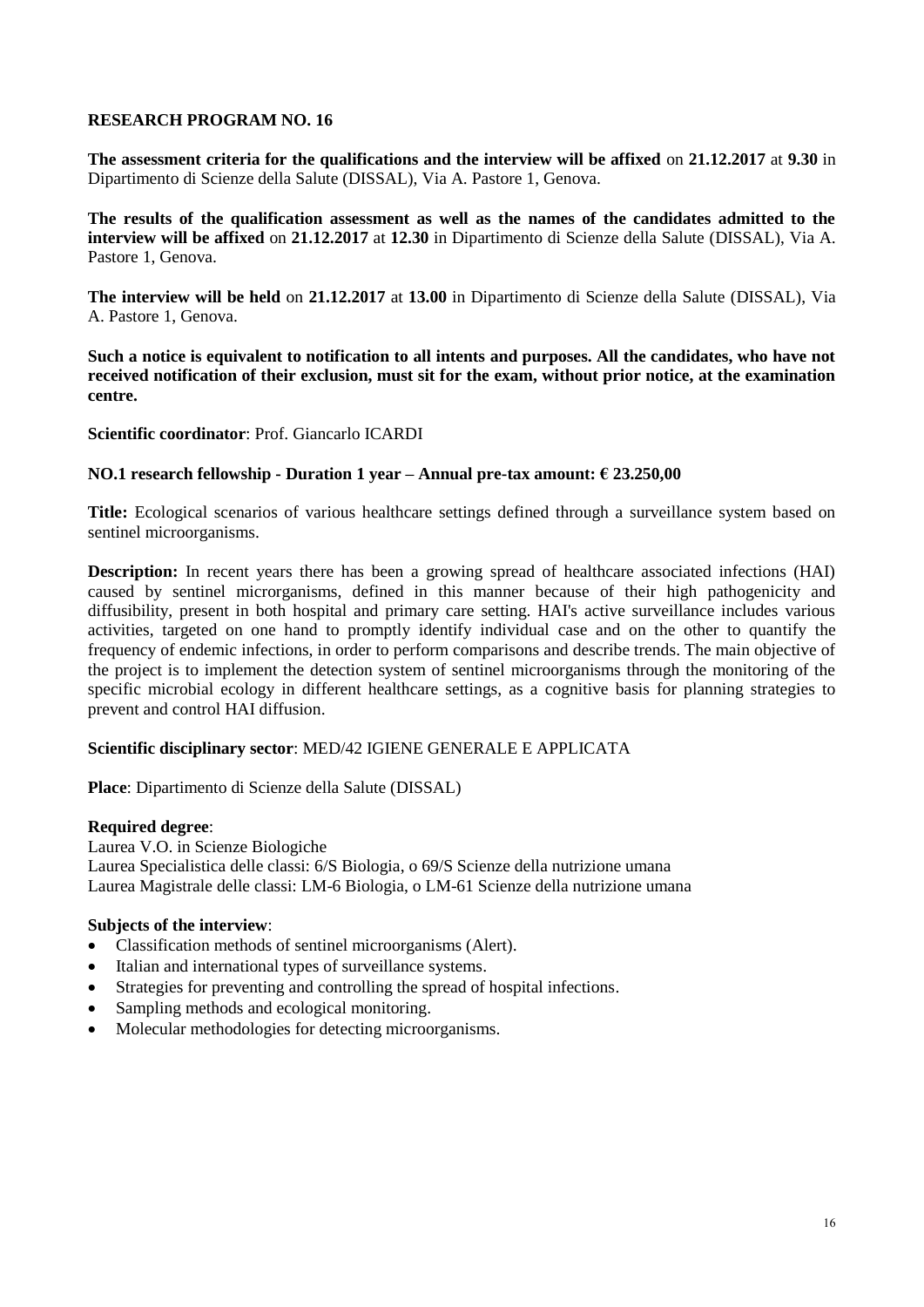**The assessment criteria for the qualifications and the interview will be affixed** on **21.12.2017** at **9.30** in Dipartimento di Scienze della Salute (DISSAL), Via A. Pastore 1, Genova.

**The results of the qualification assessment as well as the names of the candidates admitted to the interview will be affixed** on **21.12.2017** at **12.30** in Dipartimento di Scienze della Salute (DISSAL), Via A. Pastore 1, Genova.

**The interview will be held** on **21.12.2017** at **13.00** in Dipartimento di Scienze della Salute (DISSAL), Via A. Pastore 1, Genova.

**Such a notice is equivalent to notification to all intents and purposes. All the candidates, who have not received notification of their exclusion, must sit for the exam, without prior notice, at the examination centre.**

**Scientific coordinator**: Prof. Giancarlo ICARDI

# **NO.1 research fellowship - Duration 1 year – Annual pre-tax amount: € 23.250,00**

**Title:** Ecological scenarios of various healthcare settings defined through a surveillance system based on sentinel microorganisms.

**Description:** In recent years there has been a growing spread of healthcare associated infections (HAI) caused by sentinel microrganisms, defined in this manner because of their high pathogenicity and diffusibility, present in both hospital and primary care setting. HAI's active surveillance includes various activities, targeted on one hand to promptly identify individual case and on the other to quantify the frequency of endemic infections, in order to perform comparisons and describe trends. The main objective of the project is to implement the detection system of sentinel microorganisms through the monitoring of the specific microbial ecology in different healthcare settings, as a cognitive basis for planning strategies to prevent and control HAI diffusion.

# **Scientific disciplinary sector**: MED/42 IGIENE GENERALE E APPLICATA

**Place**: Dipartimento di Scienze della Salute (DISSAL)

# **Required degree**:

Laurea V.O. in Scienze Biologiche Laurea Specialistica delle classi: 6/S Biologia, o 69/S Scienze della nutrizione umana Laurea Magistrale delle classi: LM-6 Biologia, o LM-61 Scienze della nutrizione umana

- Classification methods of sentinel microorganisms (Alert).
- Italian and international types of surveillance systems.
- Strategies for preventing and controlling the spread of hospital infections.
- Sampling methods and ecological monitoring.
- Molecular methodologies for detecting microorganisms.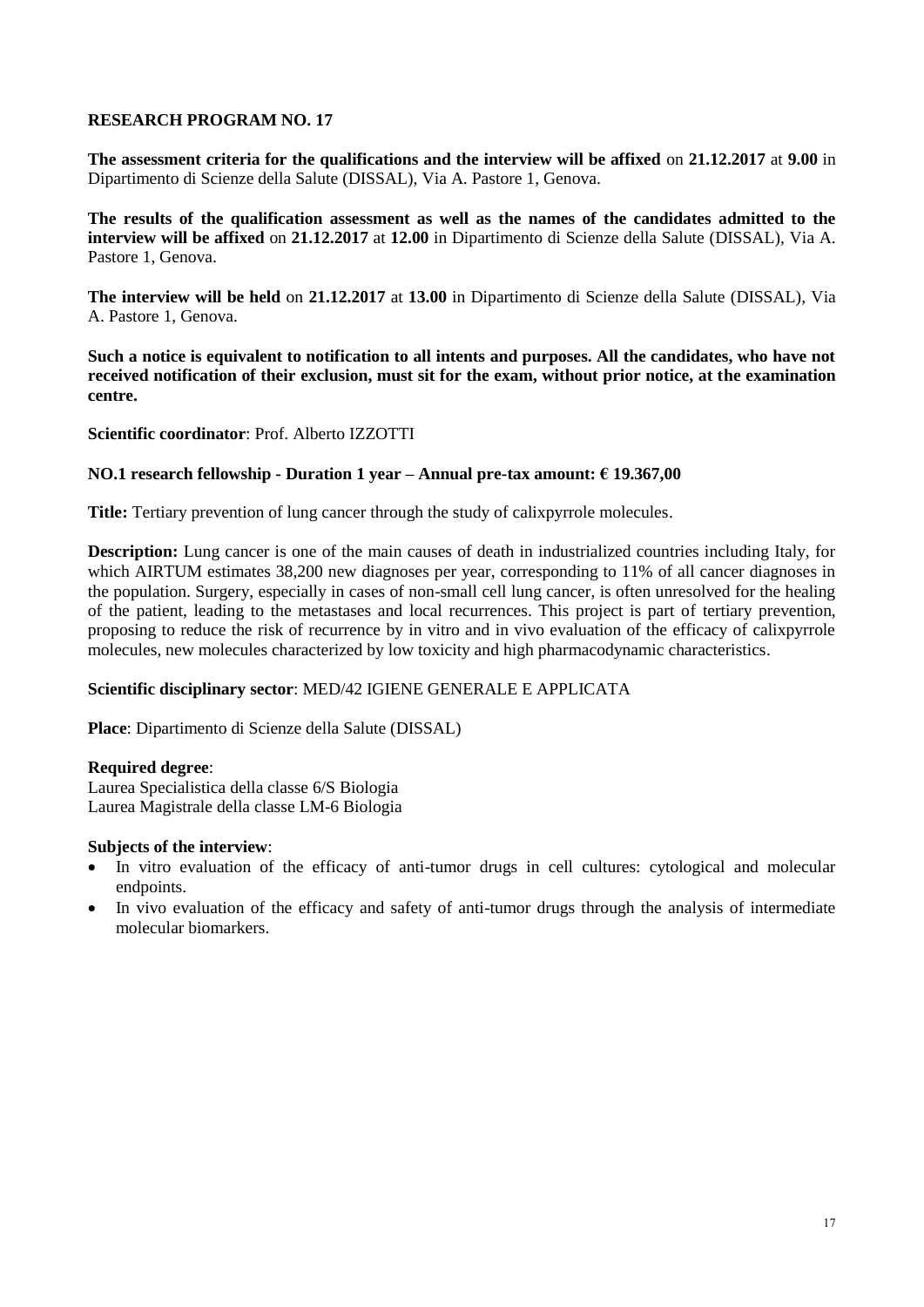**The assessment criteria for the qualifications and the interview will be affixed** on **21.12.2017** at **9.00** in Dipartimento di Scienze della Salute (DISSAL), Via A. Pastore 1, Genova.

**The results of the qualification assessment as well as the names of the candidates admitted to the interview will be affixed** on **21.12.2017** at **12.00** in Dipartimento di Scienze della Salute (DISSAL), Via A. Pastore 1, Genova.

**The interview will be held** on **21.12.2017** at **13.00** in Dipartimento di Scienze della Salute (DISSAL), Via A. Pastore 1, Genova.

**Such a notice is equivalent to notification to all intents and purposes. All the candidates, who have not received notification of their exclusion, must sit for the exam, without prior notice, at the examination centre.**

**Scientific coordinator**: Prof. Alberto IZZOTTI

# **NO.1 research fellowship - Duration 1 year – Annual pre-tax amount: € 19.367,00**

**Title:** Tertiary prevention of lung cancer through the study of calixpyrrole molecules.

**Description:** Lung cancer is one of the main causes of death in industrialized countries including Italy, for which AIRTUM estimates 38,200 new diagnoses per year, corresponding to 11% of all cancer diagnoses in the population. Surgery, especially in cases of non-small cell lung cancer, is often unresolved for the healing of the patient, leading to the metastases and local recurrences. This project is part of tertiary prevention, proposing to reduce the risk of recurrence by in vitro and in vivo evaluation of the efficacy of calixpyrrole molecules, new molecules characterized by low toxicity and high pharmacodynamic characteristics.

# **Scientific disciplinary sector**: MED/42 IGIENE GENERALE E APPLICATA

**Place**: Dipartimento di Scienze della Salute (DISSAL)

#### **Required degree**:

Laurea Specialistica della classe 6/S Biologia Laurea Magistrale della classe LM-6 Biologia

- In vitro evaluation of the efficacy of anti-tumor drugs in cell cultures: cytological and molecular endpoints.
- In vivo evaluation of the efficacy and safety of anti-tumor drugs through the analysis of intermediate molecular biomarkers.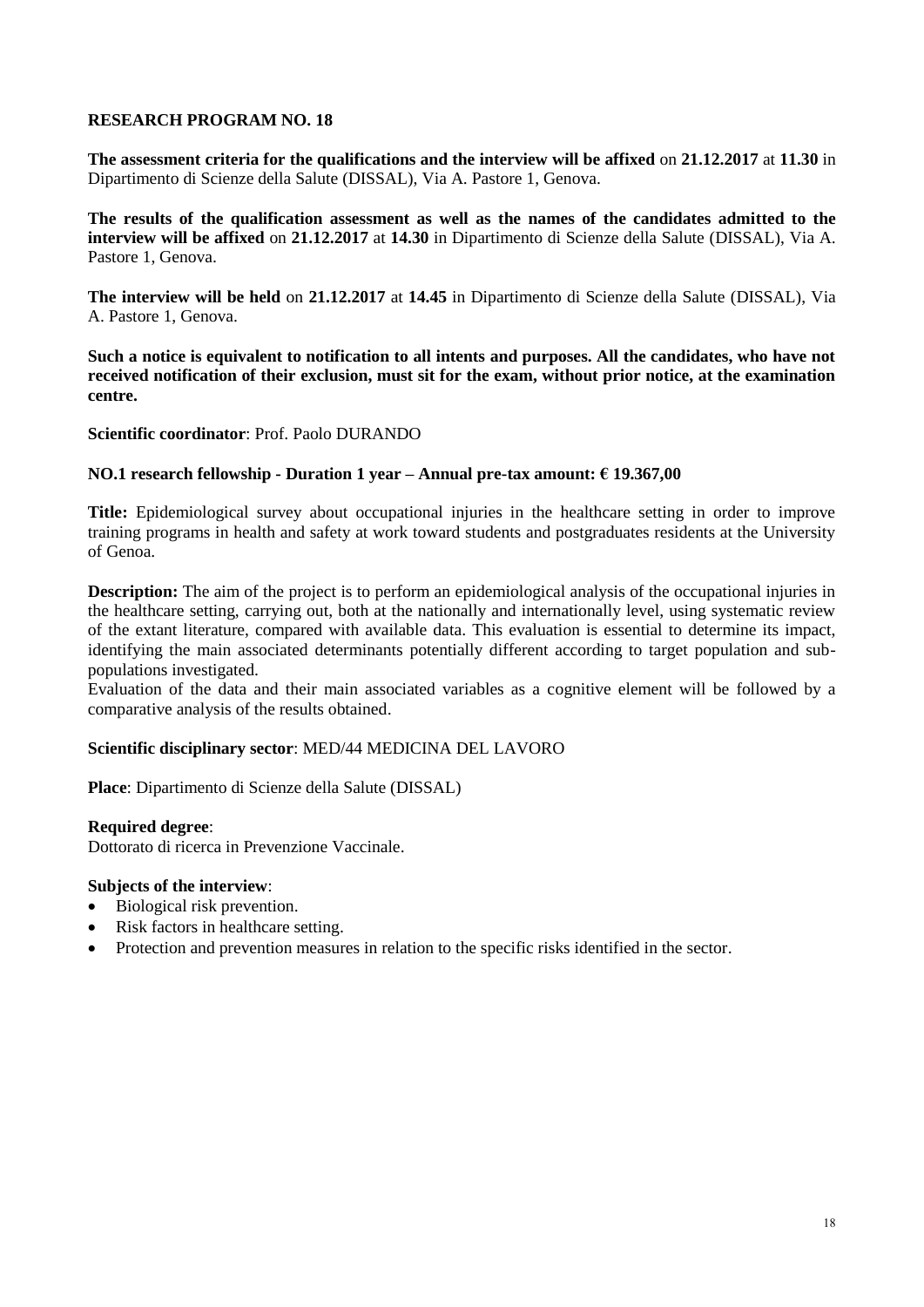**The assessment criteria for the qualifications and the interview will be affixed** on **21.12.2017** at **11.30** in Dipartimento di Scienze della Salute (DISSAL), Via A. Pastore 1, Genova.

**The results of the qualification assessment as well as the names of the candidates admitted to the interview will be affixed** on **21.12.2017** at **14.30** in Dipartimento di Scienze della Salute (DISSAL), Via A. Pastore 1, Genova.

**The interview will be held** on **21.12.2017** at **14.45** in Dipartimento di Scienze della Salute (DISSAL), Via A. Pastore 1, Genova.

**Such a notice is equivalent to notification to all intents and purposes. All the candidates, who have not received notification of their exclusion, must sit for the exam, without prior notice, at the examination centre.**

**Scientific coordinator**: Prof. Paolo DURANDO

# **NO.1 research fellowship - Duration 1 year – Annual pre-tax amount: € 19.367,00**

**Title:** Epidemiological survey about occupational injuries in the healthcare setting in order to improve training programs in health and safety at work toward students and postgraduates residents at the University of Genoa.

**Description:** The aim of the project is to perform an epidemiological analysis of the occupational injuries in the healthcare setting, carrying out, both at the nationally and internationally level, using systematic review of the extant literature, compared with available data. This evaluation is essential to determine its impact, identifying the main associated determinants potentially different according to target population and subpopulations investigated.

Evaluation of the data and their main associated variables as a cognitive element will be followed by a comparative analysis of the results obtained.

# **Scientific disciplinary sector**: MED/44 MEDICINA DEL LAVORO

**Place**: Dipartimento di Scienze della Salute (DISSAL)

# **Required degree**:

Dottorato di ricerca in Prevenzione Vaccinale.

- Biological risk prevention.
- Risk factors in healthcare setting.
- Protection and prevention measures in relation to the specific risks identified in the sector.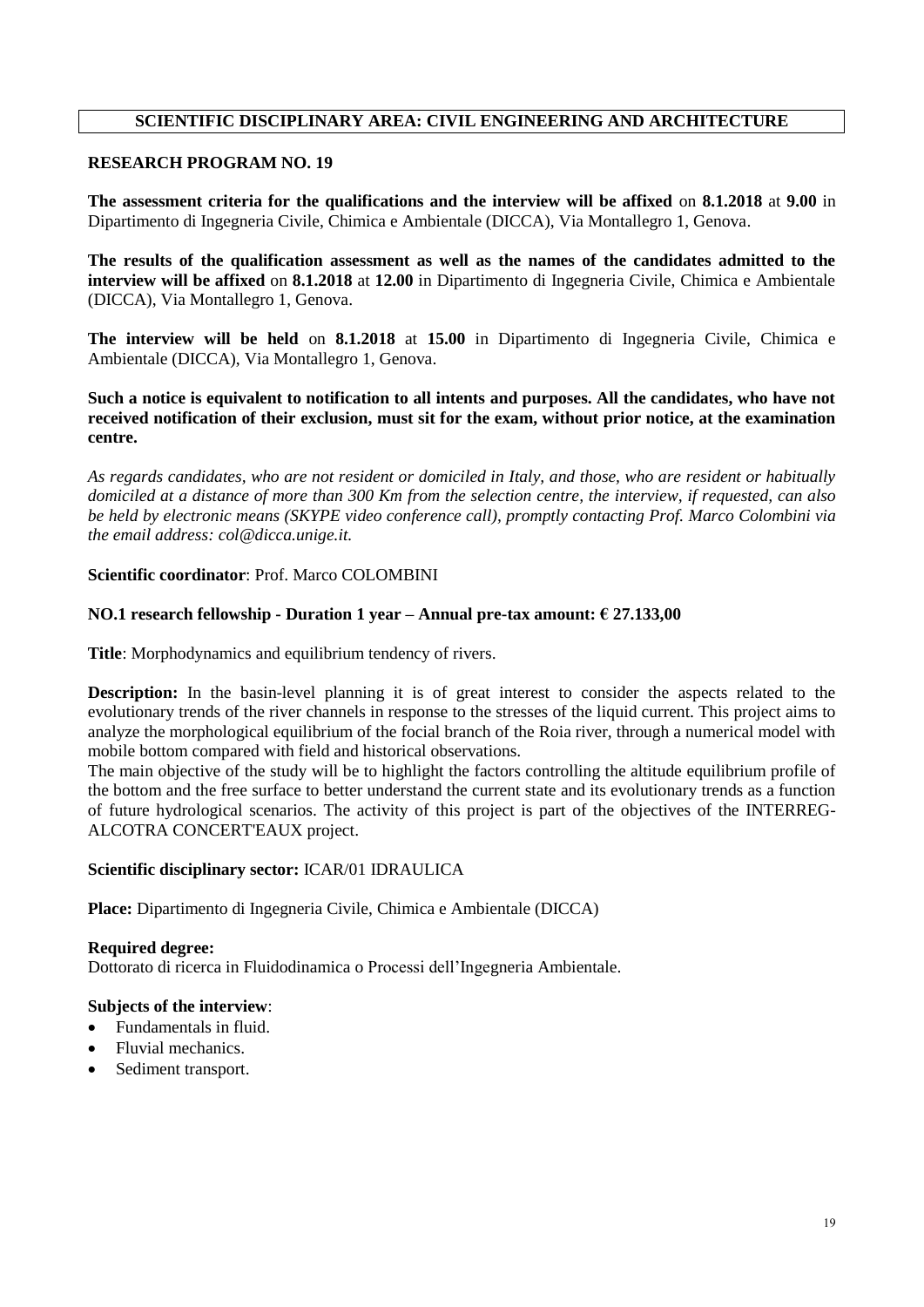# **SCIENTIFIC DISCIPLINARY AREA: CIVIL ENGINEERING AND ARCHITECTURE**

# **RESEARCH PROGRAM NO. 19**

**The assessment criteria for the qualifications and the interview will be affixed** on **8.1.2018** at **9.00** in Dipartimento di Ingegneria Civile, Chimica e Ambientale (DICCA), Via Montallegro 1, Genova.

**The results of the qualification assessment as well as the names of the candidates admitted to the interview will be affixed** on **8.1.2018** at **12.00** in Dipartimento di Ingegneria Civile, Chimica e Ambientale (DICCA), Via Montallegro 1, Genova.

**The interview will be held** on **8.1.2018** at **15.00** in Dipartimento di Ingegneria Civile, Chimica e Ambientale (DICCA), Via Montallegro 1, Genova.

**Such a notice is equivalent to notification to all intents and purposes. All the candidates, who have not received notification of their exclusion, must sit for the exam, without prior notice, at the examination centre.**

*As regards candidates, who are not resident or domiciled in Italy, and those, who are resident or habitually domiciled at a distance of more than 300 Km from the selection centre, the interview, if requested, can also be held by electronic means (SKYPE video conference call), promptly contacting Prof. Marco Colombini via the email address: col@dicca.unige.it.*

# **Scientific coordinator**: Prof. Marco COLOMBINI

# **NO.1 research fellowship - Duration 1 year – Annual pre-tax amount: € 27.133,00**

**Title**: Morphodynamics and equilibrium tendency of rivers.

**Description:** In the basin-level planning it is of great interest to consider the aspects related to the evolutionary trends of the river channels in response to the stresses of the liquid current. This project aims to analyze the morphological equilibrium of the focial branch of the Roia river, through a numerical model with mobile bottom compared with field and historical observations.

The main objective of the study will be to highlight the factors controlling the altitude equilibrium profile of the bottom and the free surface to better understand the current state and its evolutionary trends as a function of future hydrological scenarios. The activity of this project is part of the objectives of the INTERREG-ALCOTRA CONCERT'EAUX project.

# **Scientific disciplinary sector:** ICAR/01 IDRAULICA

**Place:** Dipartimento di Ingegneria Civile, Chimica e Ambientale (DICCA)

**Required degree:**  Dottorato di ricerca in Fluidodinamica o Processi dell'Ingegneria Ambientale.

- Fundamentals in fluid.
- Fluvial mechanics.
- Sediment transport.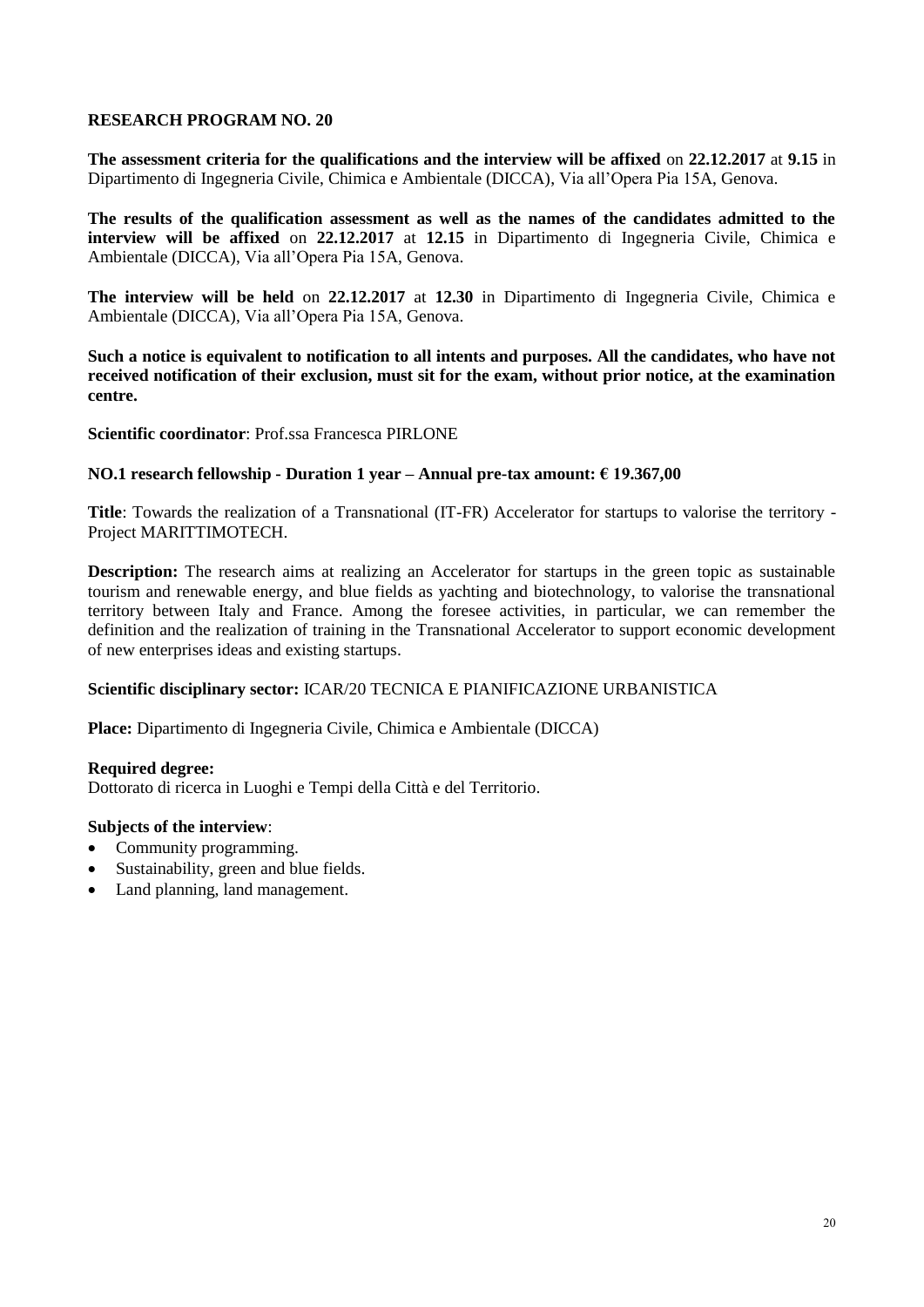**The assessment criteria for the qualifications and the interview will be affixed** on **22.12.2017** at **9.15** in Dipartimento di Ingegneria Civile, Chimica e Ambientale (DICCA), Via all'Opera Pia 15A, Genova.

**The results of the qualification assessment as well as the names of the candidates admitted to the interview will be affixed** on **22.12.2017** at **12.15** in Dipartimento di Ingegneria Civile, Chimica e Ambientale (DICCA), Via all'Opera Pia 15A, Genova.

**The interview will be held** on **22.12.2017** at **12.30** in Dipartimento di Ingegneria Civile, Chimica e Ambientale (DICCA), Via all'Opera Pia 15A, Genova.

**Such a notice is equivalent to notification to all intents and purposes. All the candidates, who have not received notification of their exclusion, must sit for the exam, without prior notice, at the examination centre.**

**Scientific coordinator**: Prof.ssa Francesca PIRLONE

# **NO.1 research fellowship - Duration 1 year – Annual pre-tax amount: € 19.367,00**

**Title**: Towards the realization of a Transnational (IT-FR) Accelerator for startups to valorise the territory - Project MARITTIMOTECH.

**Description:** The research aims at realizing an Accelerator for startups in the green topic as sustainable tourism and renewable energy, and blue fields as yachting and biotechnology, to valorise the transnational territory between Italy and France. Among the foresee activities, in particular, we can remember the definition and the realization of training in the Transnational Accelerator to support economic development of new enterprises ideas and existing startups.

# **Scientific disciplinary sector:** ICAR/20 TECNICA E PIANIFICAZIONE URBANISTICA

**Place:** Dipartimento di Ingegneria Civile, Chimica e Ambientale (DICCA)

#### **Required degree:**

Dottorato di ricerca in Luoghi e Tempi della Città e del Territorio.

- Community programming.
- Sustainability, green and blue fields.
- Land planning, land management.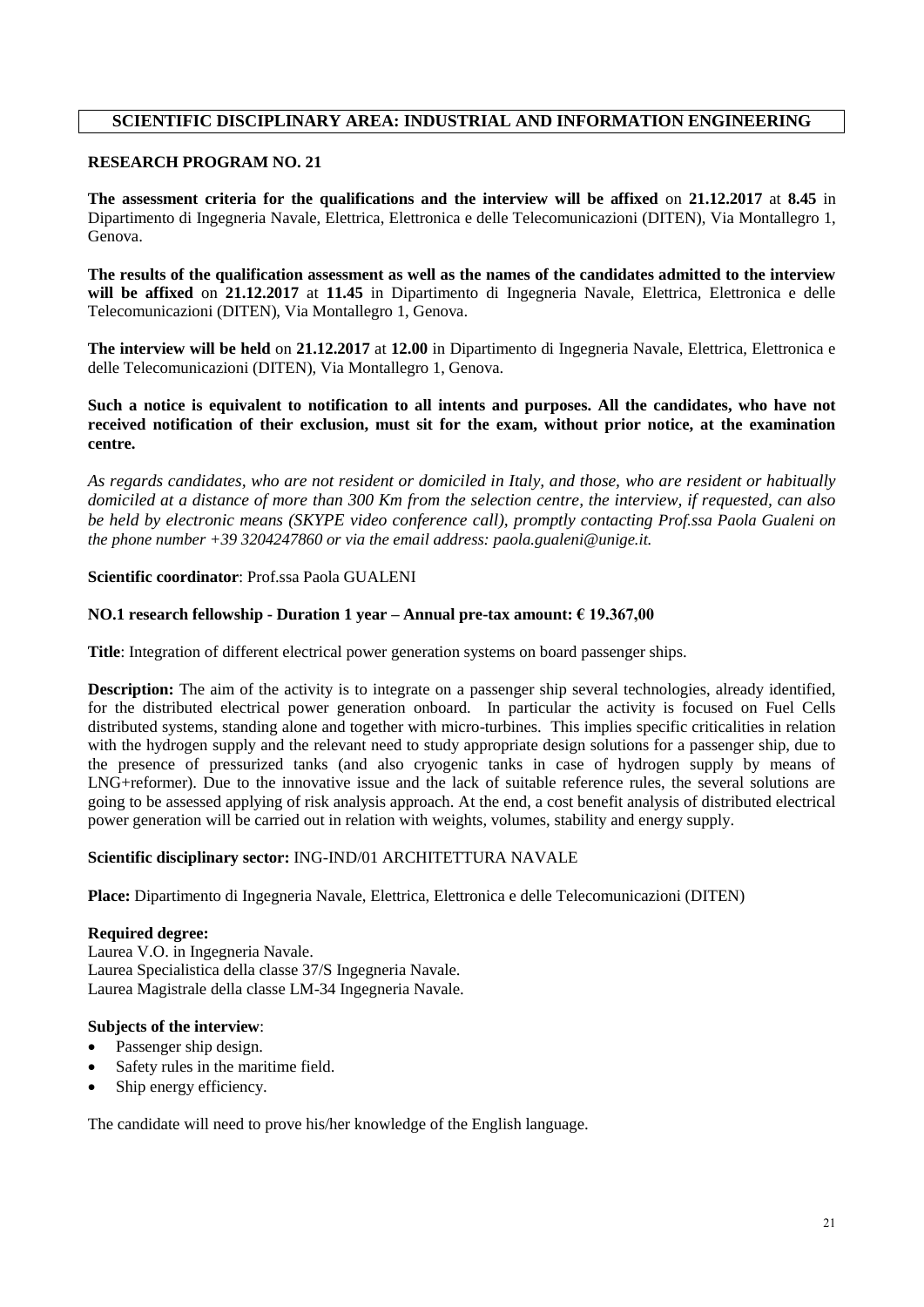# **SCIENTIFIC DISCIPLINARY AREA: INDUSTRIAL AND INFORMATION ENGINEERING**

# **RESEARCH PROGRAM NO. 21**

**The assessment criteria for the qualifications and the interview will be affixed** on **21.12.2017** at **8.45** in Dipartimento di Ingegneria Navale, Elettrica, Elettronica e delle Telecomunicazioni (DITEN), Via Montallegro 1, Genova.

**The results of the qualification assessment as well as the names of the candidates admitted to the interview will be affixed** on **21.12.2017** at **11.45** in Dipartimento di Ingegneria Navale, Elettrica, Elettronica e delle Telecomunicazioni (DITEN), Via Montallegro 1, Genova.

**The interview will be held** on **21.12.2017** at **12.00** in Dipartimento di Ingegneria Navale, Elettrica, Elettronica e delle Telecomunicazioni (DITEN), Via Montallegro 1, Genova.

**Such a notice is equivalent to notification to all intents and purposes. All the candidates, who have not received notification of their exclusion, must sit for the exam, without prior notice, at the examination centre.**

*As regards candidates, who are not resident or domiciled in Italy, and those, who are resident or habitually domiciled at a distance of more than 300 Km from the selection centre, the interview, if requested, can also be held by electronic means (SKYPE video conference call), promptly contacting Prof.ssa Paola Gualeni on the phone number +39 3204247860 or via the email address: paola.gualeni@unige.it.*

#### **Scientific coordinator**: Prof.ssa Paola GUALENI

#### **NO.1 research fellowship - Duration 1 year – Annual pre-tax amount: € 19.367,00**

**Title**: Integration of different electrical power generation systems on board passenger ships.

**Description:** The aim of the activity is to integrate on a passenger ship several technologies, already identified, for the distributed electrical power generation onboard. In particular the activity is focused on Fuel Cells distributed systems, standing alone and together with micro-turbines. This implies specific criticalities in relation with the hydrogen supply and the relevant need to study appropriate design solutions for a passenger ship, due to the presence of pressurized tanks (and also cryogenic tanks in case of hydrogen supply by means of LNG+reformer). Due to the innovative issue and the lack of suitable reference rules, the several solutions are going to be assessed applying of risk analysis approach. At the end, a cost benefit analysis of distributed electrical power generation will be carried out in relation with weights, volumes, stability and energy supply.

# **Scientific disciplinary sector:** ING-IND/01 ARCHITETTURA NAVALE

**Place:** Dipartimento di Ingegneria Navale, Elettrica, Elettronica e delle Telecomunicazioni (DITEN)

#### **Required degree:**

Laurea V.O. in Ingegneria Navale. Laurea Specialistica della classe 37/S Ingegneria Navale. Laurea Magistrale della classe LM-34 Ingegneria Navale.

#### **Subjects of the interview**:

- Passenger ship design.
- Safety rules in the maritime field.
- Ship energy efficiency.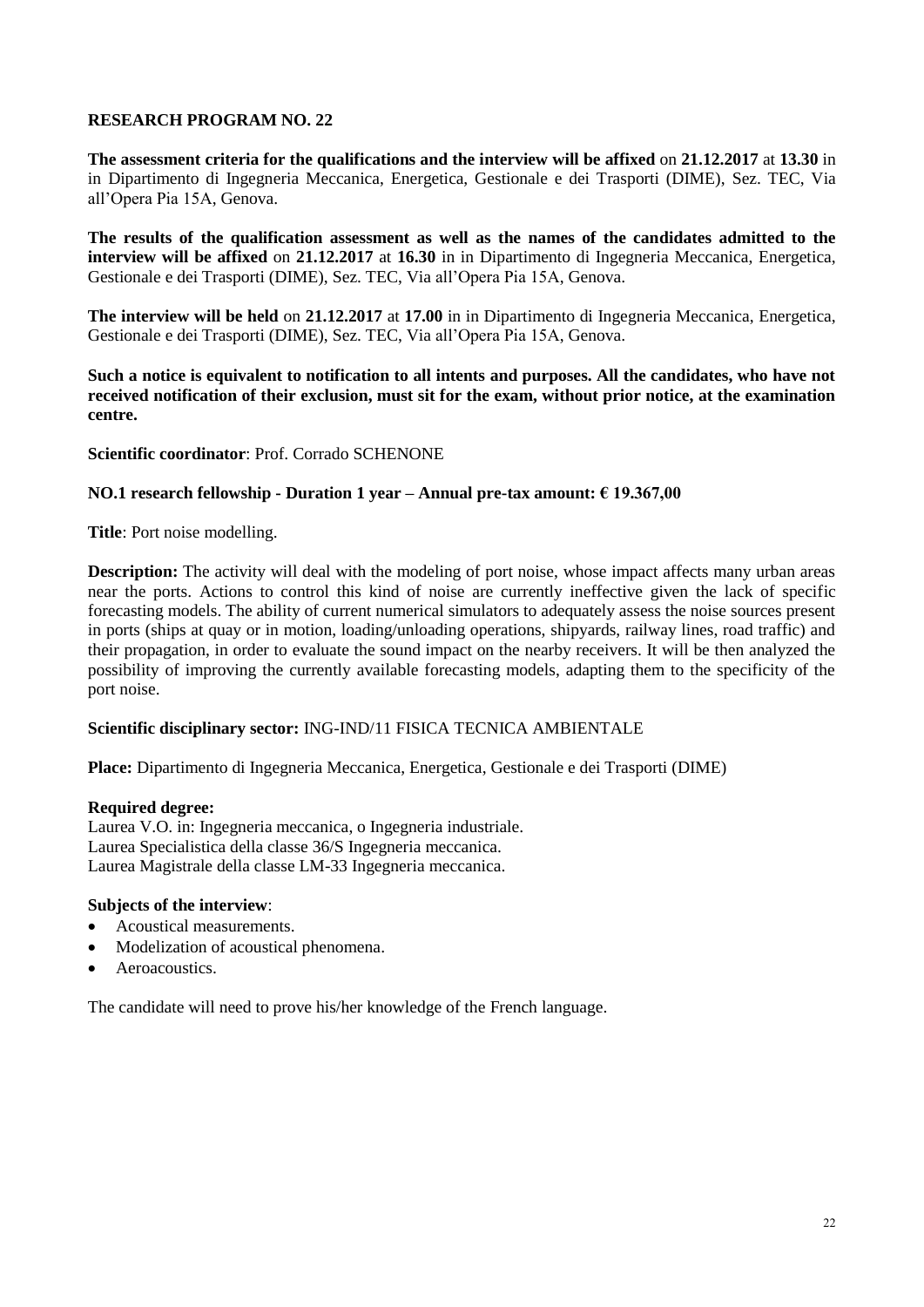**The assessment criteria for the qualifications and the interview will be affixed** on **21.12.2017** at **13.30** in in Dipartimento di Ingegneria Meccanica, Energetica, Gestionale e dei Trasporti (DIME), Sez. TEC, Via all'Opera Pia 15A, Genova.

**The results of the qualification assessment as well as the names of the candidates admitted to the interview will be affixed** on **21.12.2017** at **16.30** in in Dipartimento di Ingegneria Meccanica, Energetica, Gestionale e dei Trasporti (DIME), Sez. TEC, Via all'Opera Pia 15A, Genova.

**The interview will be held** on **21.12.2017** at **17.00** in in Dipartimento di Ingegneria Meccanica, Energetica, Gestionale e dei Trasporti (DIME), Sez. TEC, Via all'Opera Pia 15A, Genova.

**Such a notice is equivalent to notification to all intents and purposes. All the candidates, who have not received notification of their exclusion, must sit for the exam, without prior notice, at the examination centre.**

**Scientific coordinator**: Prof. Corrado SCHENONE

# **NO.1 research fellowship - Duration 1 year – Annual pre-tax amount: € 19.367,00**

**Title**: Port noise modelling.

**Description:** The activity will deal with the modeling of port noise, whose impact affects many urban areas near the ports. Actions to control this kind of noise are currently ineffective given the lack of specific forecasting models. The ability of current numerical simulators to adequately assess the noise sources present in ports (ships at quay or in motion, loading/unloading operations, shipyards, railway lines, road traffic) and their propagation, in order to evaluate the sound impact on the nearby receivers. It will be then analyzed the possibility of improving the currently available forecasting models, adapting them to the specificity of the port noise.

# **Scientific disciplinary sector:** ING-IND/11 FISICA TECNICA AMBIENTALE

**Place:** Dipartimento di Ingegneria Meccanica, Energetica, Gestionale e dei Trasporti (DIME)

#### **Required degree:**

Laurea V.O. in: Ingegneria meccanica, o Ingegneria industriale. Laurea Specialistica della classe 36/S Ingegneria meccanica. Laurea Magistrale della classe LM-33 Ingegneria meccanica.

#### **Subjects of the interview**:

- Acoustical measurements.
- Modelization of acoustical phenomena.
- Aeroacoustics.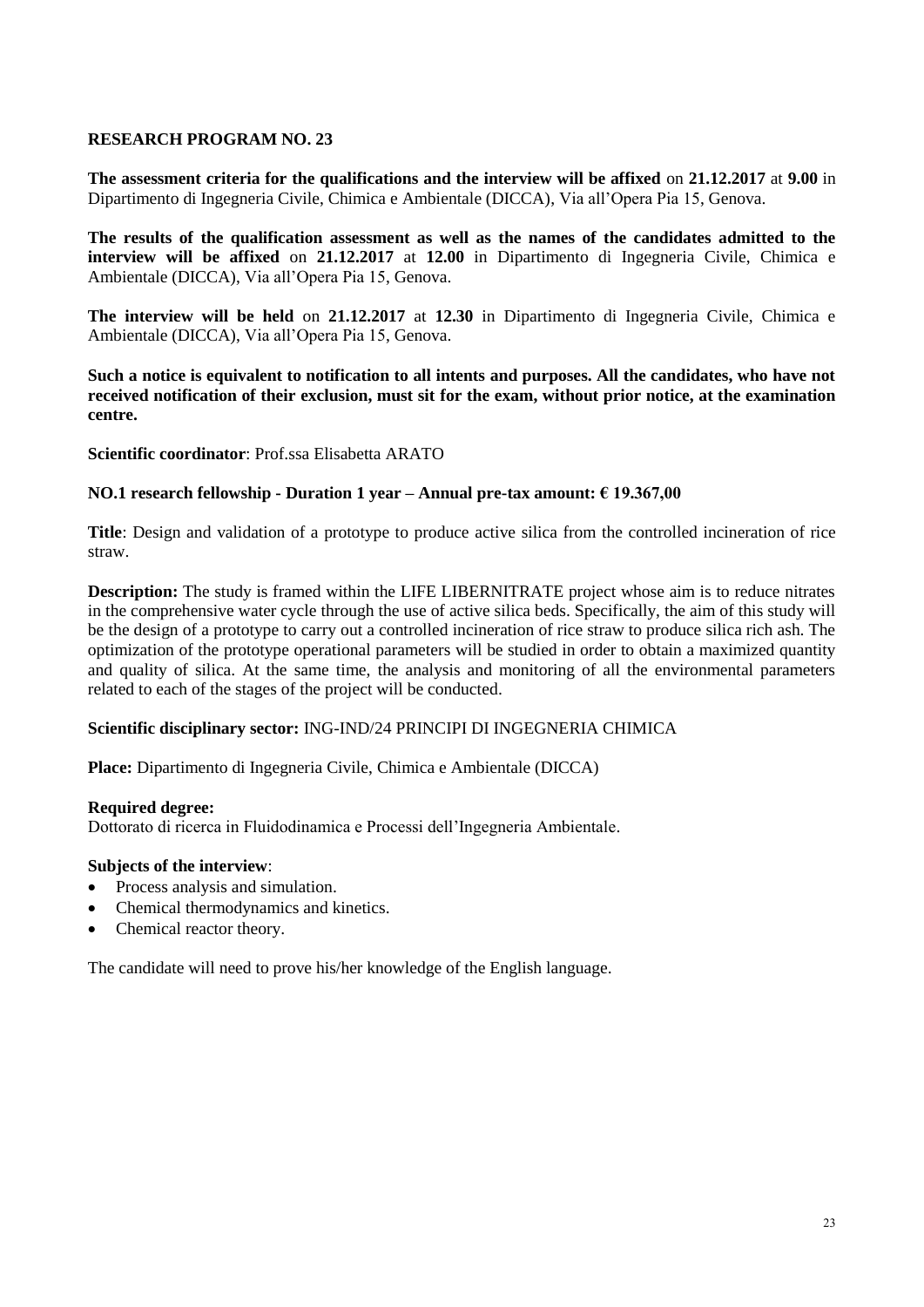**The assessment criteria for the qualifications and the interview will be affixed** on **21.12.2017** at **9.00** in Dipartimento di Ingegneria Civile, Chimica e Ambientale (DICCA), Via all'Opera Pia 15, Genova.

**The results of the qualification assessment as well as the names of the candidates admitted to the interview will be affixed** on **21.12.2017** at **12.00** in Dipartimento di Ingegneria Civile, Chimica e Ambientale (DICCA), Via all'Opera Pia 15, Genova.

**The interview will be held** on **21.12.2017** at **12.30** in Dipartimento di Ingegneria Civile, Chimica e Ambientale (DICCA), Via all'Opera Pia 15, Genova.

**Such a notice is equivalent to notification to all intents and purposes. All the candidates, who have not received notification of their exclusion, must sit for the exam, without prior notice, at the examination centre.**

**Scientific coordinator**: Prof.ssa Elisabetta ARATO

# **NO.1 research fellowship - Duration 1 year – Annual pre-tax amount: € 19.367,00**

**Title**: Design and validation of a prototype to produce active silica from the controlled incineration of rice straw.

**Description:** The study is framed within the LIFE LIBERNITRATE project whose aim is to reduce nitrates in the comprehensive water cycle through the use of active silica beds. Specifically, the aim of this study will be the design of a prototype to carry out a controlled incineration of rice straw to produce silica rich ash. The optimization of the prototype operational parameters will be studied in order to obtain a maximized quantity and quality of silica. At the same time, the analysis and monitoring of all the environmental parameters related to each of the stages of the project will be conducted.

# **Scientific disciplinary sector:** ING-IND/24 PRINCIPI DI INGEGNERIA CHIMICA

**Place:** Dipartimento di Ingegneria Civile, Chimica e Ambientale (DICCA)

#### **Required degree:**

Dottorato di ricerca in Fluidodinamica e Processi dell'Ingegneria Ambientale.

# **Subjects of the interview**:

- Process analysis and simulation.
- Chemical thermodynamics and kinetics.
- Chemical reactor theory.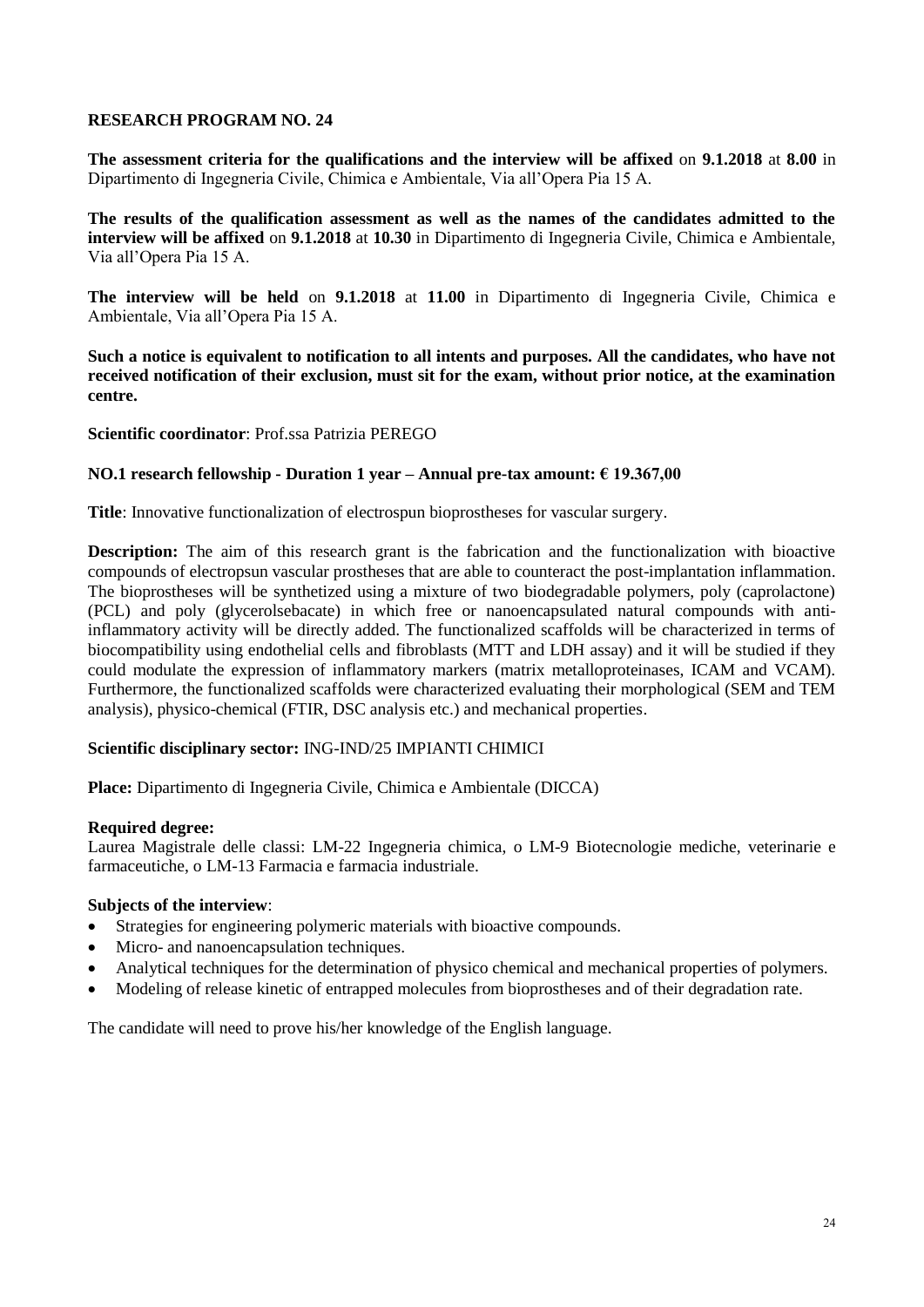**The assessment criteria for the qualifications and the interview will be affixed** on **9.1.2018** at **8.00** in Dipartimento di Ingegneria Civile, Chimica e Ambientale, Via all'Opera Pia 15 A.

**The results of the qualification assessment as well as the names of the candidates admitted to the interview will be affixed** on **9.1.2018** at **10.30** in Dipartimento di Ingegneria Civile, Chimica e Ambientale, Via all'Opera Pia 15 A.

**The interview will be held** on **9.1.2018** at **11.00** in Dipartimento di Ingegneria Civile, Chimica e Ambientale, Via all'Opera Pia 15 A.

**Such a notice is equivalent to notification to all intents and purposes. All the candidates, who have not received notification of their exclusion, must sit for the exam, without prior notice, at the examination centre.**

**Scientific coordinator**: Prof.ssa Patrizia PEREGO

# **NO.1 research fellowship - Duration 1 year – Annual pre-tax amount: € 19.367,00**

**Title**: Innovative functionalization of electrospun bioprostheses for vascular surgery.

**Description:** The aim of this research grant is the fabrication and the functionalization with bioactive compounds of electropsun vascular prostheses that are able to counteract the post-implantation inflammation. The bioprostheses will be synthetized using a mixture of two biodegradable polymers, poly (caprolactone) (PCL) and poly (glycerolsebacate) in which free or nanoencapsulated natural compounds with antiinflammatory activity will be directly added. The functionalized scaffolds will be characterized in terms of biocompatibility using endothelial cells and fibroblasts (MTT and LDH assay) and it will be studied if they could modulate the expression of inflammatory markers (matrix metalloproteinases, ICAM and VCAM). Furthermore, the functionalized scaffolds were characterized evaluating their morphological (SEM and TEM analysis), physico-chemical (FTIR, DSC analysis etc.) and mechanical properties.

# **Scientific disciplinary sector:** ING-IND/25 IMPIANTI CHIMICI

**Place:** Dipartimento di Ingegneria Civile, Chimica e Ambientale (DICCA)

#### **Required degree:**

Laurea Magistrale delle classi: LM-22 Ingegneria chimica, o LM-9 Biotecnologie mediche, veterinarie e farmaceutiche, o LM-13 Farmacia e farmacia industriale.

#### **Subjects of the interview**:

- Strategies for engineering polymeric materials with bioactive compounds.
- Micro- and nanoencapsulation techniques.
- Analytical techniques for the determination of physico chemical and mechanical properties of polymers.
- Modeling of release kinetic of entrapped molecules from bioprostheses and of their degradation rate.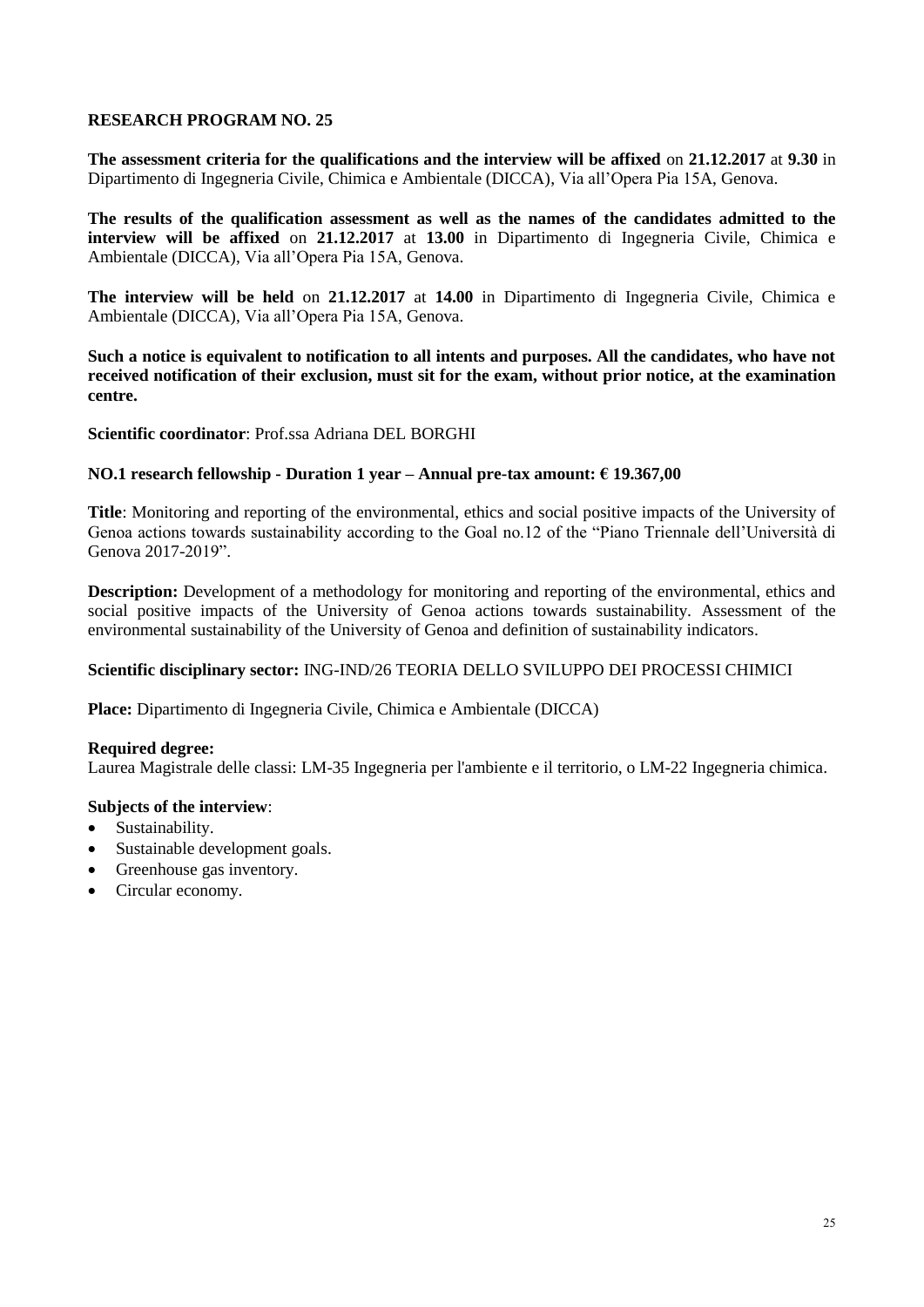**The assessment criteria for the qualifications and the interview will be affixed** on **21.12.2017** at **9.30** in Dipartimento di Ingegneria Civile, Chimica e Ambientale (DICCA), Via all'Opera Pia 15A, Genova.

**The results of the qualification assessment as well as the names of the candidates admitted to the interview will be affixed** on **21.12.2017** at **13.00** in Dipartimento di Ingegneria Civile, Chimica e Ambientale (DICCA), Via all'Opera Pia 15A, Genova.

**The interview will be held** on **21.12.2017** at **14.00** in Dipartimento di Ingegneria Civile, Chimica e Ambientale (DICCA), Via all'Opera Pia 15A, Genova.

**Such a notice is equivalent to notification to all intents and purposes. All the candidates, who have not received notification of their exclusion, must sit for the exam, without prior notice, at the examination centre.**

**Scientific coordinator**: Prof.ssa Adriana DEL BORGHI

# **NO.1 research fellowship - Duration 1 year – Annual pre-tax amount: € 19.367,00**

**Title**: Monitoring and reporting of the environmental, ethics and social positive impacts of the University of Genoa actions towards sustainability according to the Goal no.12 of the "Piano Triennale dell'Università di Genova 2017-2019".

**Description:** Development of a methodology for monitoring and reporting of the environmental, ethics and social positive impacts of the University of Genoa actions towards sustainability. Assessment of the environmental sustainability of the University of Genoa and definition of sustainability indicators.

# **Scientific disciplinary sector:** ING-IND/26 TEORIA DELLO SVILUPPO DEI PROCESSI CHIMICI

**Place:** Dipartimento di Ingegneria Civile, Chimica e Ambientale (DICCA)

# **Required degree:**

Laurea Magistrale delle classi: LM-35 Ingegneria per l'ambiente e il territorio, o LM-22 Ingegneria chimica.

- Sustainability.
- Sustainable development goals.
- Greenhouse gas inventory.
- Circular economy.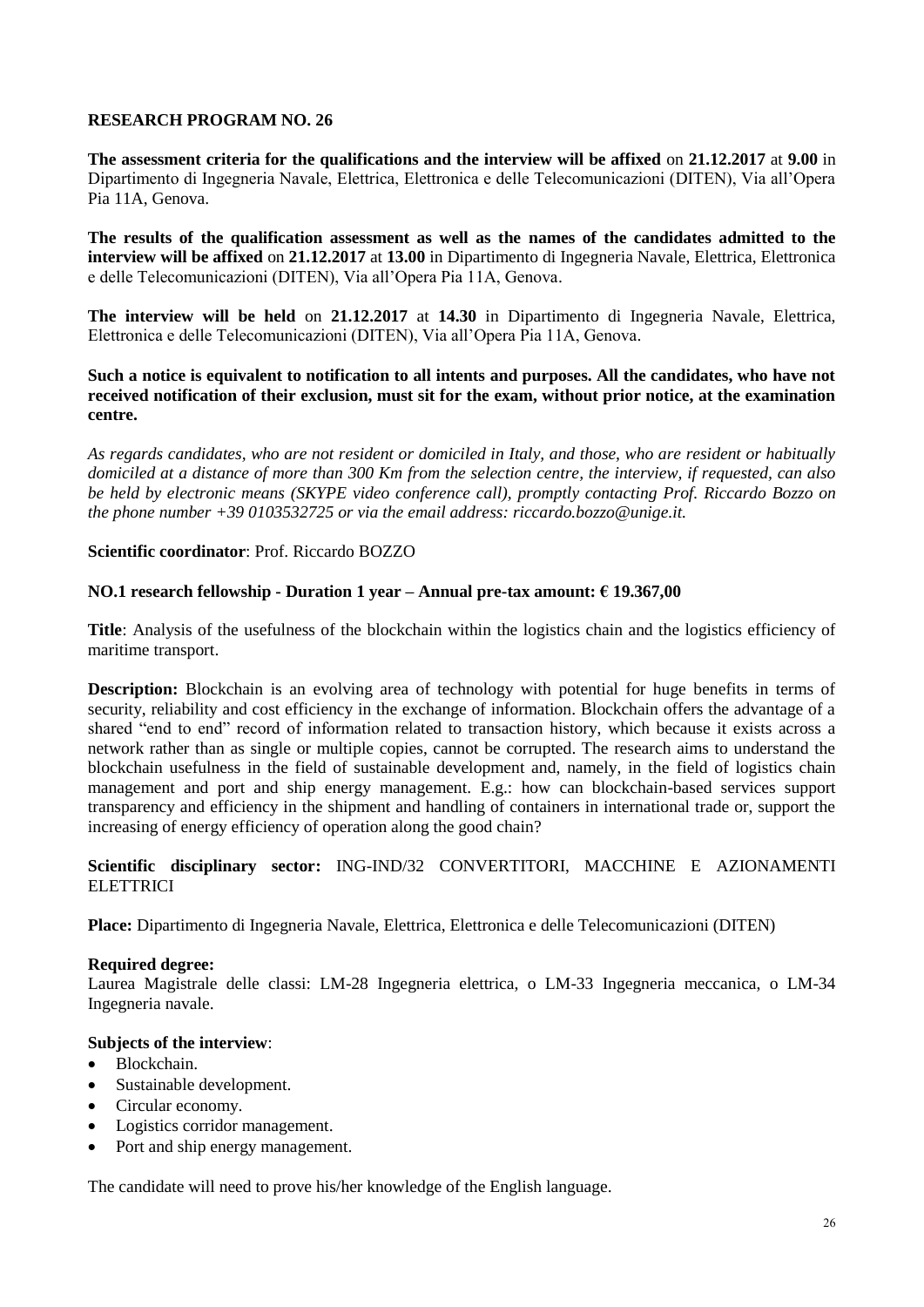**The assessment criteria for the qualifications and the interview will be affixed** on **21.12.2017** at **9.00** in Dipartimento di Ingegneria Navale, Elettrica, Elettronica e delle Telecomunicazioni (DITEN), Via all'Opera Pia 11A, Genova.

**The results of the qualification assessment as well as the names of the candidates admitted to the interview will be affixed** on **21.12.2017** at **13.00** in Dipartimento di Ingegneria Navale, Elettrica, Elettronica e delle Telecomunicazioni (DITEN), Via all'Opera Pia 11A, Genova.

**The interview will be held** on **21.12.2017** at **14.30** in Dipartimento di Ingegneria Navale, Elettrica, Elettronica e delle Telecomunicazioni (DITEN), Via all'Opera Pia 11A, Genova.

# **Such a notice is equivalent to notification to all intents and purposes. All the candidates, who have not received notification of their exclusion, must sit for the exam, without prior notice, at the examination centre.**

*As regards candidates, who are not resident or domiciled in Italy, and those, who are resident or habitually domiciled at a distance of more than 300 Km from the selection centre, the interview, if requested, can also be held by electronic means (SKYPE video conference call), promptly contacting Prof. Riccardo Bozzo on the phone number +39 0103532725 or via the email address: riccardo.bozzo@unige.it.*

# **Scientific coordinator**: Prof. Riccardo BOZZO

# **NO.1 research fellowship - Duration 1 year – Annual pre-tax amount: € 19.367,00**

**Title**: Analysis of the usefulness of the blockchain within the logistics chain and the logistics efficiency of maritime transport.

**Description:** Blockchain is an evolving area of technology with potential for huge benefits in terms of security, reliability and cost efficiency in the exchange of information. Blockchain offers the advantage of a shared "end to end" record of information related to transaction history, which because it exists across a network rather than as single or multiple copies, cannot be corrupted. The research aims to understand the blockchain usefulness in the field of sustainable development and, namely, in the field of logistics chain management and port and ship energy management. E.g.: how can blockchain-based services support transparency and efficiency in the shipment and handling of containers in international trade or, support the increasing of energy efficiency of operation along the good chain?

# **Scientific disciplinary sector:** ING-IND/32 CONVERTITORI, MACCHINE E AZIONAMENTI **ELETTRICI**

**Place:** Dipartimento di Ingegneria Navale, Elettrica, Elettronica e delle Telecomunicazioni (DITEN)

# **Required degree:**

Laurea Magistrale delle classi: LM-28 Ingegneria elettrica, o LM-33 Ingegneria meccanica, o LM-34 Ingegneria navale.

# **Subjects of the interview**:

- Blockchain.
- Sustainable development.
- Circular economy.
- Logistics corridor management.
- Port and ship energy management.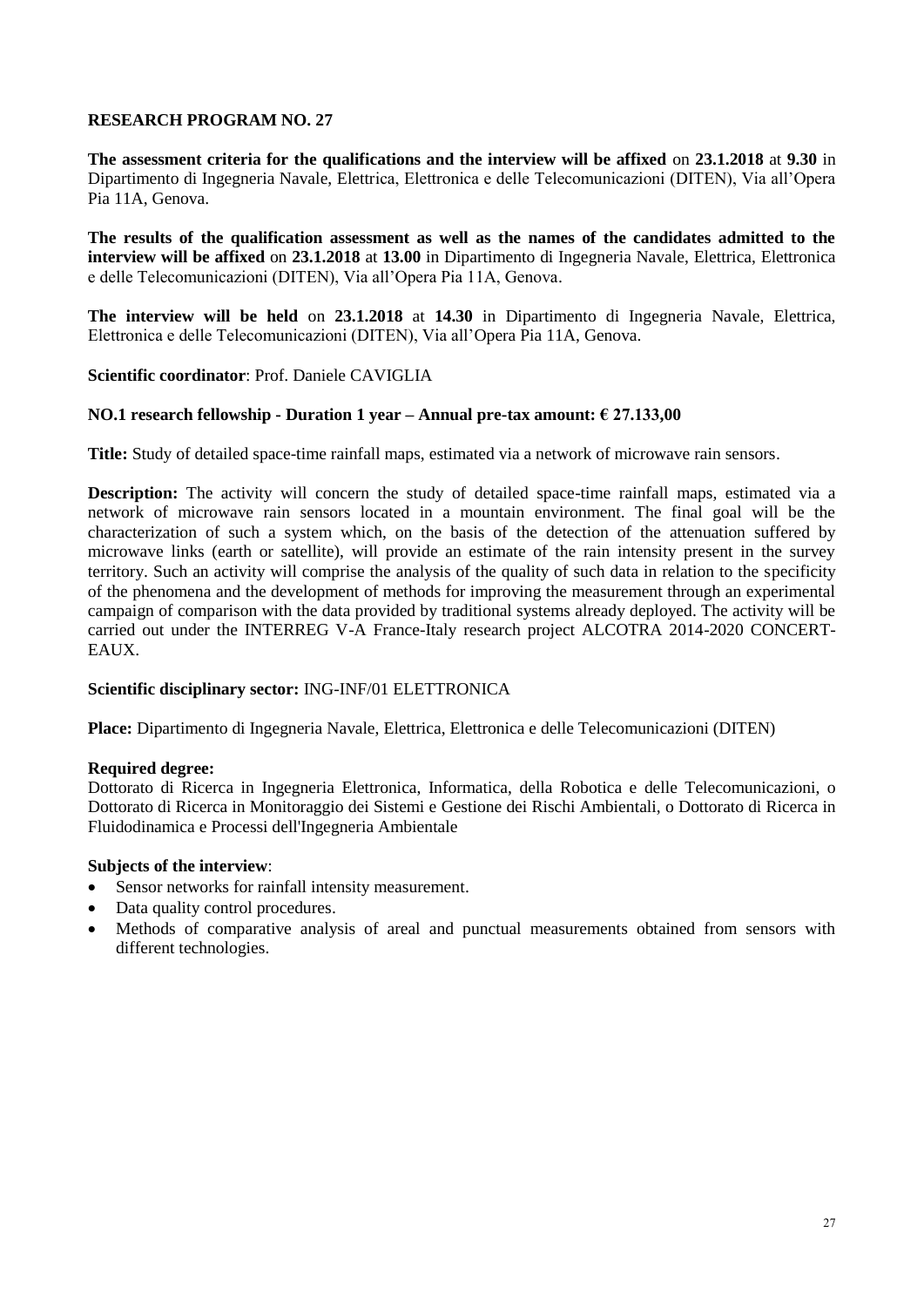**The assessment criteria for the qualifications and the interview will be affixed** on **23.1.2018** at **9.30** in Dipartimento di Ingegneria Navale, Elettrica, Elettronica e delle Telecomunicazioni (DITEN), Via all'Opera Pia 11A, Genova.

**The results of the qualification assessment as well as the names of the candidates admitted to the interview will be affixed** on **23.1.2018** at **13.00** in Dipartimento di Ingegneria Navale, Elettrica, Elettronica e delle Telecomunicazioni (DITEN), Via all'Opera Pia 11A, Genova.

**The interview will be held** on **23.1.2018** at **14.30** in Dipartimento di Ingegneria Navale, Elettrica, Elettronica e delle Telecomunicazioni (DITEN), Via all'Opera Pia 11A, Genova.

# **Scientific coordinator**: Prof. Daniele CAVIGLIA

# **NO.1 research fellowship - Duration 1 year – Annual pre-tax amount: € 27.133,00**

**Title:** Study of detailed space-time rainfall maps, estimated via a network of microwave rain sensors.

**Description:** The activity will concern the study of detailed space-time rainfall maps, estimated via a network of microwave rain sensors located in a mountain environment. The final goal will be the characterization of such a system which, on the basis of the detection of the attenuation suffered by microwave links (earth or satellite), will provide an estimate of the rain intensity present in the survey territory. Such an activity will comprise the analysis of the quality of such data in relation to the specificity of the phenomena and the development of methods for improving the measurement through an experimental campaign of comparison with the data provided by traditional systems already deployed. The activity will be carried out under the INTERREG V-A France-Italy research project ALCOTRA 2014-2020 CONCERT-EAUX.

# **Scientific disciplinary sector:** ING-INF/01 ELETTRONICA

**Place:** Dipartimento di Ingegneria Navale, Elettrica, Elettronica e delle Telecomunicazioni (DITEN)

# **Required degree:**

Dottorato di Ricerca in Ingegneria Elettronica, Informatica, della Robotica e delle Telecomunicazioni, o Dottorato di Ricerca in Monitoraggio dei Sistemi e Gestione dei Rischi Ambientali, o Dottorato di Ricerca in Fluidodinamica e Processi dell'Ingegneria Ambientale

- Sensor networks for rainfall intensity measurement.
- Data quality control procedures.
- Methods of comparative analysis of areal and punctual measurements obtained from sensors with different technologies.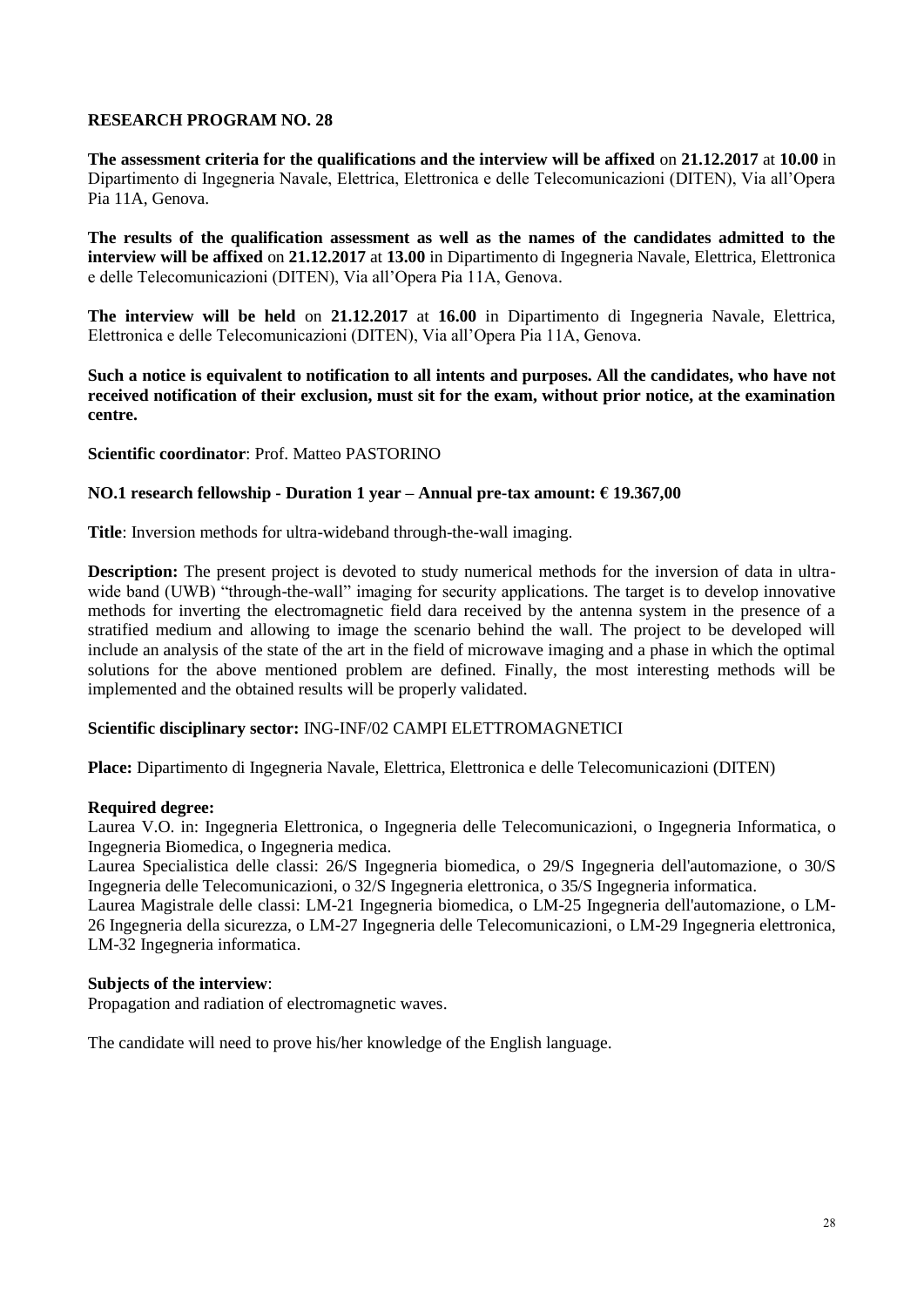**The assessment criteria for the qualifications and the interview will be affixed** on **21.12.2017** at **10.00** in Dipartimento di Ingegneria Navale, Elettrica, Elettronica e delle Telecomunicazioni (DITEN), Via all'Opera Pia 11A, Genova.

**The results of the qualification assessment as well as the names of the candidates admitted to the interview will be affixed** on **21.12.2017** at **13.00** in Dipartimento di Ingegneria Navale, Elettrica, Elettronica e delle Telecomunicazioni (DITEN), Via all'Opera Pia 11A, Genova.

**The interview will be held** on **21.12.2017** at **16.00** in Dipartimento di Ingegneria Navale, Elettrica, Elettronica e delle Telecomunicazioni (DITEN), Via all'Opera Pia 11A, Genova.

**Such a notice is equivalent to notification to all intents and purposes. All the candidates, who have not received notification of their exclusion, must sit for the exam, without prior notice, at the examination centre.**

**Scientific coordinator**: Prof. Matteo PASTORINO

# **NO.1 research fellowship - Duration 1 year – Annual pre-tax amount: € 19.367,00**

**Title**: Inversion methods for ultra-wideband through-the-wall imaging.

**Description:** The present project is devoted to study numerical methods for the inversion of data in ultrawide band (UWB) "through-the-wall" imaging for security applications. The target is to develop innovative methods for inverting the electromagnetic field dara received by the antenna system in the presence of a stratified medium and allowing to image the scenario behind the wall. The project to be developed will include an analysis of the state of the art in the field of microwave imaging and a phase in which the optimal solutions for the above mentioned problem are defined. Finally, the most interesting methods will be implemented and the obtained results will be properly validated.

# **Scientific disciplinary sector:** ING-INF/02 CAMPI ELETTROMAGNETICI

**Place:** Dipartimento di Ingegneria Navale, Elettrica, Elettronica e delle Telecomunicazioni (DITEN)

#### **Required degree:**

Laurea V.O. in: Ingegneria Elettronica, o Ingegneria delle Telecomunicazioni, o Ingegneria Informatica, o Ingegneria Biomedica, o Ingegneria medica.

Laurea Specialistica delle classi: 26/S Ingegneria biomedica, o 29/S Ingegneria dell'automazione, o 30/S Ingegneria delle Telecomunicazioni, o 32/S Ingegneria elettronica, o 35/S Ingegneria informatica.

Laurea Magistrale delle classi: LM-21 Ingegneria biomedica, o LM-25 Ingegneria dell'automazione, o LM-26 Ingegneria della sicurezza, o LM-27 Ingegneria delle Telecomunicazioni, o LM-29 Ingegneria elettronica, LM-32 Ingegneria informatica.

#### **Subjects of the interview**:

Propagation and radiation of electromagnetic waves.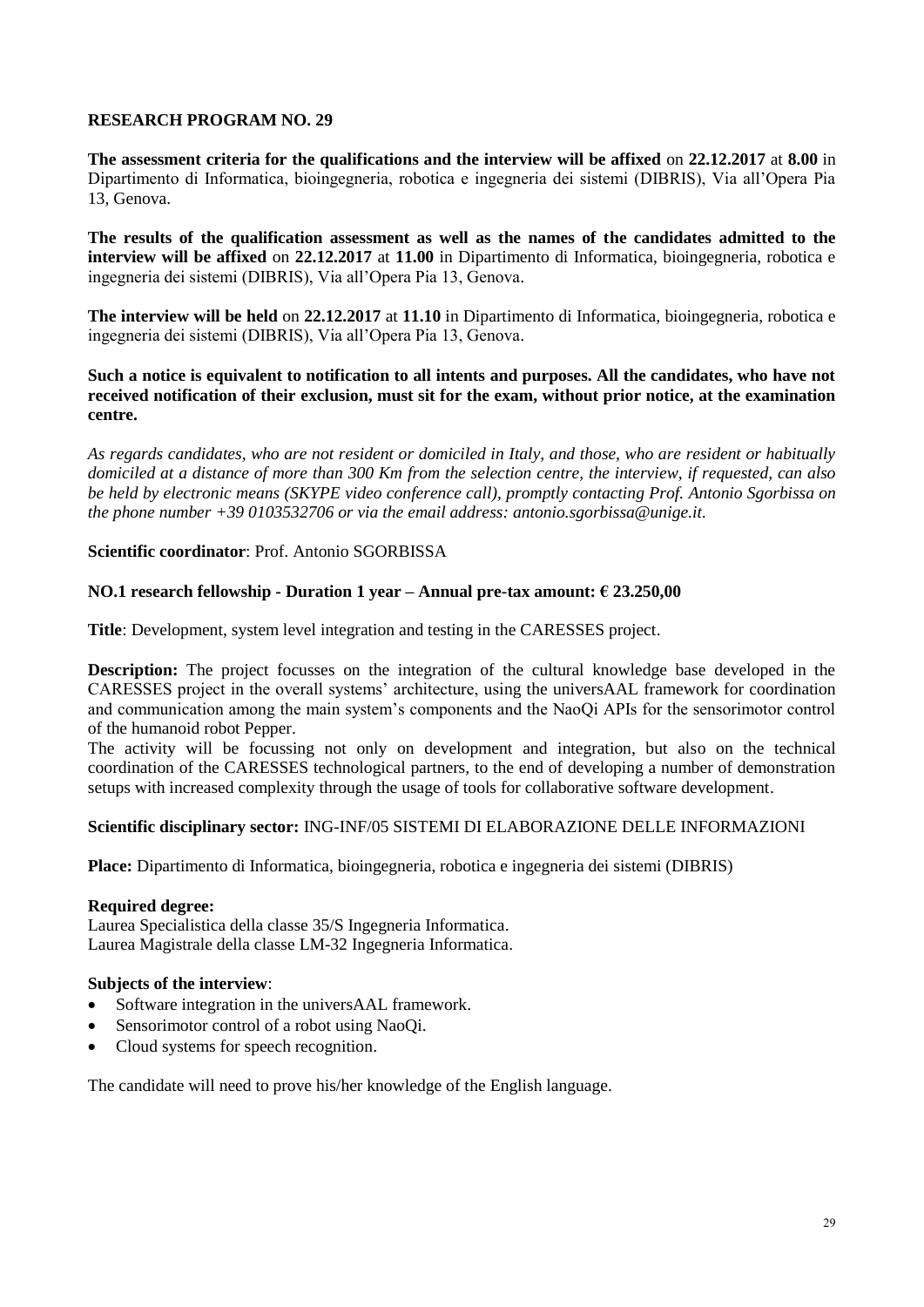**The assessment criteria for the qualifications and the interview will be affixed** on **22.12.2017** at **8.00** in Dipartimento di Informatica, bioingegneria, robotica e ingegneria dei sistemi (DIBRIS), Via all'Opera Pia 13, Genova.

**The results of the qualification assessment as well as the names of the candidates admitted to the interview will be affixed** on **22.12.2017** at **11.00** in Dipartimento di Informatica, bioingegneria, robotica e ingegneria dei sistemi (DIBRIS), Via all'Opera Pia 13, Genova.

**The interview will be held** on **22.12.2017** at **11.10** in Dipartimento di Informatica, bioingegneria, robotica e ingegneria dei sistemi (DIBRIS), Via all'Opera Pia 13, Genova.

#### **Such a notice is equivalent to notification to all intents and purposes. All the candidates, who have not received notification of their exclusion, must sit for the exam, without prior notice, at the examination centre.**

*As regards candidates, who are not resident or domiciled in Italy, and those, who are resident or habitually domiciled at a distance of more than 300 Km from the selection centre, the interview, if requested, can also be held by electronic means (SKYPE video conference call), promptly contacting Prof. Antonio Sgorbissa on the phone number +39 0103532706 or via the email address: antonio.sgorbissa@unige.it.*

# **Scientific coordinator**: Prof. Antonio SGORBISSA

# **NO.1 research fellowship - Duration 1 year – Annual pre-tax amount: € 23.250,00**

**Title**: Development, system level integration and testing in the CARESSES project.

**Description:** The project focusses on the integration of the cultural knowledge base developed in the CARESSES project in the overall systems' architecture, using the universAAL framework for coordination and communication among the main system's components and the NaoQi APIs for the sensorimotor control of the humanoid robot Pepper.

The activity will be focussing not only on development and integration, but also on the technical coordination of the CARESSES technological partners, to the end of developing a number of demonstration setups with increased complexity through the usage of tools for collaborative software development.

#### **Scientific disciplinary sector:** ING-INF/05 SISTEMI DI ELABORAZIONE DELLE INFORMAZIONI

**Place:** Dipartimento di Informatica, bioingegneria, robotica e ingegneria dei sistemi (DIBRIS)

# **Required degree:**

Laurea Specialistica della classe 35/S Ingegneria Informatica. Laurea Magistrale della classe LM-32 Ingegneria Informatica.

# **Subjects of the interview**:

- Software integration in the universAAL framework.
- Sensorimotor control of a robot using NaoQi.
- Cloud systems for speech recognition.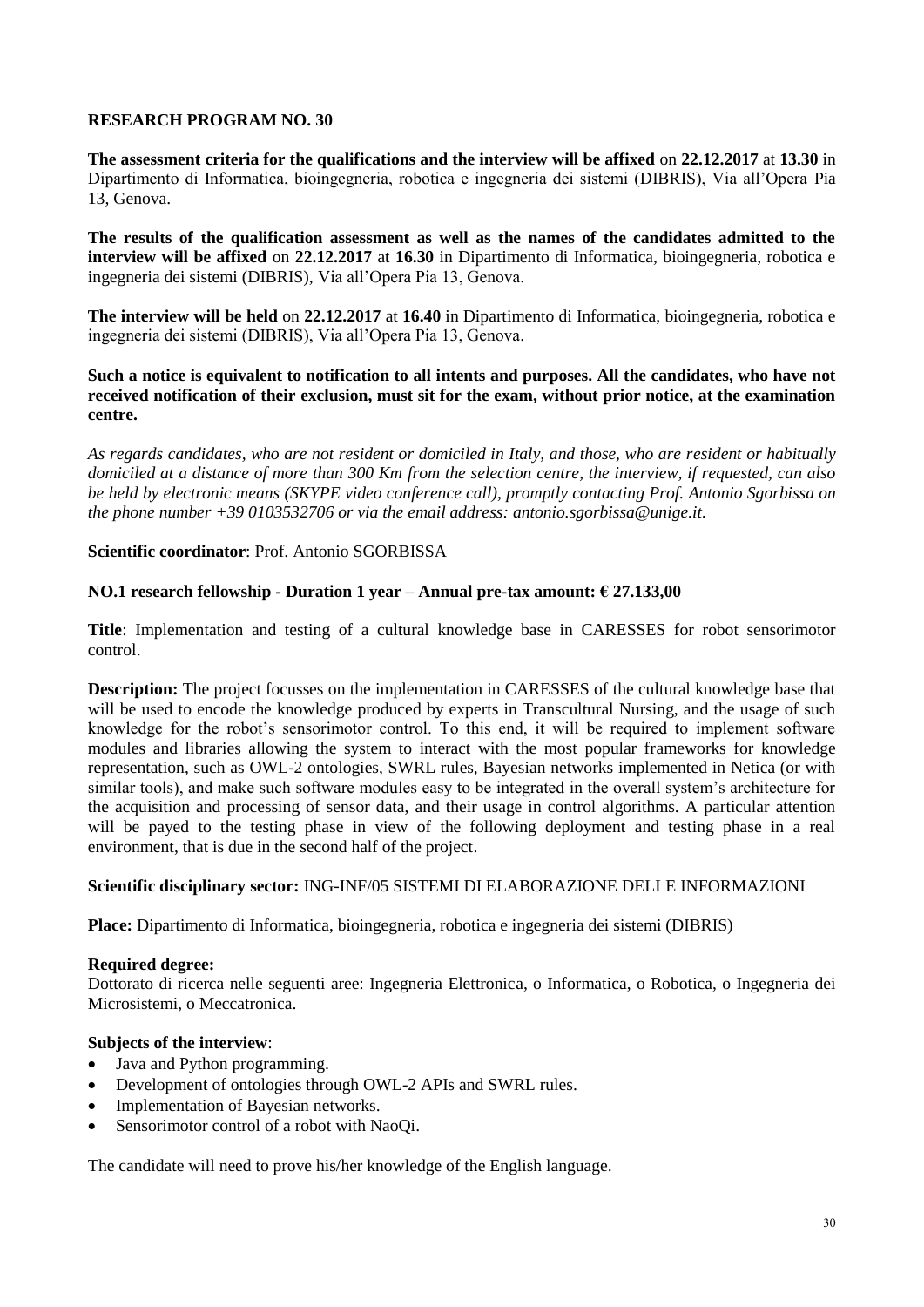**The assessment criteria for the qualifications and the interview will be affixed** on **22.12.2017** at **13.30** in Dipartimento di Informatica, bioingegneria, robotica e ingegneria dei sistemi (DIBRIS), Via all'Opera Pia 13, Genova.

**The results of the qualification assessment as well as the names of the candidates admitted to the interview will be affixed** on **22.12.2017** at **16.30** in Dipartimento di Informatica, bioingegneria, robotica e ingegneria dei sistemi (DIBRIS), Via all'Opera Pia 13, Genova.

**The interview will be held** on **22.12.2017** at **16.40** in Dipartimento di Informatica, bioingegneria, robotica e ingegneria dei sistemi (DIBRIS), Via all'Opera Pia 13, Genova.

# **Such a notice is equivalent to notification to all intents and purposes. All the candidates, who have not received notification of their exclusion, must sit for the exam, without prior notice, at the examination centre.**

*As regards candidates, who are not resident or domiciled in Italy, and those, who are resident or habitually domiciled at a distance of more than 300 Km from the selection centre, the interview, if requested, can also be held by electronic means (SKYPE video conference call), promptly contacting Prof. Antonio Sgorbissa on the phone number +39 0103532706 or via the email address: antonio.sgorbissa@unige.it.* 

# **Scientific coordinator**: Prof. Antonio SGORBISSA

# **NO.1 research fellowship - Duration 1 year – Annual pre-tax amount: € 27.133,00**

**Title**: Implementation and testing of a cultural knowledge base in CARESSES for robot sensorimotor control.

**Description:** The project focusses on the implementation in CARESSES of the cultural knowledge base that will be used to encode the knowledge produced by experts in Transcultural Nursing, and the usage of such knowledge for the robot's sensorimotor control. To this end, it will be required to implement software modules and libraries allowing the system to interact with the most popular frameworks for knowledge representation, such as OWL-2 ontologies, SWRL rules, Bayesian networks implemented in Netica (or with similar tools), and make such software modules easy to be integrated in the overall system's architecture for the acquisition and processing of sensor data, and their usage in control algorithms. A particular attention will be payed to the testing phase in view of the following deployment and testing phase in a real environment, that is due in the second half of the project.

# **Scientific disciplinary sector:** ING-INF/05 SISTEMI DI ELABORAZIONE DELLE INFORMAZIONI

**Place:** Dipartimento di Informatica, bioingegneria, robotica e ingegneria dei sistemi (DIBRIS)

#### **Required degree:**

Dottorato di ricerca nelle seguenti aree: Ingegneria Elettronica, o Informatica, o Robotica, o Ingegneria dei Microsistemi, o Meccatronica.

# **Subjects of the interview**:

- Java and Python programming.
- Development of ontologies through OWL-2 APIs and SWRL rules.
- Implementation of Bayesian networks.
- Sensorimotor control of a robot with NaoQi.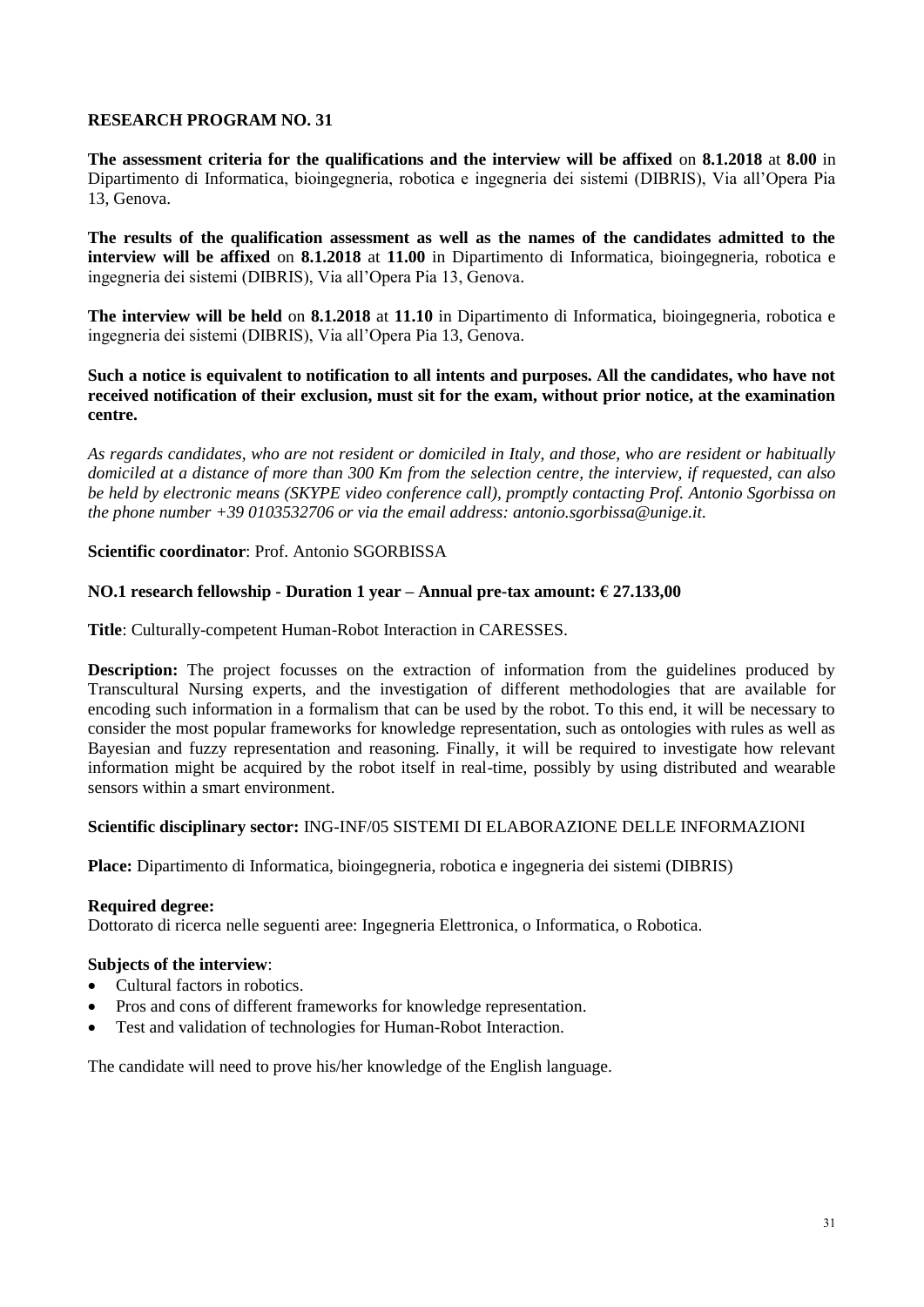**The assessment criteria for the qualifications and the interview will be affixed** on **8.1.2018** at **8.00** in Dipartimento di Informatica, bioingegneria, robotica e ingegneria dei sistemi (DIBRIS), Via all'Opera Pia 13, Genova.

**The results of the qualification assessment as well as the names of the candidates admitted to the interview will be affixed** on **8.1.2018** at **11.00** in Dipartimento di Informatica, bioingegneria, robotica e ingegneria dei sistemi (DIBRIS), Via all'Opera Pia 13, Genova.

**The interview will be held** on **8.1.2018** at **11.10** in Dipartimento di Informatica, bioingegneria, robotica e ingegneria dei sistemi (DIBRIS), Via all'Opera Pia 13, Genova.

#### **Such a notice is equivalent to notification to all intents and purposes. All the candidates, who have not received notification of their exclusion, must sit for the exam, without prior notice, at the examination centre.**

*As regards candidates, who are not resident or domiciled in Italy, and those, who are resident or habitually domiciled at a distance of more than 300 Km from the selection centre, the interview, if requested, can also be held by electronic means (SKYPE video conference call), promptly contacting Prof. Antonio Sgorbissa on the phone number +39 0103532706 or via the email address: antonio.sgorbissa@unige.it.* 

# **Scientific coordinator**: Prof. Antonio SGORBISSA

# **NO.1 research fellowship - Duration 1 year – Annual pre-tax amount: € 27.133,00**

**Title**: Culturally-competent Human-Robot Interaction in CARESSES.

**Description:** The project focusses on the extraction of information from the guidelines produced by Transcultural Nursing experts, and the investigation of different methodologies that are available for encoding such information in a formalism that can be used by the robot. To this end, it will be necessary to consider the most popular frameworks for knowledge representation, such as ontologies with rules as well as Bayesian and fuzzy representation and reasoning. Finally, it will be required to investigate how relevant information might be acquired by the robot itself in real-time, possibly by using distributed and wearable sensors within a smart environment.

# **Scientific disciplinary sector:** ING-INF/05 SISTEMI DI ELABORAZIONE DELLE INFORMAZIONI

**Place:** Dipartimento di Informatica, bioingegneria, robotica e ingegneria dei sistemi (DIBRIS)

# **Required degree:**

Dottorato di ricerca nelle seguenti aree: Ingegneria Elettronica, o Informatica, o Robotica.

# **Subjects of the interview**:

- Cultural factors in robotics.
- Pros and cons of different frameworks for knowledge representation.
- Test and validation of technologies for Human-Robot Interaction.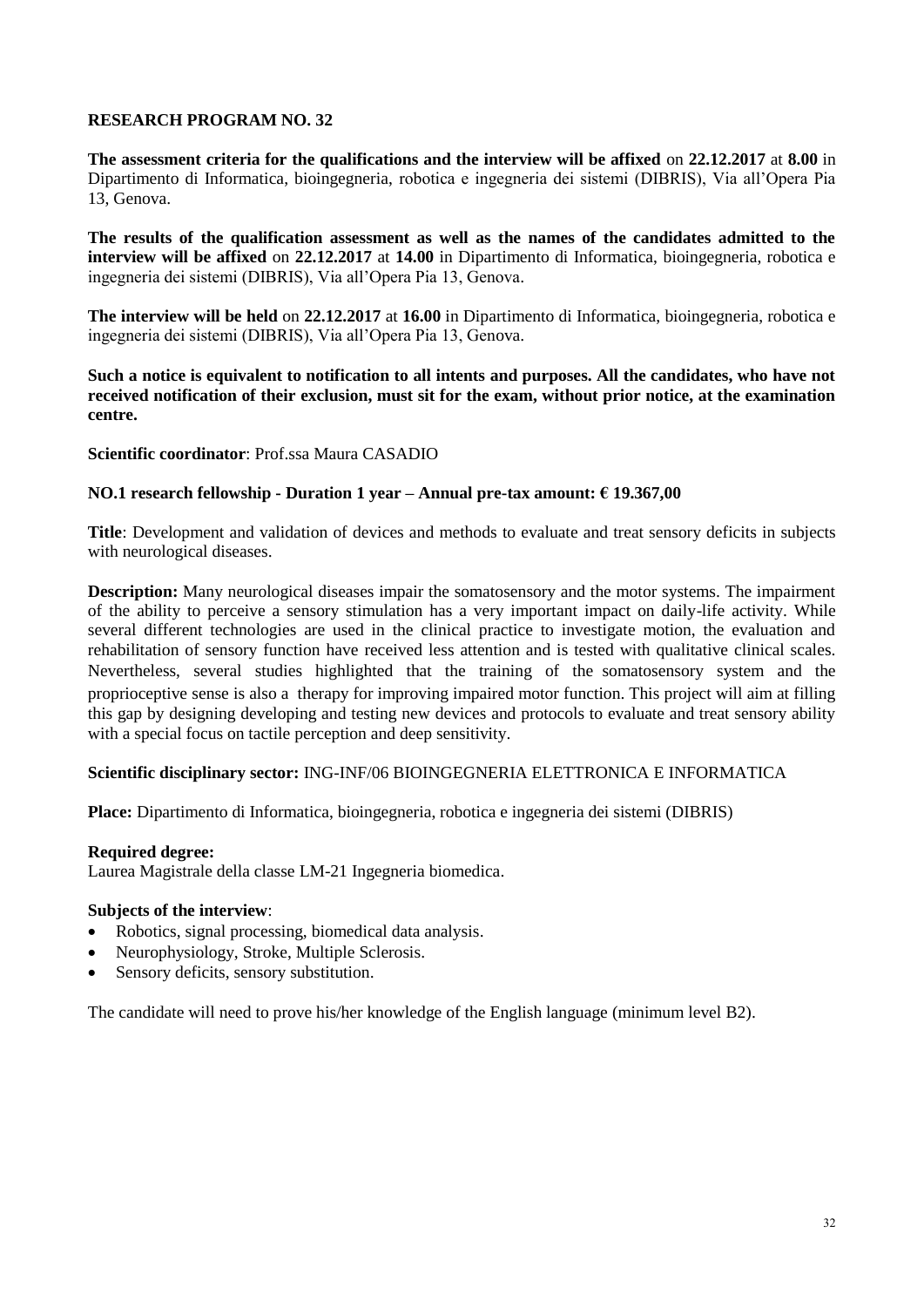**The assessment criteria for the qualifications and the interview will be affixed** on **22.12.2017** at **8.00** in Dipartimento di Informatica, bioingegneria, robotica e ingegneria dei sistemi (DIBRIS), Via all'Opera Pia 13, Genova.

**The results of the qualification assessment as well as the names of the candidates admitted to the interview will be affixed** on **22.12.2017** at **14.00** in Dipartimento di Informatica, bioingegneria, robotica e ingegneria dei sistemi (DIBRIS), Via all'Opera Pia 13, Genova.

**The interview will be held** on **22.12.2017** at **16.00** in Dipartimento di Informatica, bioingegneria, robotica e ingegneria dei sistemi (DIBRIS), Via all'Opera Pia 13, Genova.

**Such a notice is equivalent to notification to all intents and purposes. All the candidates, who have not received notification of their exclusion, must sit for the exam, without prior notice, at the examination centre.**

#### **Scientific coordinator**: Prof.ssa Maura CASADIO

#### **NO.1 research fellowship - Duration 1 year – Annual pre-tax amount: € 19.367,00**

**Title**: Development and validation of devices and methods to evaluate and treat sensory deficits in subjects with neurological diseases.

**Description:** Many neurological diseases impair the somatosensory and the motor systems. The impairment of the ability to perceive a sensory stimulation has a very important impact on daily-life activity. While several different technologies are used in the clinical practice to investigate motion, the evaluation and rehabilitation of sensory function have received less attention and is tested with qualitative clinical scales. Nevertheless, several studies highlighted that the training of the somatosensory system and the proprioceptive sense is also a therapy for improving impaired motor function. This project will aim at filling this gap by designing developing and testing new devices and protocols to evaluate and treat sensory ability with a special focus on tactile perception and deep sensitivity.

# **Scientific disciplinary sector:** ING-INF/06 BIOINGEGNERIA ELETTRONICA E INFORMATICA

**Place:** Dipartimento di Informatica, bioingegneria, robotica e ingegneria dei sistemi (DIBRIS)

#### **Required degree:**

Laurea Magistrale della classe LM-21 Ingegneria biomedica.

#### **Subjects of the interview**:

- Robotics, signal processing, biomedical data analysis.
- Neurophysiology, Stroke, Multiple Sclerosis.
- Sensory deficits, sensory substitution.

The candidate will need to prove his/her knowledge of the English language (minimum level B2).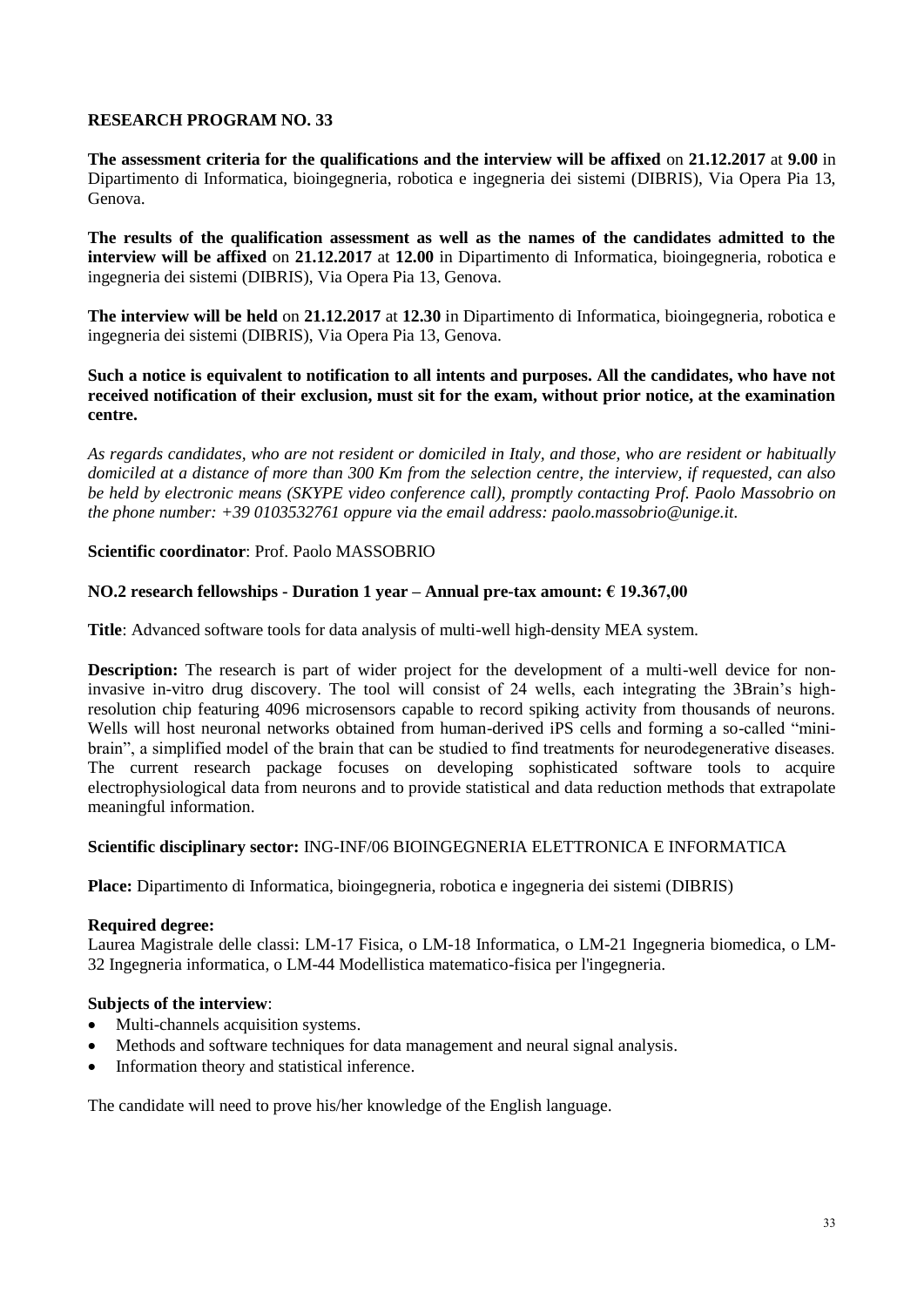**The assessment criteria for the qualifications and the interview will be affixed** on **21.12.2017** at **9.00** in Dipartimento di Informatica, bioingegneria, robotica e ingegneria dei sistemi (DIBRIS), Via Opera Pia 13, Genova.

**The results of the qualification assessment as well as the names of the candidates admitted to the interview will be affixed** on **21.12.2017** at **12.00** in Dipartimento di Informatica, bioingegneria, robotica e ingegneria dei sistemi (DIBRIS), Via Opera Pia 13, Genova.

**The interview will be held** on **21.12.2017** at **12.30** in Dipartimento di Informatica, bioingegneria, robotica e ingegneria dei sistemi (DIBRIS), Via Opera Pia 13, Genova.

# **Such a notice is equivalent to notification to all intents and purposes. All the candidates, who have not received notification of their exclusion, must sit for the exam, without prior notice, at the examination centre.**

*As regards candidates, who are not resident or domiciled in Italy, and those, who are resident or habitually domiciled at a distance of more than 300 Km from the selection centre, the interview, if requested, can also be held by electronic means (SKYPE video conference call), promptly contacting Prof. Paolo Massobrio on the phone number: +39 0103532761 oppure via the email address: paolo.massobrio@unige.it.*

# **Scientific coordinator**: Prof. Paolo MASSOBRIO

# **NO.2 research fellowships - Duration 1 year – Annual pre-tax amount: € 19.367,00**

**Title**: Advanced software tools for data analysis of multi-well high-density MEA system.

**Description:** The research is part of wider project for the development of a multi-well device for noninvasive in-vitro drug discovery. The tool will consist of 24 wells, each integrating the 3Brain's highresolution chip featuring 4096 microsensors capable to record spiking activity from thousands of neurons. Wells will host neuronal networks obtained from human-derived iPS cells and forming a so-called "minibrain", a simplified model of the brain that can be studied to find treatments for neurodegenerative diseases. The current research package focuses on developing sophisticated software tools to acquire electrophysiological data from neurons and to provide statistical and data reduction methods that extrapolate meaningful information.

# **Scientific disciplinary sector:** ING-INF/06 BIOINGEGNERIA ELETTRONICA E INFORMATICA

**Place:** Dipartimento di Informatica, bioingegneria, robotica e ingegneria dei sistemi (DIBRIS)

# **Required degree:**

Laurea Magistrale delle classi: LM-17 Fisica, o LM-18 Informatica, o LM-21 Ingegneria biomedica, o LM-32 Ingegneria informatica, o LM-44 Modellistica matematico-fisica per l'ingegneria.

# **Subjects of the interview**:

- Multi-channels acquisition systems.
- Methods and software techniques for data management and neural signal analysis.
- Information theory and statistical inference.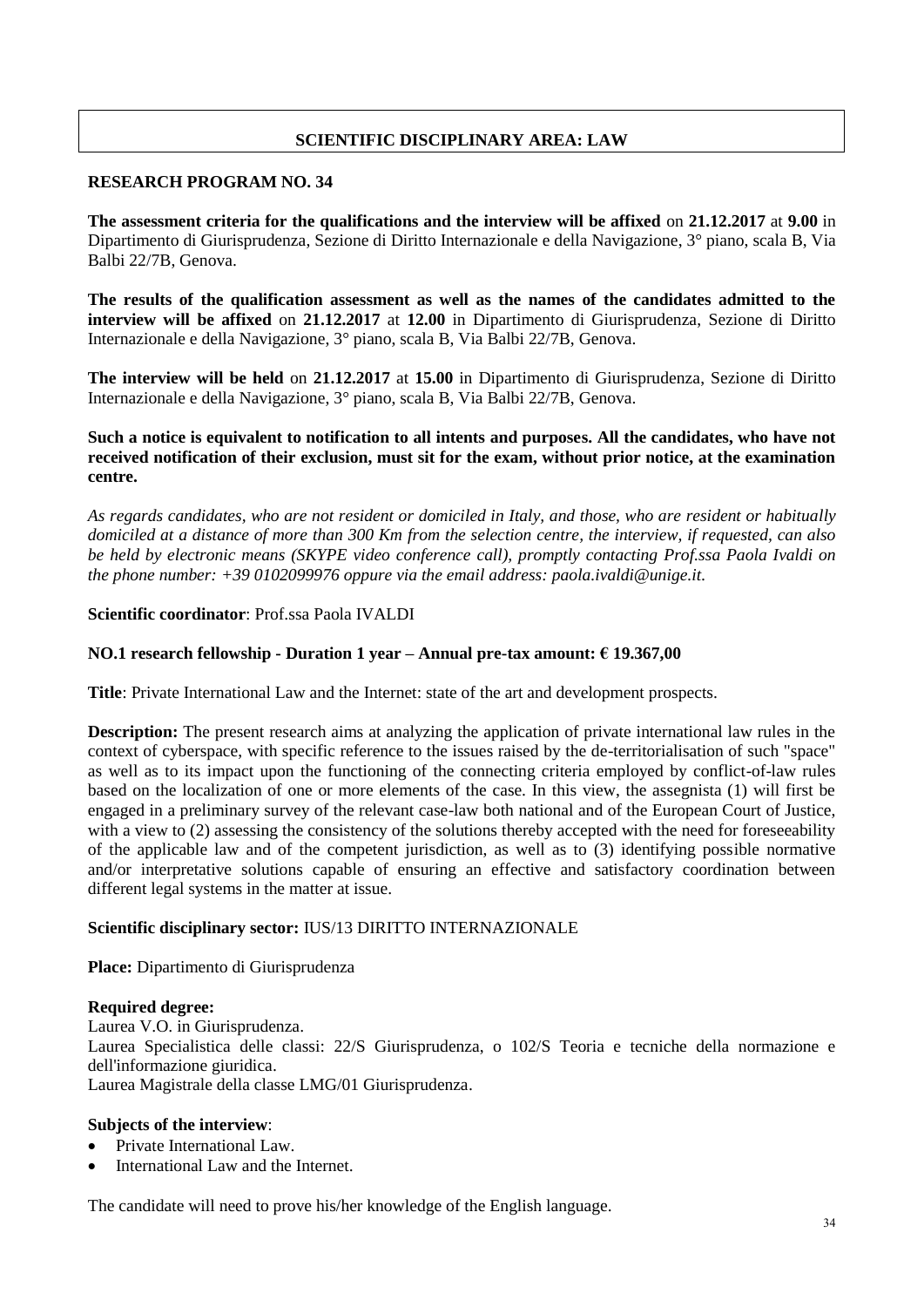# **SCIENTIFIC DISCIPLINARY AREA: LAW**

# **RESEARCH PROGRAM NO. 34**

**The assessment criteria for the qualifications and the interview will be affixed** on **21.12.2017** at **9.00** in Dipartimento di Giurisprudenza, Sezione di Diritto Internazionale e della Navigazione, 3° piano, scala B, Via Balbi 22/7B, Genova.

**The results of the qualification assessment as well as the names of the candidates admitted to the interview will be affixed** on **21.12.2017** at **12.00** in Dipartimento di Giurisprudenza, Sezione di Diritto Internazionale e della Navigazione, 3° piano, scala B, Via Balbi 22/7B, Genova.

**The interview will be held** on **21.12.2017** at **15.00** in Dipartimento di Giurisprudenza, Sezione di Diritto Internazionale e della Navigazione, 3° piano, scala B, Via Balbi 22/7B, Genova.

# **Such a notice is equivalent to notification to all intents and purposes. All the candidates, who have not received notification of their exclusion, must sit for the exam, without prior notice, at the examination centre.**

*As regards candidates, who are not resident or domiciled in Italy, and those, who are resident or habitually domiciled at a distance of more than 300 Km from the selection centre, the interview, if requested, can also be held by electronic means (SKYPE video conference call), promptly contacting Prof.ssa Paola Ivaldi on the phone number: +39 0102099976 oppure via the email address: paola.ivaldi@unige.it.*

# **Scientific coordinator**: Prof.ssa Paola IVALDI

# **NO.1 research fellowship - Duration 1 year – Annual pre-tax amount: € 19.367,00**

**Title**: Private International Law and the Internet: state of the art and development prospects.

**Description:** The present research aims at analyzing the application of private international law rules in the context of cyberspace, with specific reference to the issues raised by the de-territorialisation of such "space" as well as to its impact upon the functioning of the connecting criteria employed by conflict-of-law rules based on the localization of one or more elements of the case. In this view, the assegnista (1) will first be engaged in a preliminary survey of the relevant case-law both national and of the European Court of Justice, with a view to (2) assessing the consistency of the solutions thereby accepted with the need for foreseeability of the applicable law and of the competent jurisdiction, as well as to (3) identifying possible normative and/or interpretative solutions capable of ensuring an effective and satisfactory coordination between different legal systems in the matter at issue.

# **Scientific disciplinary sector:** IUS/13 DIRITTO INTERNAZIONALE

**Place:** Dipartimento di Giurisprudenza

# **Required degree:**

Laurea V.O. in Giurisprudenza. Laurea Specialistica delle classi: 22/S Giurisprudenza, o 102/S Teoria e tecniche della normazione e dell'informazione giuridica. Laurea Magistrale della classe LMG/01 Giurisprudenza.

# **Subjects of the interview**:

- Private International Law.
- International Law and the Internet.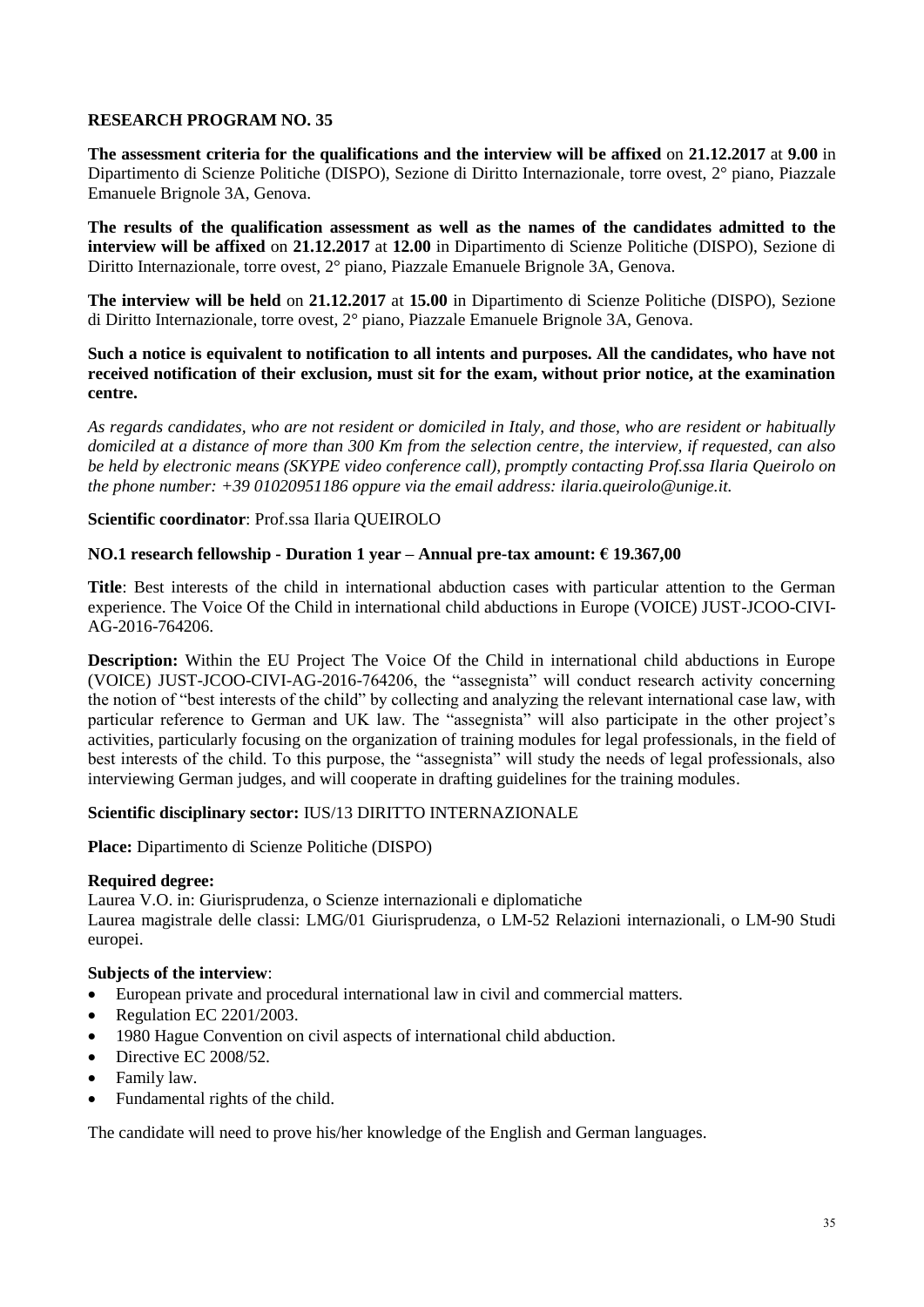**The assessment criteria for the qualifications and the interview will be affixed** on **21.12.2017** at **9.00** in Dipartimento di Scienze Politiche (DISPO), Sezione di Diritto Internazionale, torre ovest, 2° piano, Piazzale Emanuele Brignole 3A, Genova.

**The results of the qualification assessment as well as the names of the candidates admitted to the interview will be affixed** on **21.12.2017** at **12.00** in Dipartimento di Scienze Politiche (DISPO), Sezione di Diritto Internazionale, torre ovest, 2° piano, Piazzale Emanuele Brignole 3A, Genova.

**The interview will be held** on **21.12.2017** at **15.00** in Dipartimento di Scienze Politiche (DISPO), Sezione di Diritto Internazionale, torre ovest, 2° piano, Piazzale Emanuele Brignole 3A, Genova.

**Such a notice is equivalent to notification to all intents and purposes. All the candidates, who have not received notification of their exclusion, must sit for the exam, without prior notice, at the examination centre.**

*As regards candidates, who are not resident or domiciled in Italy, and those, who are resident or habitually domiciled at a distance of more than 300 Km from the selection centre, the interview, if requested, can also be held by electronic means (SKYPE video conference call), promptly contacting Prof.ssa Ilaria Queirolo on the phone number: +39 01020951186 oppure via the email address: ilaria.queirolo@unige.it.*

# **Scientific coordinator**: Prof.ssa Ilaria QUEIROLO

# **NO.1 research fellowship - Duration 1 year – Annual pre-tax amount: € 19.367,00**

**Title**: Best interests of the child in international abduction cases with particular attention to the German experience. The Voice Of the Child in international child abductions in Europe (VOICE) JUST-JCOO-CIVI-AG-2016-764206.

**Description:** Within the EU Project The Voice Of the Child in international child abductions in Europe (VOICE) JUST-JCOO-CIVI-AG-2016-764206, the "assegnista" will conduct research activity concerning the notion of "best interests of the child" by collecting and analyzing the relevant international case law, with particular reference to German and UK law. The "assegnista" will also participate in the other project's activities, particularly focusing on the organization of training modules for legal professionals, in the field of best interests of the child. To this purpose, the "assegnista" will study the needs of legal professionals, also interviewing German judges, and will cooperate in drafting guidelines for the training modules.

# **Scientific disciplinary sector:** IUS/13 DIRITTO INTERNAZIONALE

**Place:** Dipartimento di Scienze Politiche (DISPO)

# **Required degree:**

Laurea V.O. in: Giurisprudenza, o Scienze internazionali e diplomatiche

Laurea magistrale delle classi: LMG/01 Giurisprudenza, o LM-52 Relazioni internazionali, o LM-90 Studi europei.

# **Subjects of the interview**:

- European private and procedural international law in civil and commercial matters.
- Regulation EC 2201/2003.
- 1980 Hague Convention on civil aspects of international child abduction.
- Directive EC 2008/52.
- Family law.
- Fundamental rights of the child.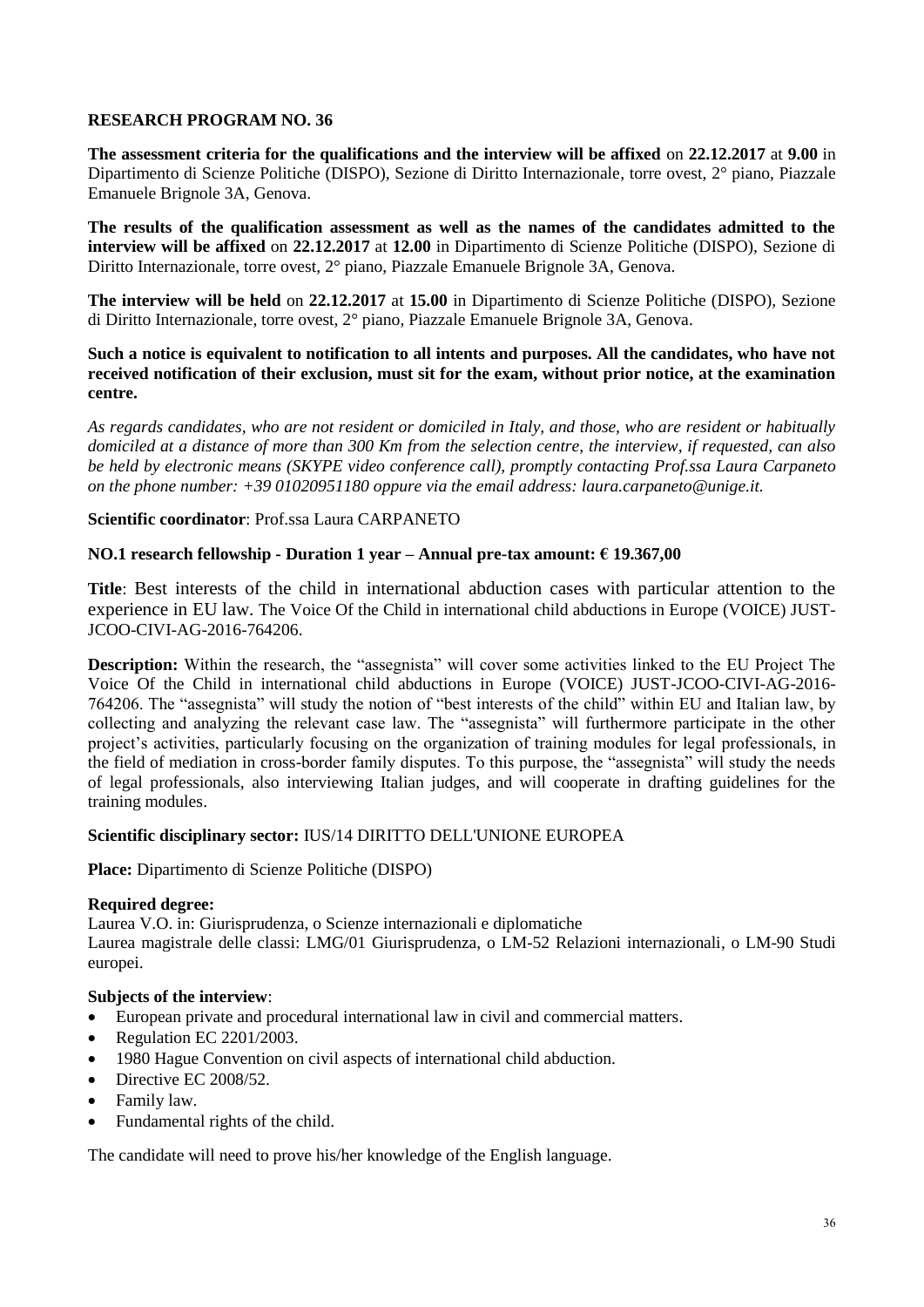**The assessment criteria for the qualifications and the interview will be affixed** on **22.12.2017** at **9.00** in Dipartimento di Scienze Politiche (DISPO), Sezione di Diritto Internazionale, torre ovest, 2° piano, Piazzale Emanuele Brignole 3A, Genova.

**The results of the qualification assessment as well as the names of the candidates admitted to the interview will be affixed** on **22.12.2017** at **12.00** in Dipartimento di Scienze Politiche (DISPO), Sezione di Diritto Internazionale, torre ovest, 2° piano, Piazzale Emanuele Brignole 3A, Genova.

**The interview will be held** on **22.12.2017** at **15.00** in Dipartimento di Scienze Politiche (DISPO), Sezione di Diritto Internazionale, torre ovest, 2° piano, Piazzale Emanuele Brignole 3A, Genova.

**Such a notice is equivalent to notification to all intents and purposes. All the candidates, who have not received notification of their exclusion, must sit for the exam, without prior notice, at the examination centre.**

*As regards candidates, who are not resident or domiciled in Italy, and those, who are resident or habitually domiciled at a distance of more than 300 Km from the selection centre, the interview, if requested, can also be held by electronic means (SKYPE video conference call), promptly contacting Prof.ssa Laura Carpaneto on the phone number: +39 01020951180 oppure via the email address: laura.carpaneto@unige.it.*

# **Scientific coordinator**: Prof.ssa Laura CARPANETO

# **NO.1 research fellowship - Duration 1 year – Annual pre-tax amount: € 19.367,00**

**Title**: Best interests of the child in international abduction cases with particular attention to the experience in EU law. The Voice Of the Child in international child abductions in Europe (VOICE) JUST-JCOO-CIVI-AG-2016-764206.

**Description:** Within the research, the "assegnista" will cover some activities linked to the EU Project The Voice Of the Child in international child abductions in Europe (VOICE) JUST-JCOO-CIVI-AG-2016- 764206. The "assegnista" will study the notion of "best interests of the child" within EU and Italian law, by collecting and analyzing the relevant case law. The "assegnista" will furthermore participate in the other project's activities, particularly focusing on the organization of training modules for legal professionals, in the field of mediation in cross-border family disputes. To this purpose, the "assegnista" will study the needs of legal professionals, also interviewing Italian judges, and will cooperate in drafting guidelines for the training modules.

# **Scientific disciplinary sector:** IUS/14 DIRITTO DELL'UNIONE EUROPEA

**Place:** Dipartimento di Scienze Politiche (DISPO)

#### **Required degree:**

Laurea V.O. in: Giurisprudenza, o Scienze internazionali e diplomatiche

Laurea magistrale delle classi: LMG/01 Giurisprudenza, o LM-52 Relazioni internazionali, o LM-90 Studi europei.

# **Subjects of the interview**:

- European private and procedural international law in civil and commercial matters.
- Regulation EC 2201/2003.
- 1980 Hague Convention on civil aspects of international child abduction.
- Directive EC 2008/52.
- Family law.
- Fundamental rights of the child.